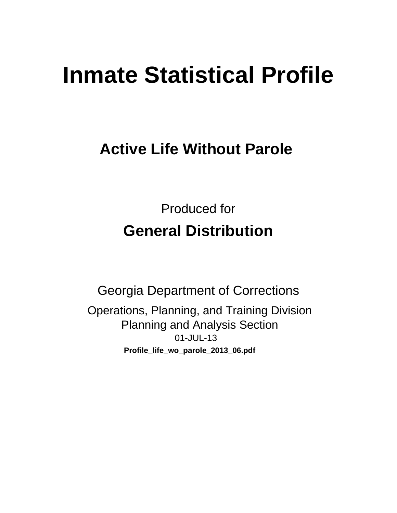# **Inmate Statistical Profile**

## **Active Life Without Parole**

**Produced for General Distribution** 

**Georgia Department of Corrections** Operations, Planning, and Training Division **Planning and Analysis Section** 01-JUL-13 Profile\_life\_wo\_parole\_2013\_06.pdf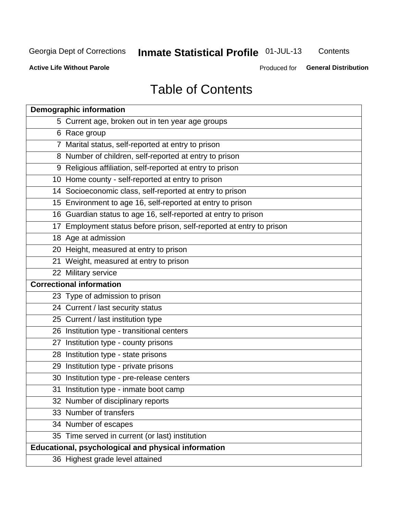## Inmate Statistical Profile 01-JUL-13

Contents

**Active Life Without Parole** 

Produced for General Distribution

## **Table of Contents**

| <b>Demographic information</b>                                       |
|----------------------------------------------------------------------|
| 5 Current age, broken out in ten year age groups                     |
| 6 Race group                                                         |
| 7 Marital status, self-reported at entry to prison                   |
| 8 Number of children, self-reported at entry to prison               |
| 9 Religious affiliation, self-reported at entry to prison            |
| 10 Home county - self-reported at entry to prison                    |
| 14 Socioeconomic class, self-reported at entry to prison             |
| 15 Environment to age 16, self-reported at entry to prison           |
| 16 Guardian status to age 16, self-reported at entry to prison       |
| 17 Employment status before prison, self-reported at entry to prison |
| 18 Age at admission                                                  |
| 20 Height, measured at entry to prison                               |
| 21 Weight, measured at entry to prison                               |
| 22 Military service                                                  |
| <b>Correctional information</b>                                      |
| 23 Type of admission to prison                                       |
| 24 Current / last security status                                    |
| 25 Current / last institution type                                   |
| 26 Institution type - transitional centers                           |
| 27 Institution type - county prisons                                 |
| 28 Institution type - state prisons                                  |
| 29 Institution type - private prisons                                |
| 30 Institution type - pre-release centers                            |
| 31 Institution type - inmate boot camp                               |
| 32 Number of disciplinary reports                                    |
| 33 Number of transfers                                               |
| 34 Number of escapes                                                 |
| 35 Time served in current (or last) institution                      |
| <b>Educational, psychological and physical information</b>           |
| 36 Highest grade level attained                                      |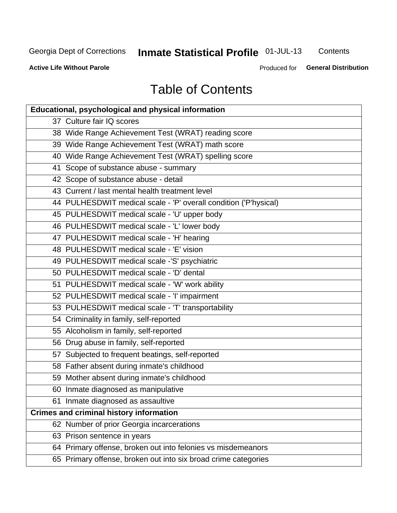## **Inmate Statistical Profile 01-JUL-13**

Contents

**Active Life Without Parole** 

Produced for **General Distribution** 

## **Table of Contents**

| <b>Educational, psychological and physical information</b>       |
|------------------------------------------------------------------|
| 37 Culture fair IQ scores                                        |
| 38 Wide Range Achievement Test (WRAT) reading score              |
| 39 Wide Range Achievement Test (WRAT) math score                 |
| 40 Wide Range Achievement Test (WRAT) spelling score             |
| 41 Scope of substance abuse - summary                            |
| 42 Scope of substance abuse - detail                             |
| 43 Current / last mental health treatment level                  |
| 44 PULHESDWIT medical scale - 'P' overall condition ('P'hysical) |
| 45 PULHESDWIT medical scale - 'U' upper body                     |
| 46 PULHESDWIT medical scale - 'L' lower body                     |
| 47 PULHESDWIT medical scale - 'H' hearing                        |
| 48 PULHESDWIT medical scale - 'E' vision                         |
| 49 PULHESDWIT medical scale -'S' psychiatric                     |
| 50 PULHESDWIT medical scale - 'D' dental                         |
| 51 PULHESDWIT medical scale - 'W' work ability                   |
| 52 PULHESDWIT medical scale - 'I' impairment                     |
| 53 PULHESDWIT medical scale - 'T' transportability               |
| 54 Criminality in family, self-reported                          |
| 55 Alcoholism in family, self-reported                           |
| 56 Drug abuse in family, self-reported                           |
| 57 Subjected to frequent beatings, self-reported                 |
| 58 Father absent during inmate's childhood                       |
| 59 Mother absent during inmate's childhood                       |
| 60 Inmate diagnosed as manipulative                              |
| 61 Inmate diagnosed as assaultive                                |
| <b>Crimes and criminal history information</b>                   |
| 62 Number of prior Georgia incarcerations                        |
| 63 Prison sentence in years                                      |
| 64 Primary offense, broken out into felonies vs misdemeanors     |
| 65 Primary offense, broken out into six broad crime categories   |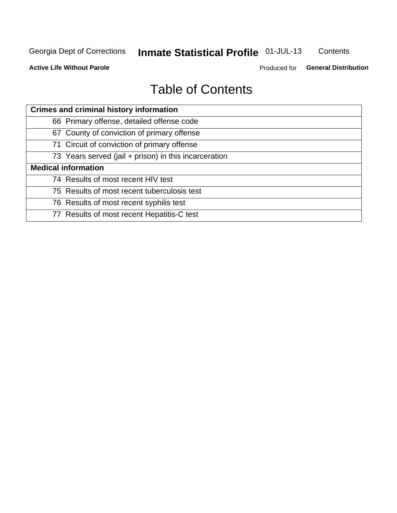## Inmate Statistical Profile 01-JUL-13

Contents

**Active Life Without Parole** 

Produced for General Distribution

## **Table of Contents**

| <b>Crimes and criminal history information</b>        |
|-------------------------------------------------------|
| 66 Primary offense, detailed offense code             |
| 67 County of conviction of primary offense            |
| 71 Circuit of conviction of primary offense           |
| 73 Years served (jail + prison) in this incarceration |
| <b>Medical information</b>                            |
| 74 Results of most recent HIV test                    |
| 75 Results of most recent tuberculosis test           |
| 76 Results of most recent syphilis test               |
| 77 Results of most recent Hepatitis-C test            |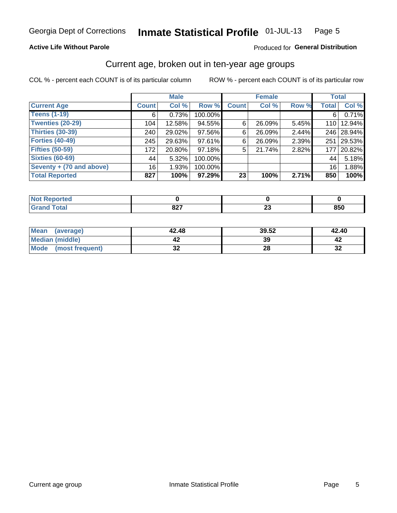#### Inmate Statistical Profile 01-JUL-13 Page 5

### **Active Life Without Parole**

### Produced for General Distribution

### Current age, broken out in ten-year age groups

COL % - percent each COUNT is of its particular column

|                          |                 | <b>Male</b> |         |              | <b>Female</b> |          |              | <b>Total</b> |
|--------------------------|-----------------|-------------|---------|--------------|---------------|----------|--------------|--------------|
| <b>Current Age</b>       | <b>Count</b>    | Col %       | Row %   | <b>Count</b> | Col %         | Row %    | <b>Total</b> | Col %        |
| <b>Teens (1-19)</b>      | 6               | 0.73%       | 100.00% |              |               |          | 6            | 0.71%        |
| <b>Twenties (20-29)</b>  | 104             | 12.58%      | 94.55%  | 6            | 26.09%        | $5.45\%$ |              | 110   12.94% |
| <b>Thirties (30-39)</b>  | 240             | 29.02%      | 97.56%  | 6            | 26.09%        | 2.44%    |              | 246 28.94%   |
| <b>Forties (40-49)</b>   | 245             | 29.63%      | 97.61%  | 6            | 26.09%        | 2.39%    | 251          | 29.53%       |
| <b>Fifties (50-59)</b>   | 172             | 20.80%      | 97.18%  | 5            | 21.74%        | 2.82%    | 177          | 20.82%       |
| <b>Sixties (60-69)</b>   | 44              | 5.32%       | 100.00% |              |               |          | 44           | 5.18%        |
| Seventy + (70 and above) | 16 <sub>1</sub> | 1.93%       | 100.00% |              |               |          | 16           | 1.88%        |
| <b>Total Reported</b>    | 827             | 100%        | 97.29%  | 23           | 100%          | 2.71%    | 850          | 100%         |

| _____ | 027  | $\overline{\phantom{a}}$ | <b>OEN</b> |
|-------|------|--------------------------|------------|
|       | 04 I | ~~                       | OJ U       |

| <b>Mean</b><br>(average) | 42.48    | 39.52 | 42.40   |
|--------------------------|----------|-------|---------|
| Median (middle)          |          | 39    |         |
| Mode<br>(most frequent)  | ^^<br>◡▴ | 28    | …<br>⊾ت |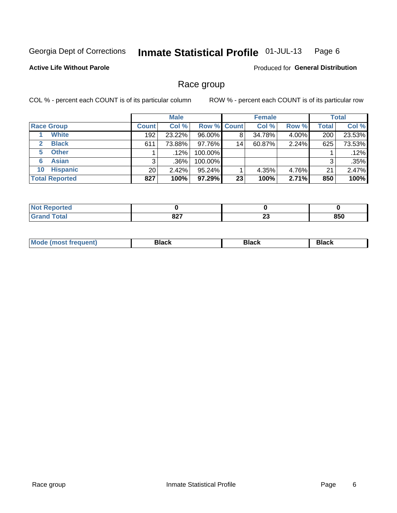#### Inmate Statistical Profile 01-JUL-13 Page 6

### **Active Life Without Parole**

Produced for General Distribution

### Race group

COL % - percent each COUNT is of its particular column

|                              |              | <b>Male</b> |                    |    | <b>Female</b> |       |              | <b>Total</b> |
|------------------------------|--------------|-------------|--------------------|----|---------------|-------|--------------|--------------|
| <b>Race Group</b>            | <b>Count</b> | Col %       | <b>Row % Count</b> |    | Col %         | Row % | <b>Total</b> | Col %        |
| <b>White</b>                 | 192          | 23.22%      | 96.00%             | 8  | 34.78%        | 4.00% | 200          | 23.53%       |
| <b>Black</b><br>$\mathbf{2}$ | 611          | 73.88%      | 97.76%             | 14 | 60.87%        | 2.24% | 625          | 73.53%       |
| <b>Other</b><br>5.           |              | $.12\%$     | 100.00%            |    |               |       |              | .12%         |
| <b>Asian</b><br>6            | 3            | .36%        | 100.00%            |    |               |       | 3            | .35%         |
| <b>Hispanic</b><br>10        | 20           | 2.42%       | 95.24%             |    | 4.35%         | 4.76% | 21           | 2.47%        |
| <b>Total Reported</b>        | 827          | 100%        | 97.29%             | 23 | 100%          | 2.71% | 850          | 100%         |

| <b>Reported</b> |             |          |     |
|-----------------|-------------|----------|-----|
| <b>Total</b>    | 927<br>OZ I | n.<br>ZJ | 850 |

| M | - - - | Piavn |
|---|-------|-------|
|   |       |       |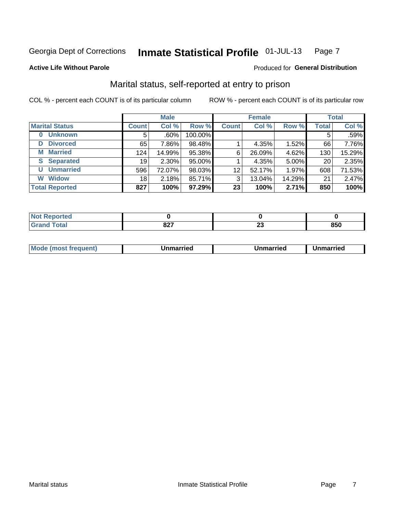#### Inmate Statistical Profile 01-JUL-13 Page 7

### **Active Life Without Parole**

### Produced for General Distribution

### Marital status, self-reported at entry to prison

COL % - percent each COUNT is of its particular column

|                            |              | <b>Male</b> |         |              | <b>Female</b> |        |              | <b>Total</b> |
|----------------------------|--------------|-------------|---------|--------------|---------------|--------|--------------|--------------|
| <b>Marital Status</b>      | <b>Count</b> | Col %       | Row %   | <b>Count</b> | Col %         | Row %  | <b>Total</b> | Col %        |
| <b>Unknown</b><br>$\bf{0}$ | 5            | .60%        | 100.00% |              |               |        | 5            | .59%         |
| <b>Divorced</b><br>D       | 65           | 7.86%       | 98.48%  |              | 4.35%         | 1.52%  | 66           | 7.76%        |
| <b>Married</b><br>М        | 124          | 14.99%      | 95.38%  | 6            | 26.09%        | 4.62%  | 130          | 15.29%       |
| <b>Separated</b><br>S      | 19           | 2.30%       | 95.00%  |              | 4.35%         | 5.00%  | 20           | 2.35%        |
| <b>Unmarried</b><br>U      | 596          | 72.07%      | 98.03%  | 12           | 52.17%        | 1.97%  | 608          | 71.53%       |
| <b>Widow</b><br>W          | 18           | 2.18%       | 85.71%  | 3            | 13.04%        | 14.29% | 21           | 2.47%        |
| <b>Total Reported</b>      | 827          | 100%        | 97.29%  | 23           | 100%          | 2.71%  | 850          | 100%         |

| ام کامن ک<br>rtea<br>NOT<br>$\cdots$ |     |    |     |
|--------------------------------------|-----|----|-----|
| T <sub>of</sub>                      | 027 | ^^ | 850 |
| υιαι                                 | OZ. | ⊷  |     |

|--|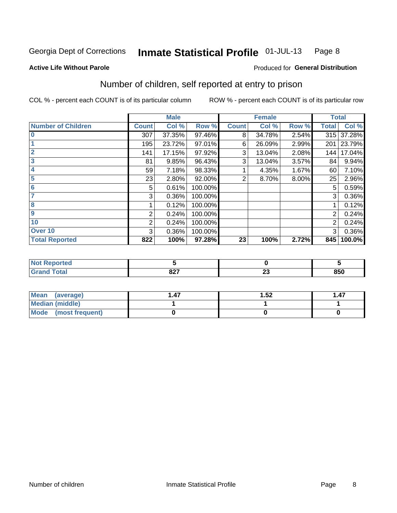#### Inmate Statistical Profile 01-JUL-13 Page 8

**Active Life Without Parole** 

### Produced for General Distribution

### Number of children, self reported at entry to prison

COL % - percent each COUNT is of its particular column

|                           |              | <b>Male</b> |         |              | <b>Female</b> |          |                | <b>Total</b> |
|---------------------------|--------------|-------------|---------|--------------|---------------|----------|----------------|--------------|
| <b>Number of Children</b> | <b>Count</b> | Col %       | Row %   | <b>Count</b> | Col %         | Row %    | <b>Total</b>   | Col %        |
| $\overline{\mathbf{0}}$   | 307          | 37.35%      | 97.46%  | 8            | 34.78%        | 2.54%    | 315            | 37.28%       |
|                           | 195          | 23.72%      | 97.01%  | 6            | 26.09%        | 2.99%    | 201            | 23.79%       |
| $\overline{2}$            | 141          | 17.15%      | 97.92%  | 3            | 13.04%        | 2.08%    | 144            | 17.04%       |
| 3                         | 81           | 9.85%       | 96.43%  | 3            | 13.04%        | 3.57%    | 84             | 9.94%        |
| 4                         | 59           | 7.18%       | 98.33%  |              | 4.35%         | 1.67%    | 60             | 7.10%        |
| 5                         | 23           | 2.80%       | 92.00%  | 2            | 8.70%         | $8.00\%$ | 25             | 2.96%        |
| 6                         | 5            | 0.61%       | 100.00% |              |               |          | 5              | 0.59%        |
| 7                         | 3            | 0.36%       | 100.00% |              |               |          | 3              | 0.36%        |
| 8                         |              | 0.12%       | 100.00% |              |               |          |                | 0.12%        |
| 9                         | 2            | 0.24%       | 100.00% |              |               |          | $\overline{2}$ | 0.24%        |
| 10                        | 2            | 0.24%       | 100.00% |              |               |          | 2              | 0.24%        |
| Over 10                   | 3            | 0.36%       | 100.00% |              |               |          | 3              | 0.36%        |
| <b>Total Reported</b>     | 822          | 100%        | 97.28%  | 23           | 100%          | 2.72%    | 845            | 100.0%       |

| neo  |             |                  |                |
|------|-------------|------------------|----------------|
| $-1$ | ^^7<br>,,,, | - -<br>. .<br>ZJ | $- - -$<br>ουυ |

| Mean (average)       | . 47 | 1.52 | 1.47 |
|----------------------|------|------|------|
| Median (middle)      |      |      |      |
| Mode (most frequent) |      |      |      |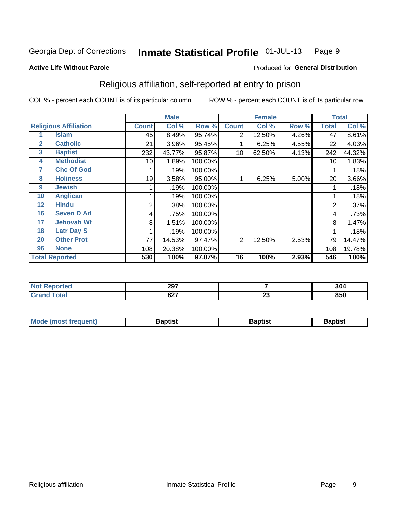#### Inmate Statistical Profile 01-JUL-13 Page 9

### **Active Life Without Parole**

### Produced for General Distribution

### Religious affiliation, self-reported at entry to prison

COL % - percent each COUNT is of its particular column

|              |                              |              | <b>Male</b> |         |                | <b>Female</b> |       |                | <b>Total</b> |
|--------------|------------------------------|--------------|-------------|---------|----------------|---------------|-------|----------------|--------------|
|              | <b>Religious Affiliation</b> | <b>Count</b> | Col %       | Row %   | <b>Count</b>   | Col %         | Row % | Total          | Col %        |
|              | <b>Islam</b>                 | 45           | 8.49%       | 95.74%  | $\overline{2}$ | 12.50%        | 4.26% | 47             | 8.61%        |
| $\mathbf{2}$ | <b>Catholic</b>              | 21           | 3.96%       | 95.45%  |                | 6.25%         | 4.55% | 22             | 4.03%        |
| 3            | <b>Baptist</b>               | 232          | 43.77%      | 95.87%  | 10             | 62.50%        | 4.13% | 242            | 44.32%       |
| 4            | <b>Methodist</b>             | 10           | 1.89%       | 100.00% |                |               |       | 10             | 1.83%        |
| 7            | <b>Chc Of God</b>            |              | .19%        | 100.00% |                |               |       |                | .18%         |
| 8            | <b>Holiness</b>              | 19           | 3.58%       | 95.00%  |                | 6.25%         | 5.00% | 20             | 3.66%        |
| 9            | <b>Jewish</b>                |              | .19%        | 100.00% |                |               |       |                | .18%         |
| 10           | <b>Anglican</b>              |              | .19%        | 100.00% |                |               |       |                | .18%         |
| 12           | <b>Hindu</b>                 | 2            | .38%        | 100.00% |                |               |       | $\overline{2}$ | .37%         |
| 16           | <b>Seven D Ad</b>            | 4            | .75%        | 100.00% |                |               |       | 4              | .73%         |
| 17           | <b>Jehovah Wt</b>            | 8            | 1.51%       | 100.00% |                |               |       | 8              | 1.47%        |
| 18           | <b>Latr Day S</b>            |              | .19%        | 100.00% |                |               |       |                | .18%         |
| 20           | <b>Other Prot</b>            | 77           | 14.53%      | 97.47%  | $\overline{2}$ | 12.50%        | 2.53% | 79             | 14.47%       |
| 96           | <b>None</b>                  | 108          | 20.38%      | 100.00% |                |               |       | 108            | 19.78%       |
|              | <b>Total Reported</b>        | 530          | 100%        | 97.07%  | 16             | 100%          | 2.93% | 546            | 100%         |

|      | 207<br>2J I |              | 304   |
|------|-------------|--------------|-------|
| ____ | 007         | $\mathbf{A}$ | O E R |
|      | ,,,,        | Δv           | οου   |

| <b>Mode (most frequent)</b> | եaptist | 3aptisเ | aptist |
|-----------------------------|---------|---------|--------|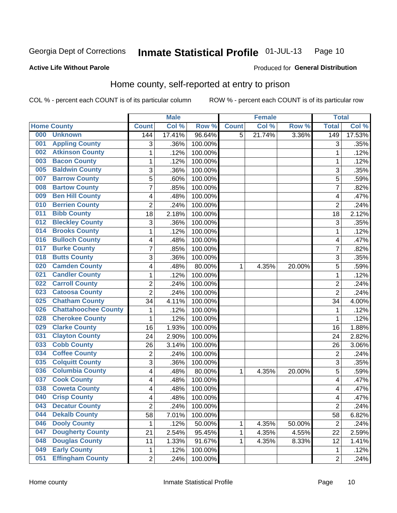#### Inmate Statistical Profile 01-JUL-13 Page 10

Produced for General Distribution

### **Active Life Without Parole**

### Home county, self-reported at entry to prison

COL % - percent each COUNT is of its particular column

|     |                             |                | <b>Male</b> |         |              | <b>Female</b> |        | <b>Total</b>     |        |
|-----|-----------------------------|----------------|-------------|---------|--------------|---------------|--------|------------------|--------|
|     | <b>Home County</b>          | <b>Count</b>   | Col %       | Row %   | <b>Count</b> | Col %         | Row %  | <b>Total</b>     | Col %  |
| 000 | <b>Unknown</b>              | 144            | 17.41%      | 96.64%  | 5            | 21.74%        | 3.36%  | $\overline{149}$ | 17.53% |
| 001 | <b>Appling County</b>       | 3              | .36%        | 100.00% |              |               |        | 3                | .35%   |
| 002 | <b>Atkinson County</b>      | 1              | .12%        | 100.00% |              |               |        | 1                | .12%   |
| 003 | <b>Bacon County</b>         | 1              | .12%        | 100.00% |              |               |        | 1                | .12%   |
| 005 | <b>Baldwin County</b>       | $\sqrt{3}$     | .36%        | 100.00% |              |               |        | 3                | .35%   |
| 007 | <b>Barrow County</b>        | 5              | .60%        | 100.00% |              |               |        | 5                | .59%   |
| 008 | <b>Bartow County</b>        | $\overline{7}$ | .85%        | 100.00% |              |               |        | $\overline{7}$   | .82%   |
| 009 | <b>Ben Hill County</b>      | 4              | .48%        | 100.00% |              |               |        | 4                | .47%   |
| 010 | <b>Berrien County</b>       | $\overline{2}$ | .24%        | 100.00% |              |               |        | $\overline{2}$   | .24%   |
| 011 | <b>Bibb County</b>          | 18             | 2.18%       | 100.00% |              |               |        | 18               | 2.12%  |
| 012 | <b>Bleckley County</b>      | $\sqrt{3}$     | .36%        | 100.00% |              |               |        | 3                | .35%   |
| 014 | <b>Brooks County</b>        | 1              | .12%        | 100.00% |              |               |        | 1                | .12%   |
| 016 | <b>Bulloch County</b>       | 4              | .48%        | 100.00% |              |               |        | 4                | .47%   |
| 017 | <b>Burke County</b>         | 7              | .85%        | 100.00% |              |               |        | $\overline{7}$   | .82%   |
| 018 | <b>Butts County</b>         | $\overline{3}$ | .36%        | 100.00% |              |               |        | 3                | .35%   |
| 020 | <b>Camden County</b>        | 4              | .48%        | 80.00%  | 1            | 4.35%         | 20.00% | 5                | .59%   |
| 021 | <b>Candler County</b>       | 1              | .12%        | 100.00% |              |               |        | 1                | .12%   |
| 022 | <b>Carroll County</b>       | 2              | .24%        | 100.00% |              |               |        | $\overline{2}$   | .24%   |
| 023 | <b>Catoosa County</b>       | $\overline{2}$ | .24%        | 100.00% |              |               |        | $\overline{2}$   | .24%   |
| 025 | <b>Chatham County</b>       | 34             | 4.11%       | 100.00% |              |               |        | 34               | 4.00%  |
| 026 | <b>Chattahoochee County</b> | 1              | .12%        | 100.00% |              |               |        | 1                | .12%   |
| 028 | <b>Cherokee County</b>      | 1              | .12%        | 100.00% |              |               |        | 1                | .12%   |
| 029 | <b>Clarke County</b>        | 16             | 1.93%       | 100.00% |              |               |        | 16               | 1.88%  |
| 031 | <b>Clayton County</b>       | 24             | 2.90%       | 100.00% |              |               |        | 24               | 2.82%  |
| 033 | <b>Cobb County</b>          | 26             | 3.14%       | 100.00% |              |               |        | 26               | 3.06%  |
| 034 | <b>Coffee County</b>        | 2              | .24%        | 100.00% |              |               |        | $\overline{2}$   | .24%   |
| 035 | <b>Colquitt County</b>      | $\overline{3}$ | .36%        | 100.00% |              |               |        | $\overline{3}$   | .35%   |
| 036 | <b>Columbia County</b>      | 4              | .48%        | 80.00%  | 1            | 4.35%         | 20.00% | 5                | .59%   |
| 037 | <b>Cook County</b>          | 4              | .48%        | 100.00% |              |               |        | 4                | .47%   |
| 038 | <b>Coweta County</b>        | 4              | .48%        | 100.00% |              |               |        | 4                | .47%   |
| 040 | <b>Crisp County</b>         | 4              | .48%        | 100.00% |              |               |        | 4                | .47%   |
| 043 | <b>Decatur County</b>       | $\overline{2}$ | .24%        | 100.00% |              |               |        | $\overline{2}$   | .24%   |
| 044 | <b>Dekalb County</b>        | 58             | 7.01%       | 100.00% |              |               |        | 58               | 6.82%  |
| 046 | <b>Dooly County</b>         | 1              | .12%        | 50.00%  | $\mathbf{1}$ | 4.35%         | 50.00% | $\overline{2}$   | .24%   |
| 047 | <b>Dougherty County</b>     | 21             | 2.54%       | 95.45%  | 1            | 4.35%         | 4.55%  | 22               | 2.59%  |
| 048 | <b>Douglas County</b>       | 11             | 1.33%       | 91.67%  | 1            | 4.35%         | 8.33%  | 12               | 1.41%  |
| 049 | <b>Early County</b>         | 1              | .12%        | 100.00% |              |               |        | 1                | .12%   |
| 051 | <b>Effingham County</b>     | $\overline{2}$ | .24%        | 100.00% |              |               |        | $\overline{2}$   | .24%   |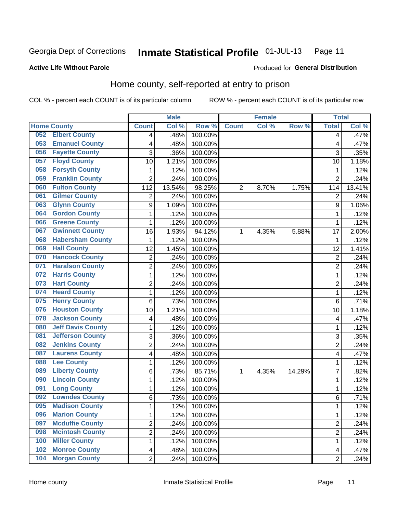#### Inmate Statistical Profile 01-JUL-13 Page 11

### **Active Life Without Parole**

### Produced for General Distribution

### Home county, self-reported at entry to prison

COL % - percent each COUNT is of its particular column

|     |                          |                          | <b>Male</b> |                  |                | <b>Female</b> |        | <b>Total</b>            |        |
|-----|--------------------------|--------------------------|-------------|------------------|----------------|---------------|--------|-------------------------|--------|
|     | <b>Home County</b>       | <b>Count</b>             | Col %       | Row <sup>%</sup> | <b>Count</b>   | Col %         | Row %  | <b>Total</b>            | Col %  |
| 052 | <b>Elbert County</b>     | 4                        | .48%        | 100.00%          |                |               |        | 4                       | .47%   |
| 053 | <b>Emanuel County</b>    | $\overline{\mathbf{4}}$  | .48%        | 100.00%          |                |               |        | 4                       | .47%   |
| 056 | <b>Fayette County</b>    | 3                        | .36%        | 100.00%          |                |               |        | 3                       | .35%   |
| 057 | <b>Floyd County</b>      | 10                       | 1.21%       | 100.00%          |                |               |        | 10                      | 1.18%  |
| 058 | <b>Forsyth County</b>    | 1                        | .12%        | 100.00%          |                |               |        | 1                       | .12%   |
| 059 | <b>Franklin County</b>   | $\overline{2}$           | .24%        | 100.00%          |                |               |        | $\overline{2}$          | .24%   |
| 060 | <b>Fulton County</b>     | 112                      | 13.54%      | 98.25%           | $\overline{2}$ | 8.70%         | 1.75%  | 114                     | 13.41% |
| 061 | <b>Gilmer County</b>     | $\overline{2}$           | .24%        | 100.00%          |                |               |        | $\overline{2}$          | .24%   |
| 063 | <b>Glynn County</b>      | 9                        | 1.09%       | 100.00%          |                |               |        | 9                       | 1.06%  |
| 064 | <b>Gordon County</b>     | 1                        | .12%        | 100.00%          |                |               |        | 1                       | .12%   |
| 066 | <b>Greene County</b>     | $\mathbf{1}$             | .12%        | 100.00%          |                |               |        | 1                       | .12%   |
| 067 | <b>Gwinnett County</b>   | 16                       | 1.93%       | 94.12%           | 1              | 4.35%         | 5.88%  | 17                      | 2.00%  |
| 068 | <b>Habersham County</b>  | $\mathbf{1}$             | .12%        | 100.00%          |                |               |        | 1                       | .12%   |
| 069 | <b>Hall County</b>       | 12                       | 1.45%       | 100.00%          |                |               |        | 12                      | 1.41%  |
| 070 | <b>Hancock County</b>    | $\overline{2}$           | .24%        | 100.00%          |                |               |        | $\overline{\mathbf{c}}$ | .24%   |
| 071 | <b>Haralson County</b>   | $\overline{2}$           | .24%        | 100.00%          |                |               |        | $\overline{2}$          | .24%   |
| 072 | <b>Harris County</b>     | $\mathbf{1}$             | .12%        | 100.00%          |                |               |        | 1                       | .12%   |
| 073 | <b>Hart County</b>       | $\overline{2}$           | .24%        | 100.00%          |                |               |        | $\overline{2}$          | .24%   |
| 074 | <b>Heard County</b>      | $\mathbf{1}$             | .12%        | 100.00%          |                |               |        | 1                       | .12%   |
| 075 | <b>Henry County</b>      | 6                        | .73%        | 100.00%          |                |               |        | 6                       | .71%   |
| 076 | <b>Houston County</b>    | 10                       | 1.21%       | 100.00%          |                |               |        | 10                      | 1.18%  |
| 078 | <b>Jackson County</b>    | $\overline{\mathcal{A}}$ | .48%        | 100.00%          |                |               |        | 4                       | .47%   |
| 080 | <b>Jeff Davis County</b> | $\mathbf{1}$             | .12%        | 100.00%          |                |               |        | 1                       | .12%   |
| 081 | <b>Jefferson County</b>  | 3                        | .36%        | 100.00%          |                |               |        | 3                       | .35%   |
| 082 | <b>Jenkins County</b>    | $\boldsymbol{2}$         | .24%        | 100.00%          |                |               |        | 2                       | .24%   |
| 087 | <b>Laurens County</b>    | $\overline{\mathbf{4}}$  | .48%        | 100.00%          |                |               |        | 4                       | .47%   |
| 088 | <b>Lee County</b>        | $\mathbf{1}$             | .12%        | 100.00%          |                |               |        | 1                       | .12%   |
| 089 | <b>Liberty County</b>    | 6                        | .73%        | 85.71%           | 1              | 4.35%         | 14.29% | 7                       | .82%   |
| 090 | <b>Lincoln County</b>    | 1                        | .12%        | 100.00%          |                |               |        | 1                       | .12%   |
| 091 | <b>Long County</b>       | $\mathbf{1}$             | .12%        | 100.00%          |                |               |        | 1                       | .12%   |
| 092 | <b>Lowndes County</b>    | $6\phantom{1}$           | .73%        | 100.00%          |                |               |        | 6                       | .71%   |
| 095 | <b>Madison County</b>    | 1                        | .12%        | 100.00%          |                |               |        | 1                       | .12%   |
| 096 | <b>Marion County</b>     | $\mathbf{1}$             | .12%        | 100.00%          |                |               |        | 1                       | .12%   |
| 097 | <b>Mcduffie County</b>   | $\overline{2}$           | .24%        | 100.00%          |                |               |        | $\overline{2}$          | .24%   |
| 098 | <b>Mcintosh County</b>   | $\overline{2}$           | .24%        | 100.00%          |                |               |        | 2                       | .24%   |
| 100 | <b>Miller County</b>     | 1                        | .12%        | 100.00%          |                |               |        | 1                       | .12%   |
| 102 | <b>Monroe County</b>     | $\overline{4}$           | .48%        | 100.00%          |                |               |        | 4                       | .47%   |
| 104 | <b>Morgan County</b>     | $\overline{2}$           | .24%        | 100.00%          |                |               |        | $\overline{2}$          | .24%   |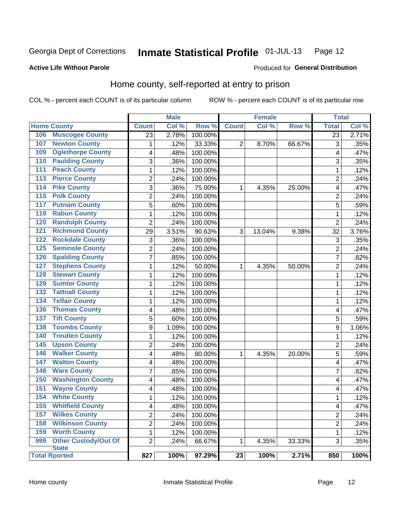#### Inmate Statistical Profile 01-JUL-13 Page 12

### **Active Life Without Parole**

## Produced for General Distribution

### Home county, self-reported at entry to prison

COL % - percent each COUNT is of its particular column

|                  |                                             |                | <b>Male</b> |                  |              | <b>Female</b> |        | <b>Total</b>    |       |
|------------------|---------------------------------------------|----------------|-------------|------------------|--------------|---------------|--------|-----------------|-------|
|                  | <b>Home County</b>                          | <b>Count</b>   | Col%        | Row <sup>%</sup> | <b>Count</b> | Col %         | Row %  | <b>Total</b>    | Col % |
| 106              | <b>Muscogee County</b>                      | 23             | 2.78%       | 100.00%          |              |               |        | $\overline{23}$ | 2.71% |
| 107              | <b>Newton County</b>                        | 1              | .12%        | 33.33%           | 2            | 8.70%         | 66.67% | 3               | .35%  |
| 109              | <b>Oglethorpe County</b>                    | 4              | .48%        | 100.00%          |              |               |        | 4               | .47%  |
| 110              | <b>Paulding County</b>                      | 3              | .36%        | 100.00%          |              |               |        | 3               | .35%  |
| 111              | <b>Peach County</b>                         | $\mathbf 1$    | .12%        | 100.00%          |              |               |        | 1               | .12%  |
| $\overline{113}$ | <b>Pierce County</b>                        | 2              | .24%        | 100.00%          |              |               |        | 2               | .24%  |
| 114              | <b>Pike County</b>                          | 3              | .36%        | 75.00%           | 1            | 4.35%         | 25.00% | 4               | .47%  |
| $\overline{115}$ | <b>Polk County</b>                          | $\overline{2}$ | .24%        | 100.00%          |              |               |        | $\overline{c}$  | .24%  |
| 117              | <b>Putnam County</b>                        | 5              | .60%        | 100.00%          |              |               |        | 5               | .59%  |
| 119              | <b>Rabun County</b>                         | $\mathbf 1$    | .12%        | 100.00%          |              |               |        | 1               | .12%  |
| 120              | <b>Randolph County</b>                      | $\overline{2}$ | .24%        | 100.00%          |              |               |        | $\overline{2}$  | .24%  |
| 121              | <b>Richmond County</b>                      | 29             | 3.51%       | 90.63%           | 3            | 13.04%        | 9.38%  | 32              | 3.76% |
| 122              | <b>Rockdale County</b>                      | 3              | .36%        | 100.00%          |              |               |        | 3               | .35%  |
| 125              | <b>Seminole County</b>                      | $\overline{2}$ | .24%        | 100.00%          |              |               |        | $\overline{2}$  | .24%  |
| 126              | <b>Spalding County</b>                      | $\overline{7}$ | .85%        | 100.00%          |              |               |        | $\overline{7}$  | .82%  |
| 127              | <b>Stephens County</b>                      | 1              | .12%        | 50.00%           | 1            | 4.35%         | 50.00% | $\overline{c}$  | .24%  |
| 128              | <b>Stewart County</b>                       | $\mathbf 1$    | .12%        | 100.00%          |              |               |        | 1               | .12%  |
| 129              | <b>Sumter County</b>                        | $\mathbf 1$    | .12%        | 100.00%          |              |               |        | 1               | .12%  |
| 132              | <b>Tattnall County</b>                      | $\mathbf 1$    | .12%        | 100.00%          |              |               |        | 1               | .12%  |
| 134              | <b>Telfair County</b>                       | $\mathbf 1$    | .12%        | 100.00%          |              |               |        | 1               | .12%  |
| 136              | <b>Thomas County</b>                        | 4              | .48%        | 100.00%          |              |               |        | 4               | .47%  |
| 137              | <b>Tift County</b>                          | 5              | .60%        | 100.00%          |              |               |        | 5               | .59%  |
| 138              | <b>Toombs County</b>                        | 9              | 1.09%       | 100.00%          |              |               |        | 9               | 1.06% |
| 140              | <b>Treutlen County</b>                      | 1              | .12%        | 100.00%          |              |               |        | 1               | .12%  |
| 145              | <b>Upson County</b>                         | 2              | .24%        | 100.00%          |              |               |        | 2               | .24%  |
| 146              | <b>Walker County</b>                        | 4              | .48%        | 80.00%           | 1            | 4.35%         | 20.00% | 5               | .59%  |
| 147              | <b>Walton County</b>                        | 4              | .48%        | 100.00%          |              |               |        | 4               | .47%  |
| 148              | <b>Ware County</b>                          | 7              | .85%        | 100.00%          |              |               |        | 7               | .82%  |
| 150              | <b>Washington County</b>                    | 4              | .48%        | 100.00%          |              |               |        | 4               | .47%  |
| 151              | <b>Wayne County</b>                         | 4              | .48%        | 100.00%          |              |               |        | 4               | .47%  |
| 154              | <b>White County</b>                         | 1              | .12%        | 100.00%          |              |               |        | 1               | .12%  |
| 155              | <b>Whitfield County</b>                     | 4              | .48%        | 100.00%          |              |               |        | 4               | .47%  |
| 157              | <b>Wilkes County</b>                        | $\overline{2}$ | .24%        | 100.00%          |              |               |        | 2               | .24%  |
| 158              | <b>Wilkinson County</b>                     | $\overline{2}$ | .24%        | 100.00%          |              |               |        | $\overline{2}$  | .24%  |
| 159              | <b>Worth County</b>                         | $\mathbf{1}$   | .12%        | 100.00%          |              |               |        | 1               | .12%  |
| 999              | <b>Other Custody/Out Of</b><br><b>State</b> | $\overline{2}$ | .24%        | 66.67%           | 1            | 4.35%         | 33.33% | 3               | .35%  |
|                  | <b>Total Rported</b>                        | 827            | 100%        | 97.29%           | 23           | 100%          | 2.71%  | 850             | 100%  |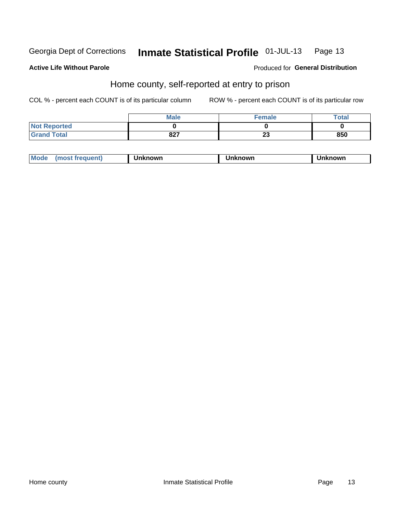#### Inmate Statistical Profile 01-JUL-13 Page 13

### **Active Life Without Parole**

### Produced for General Distribution

### Home county, self-reported at entry to prison

COL % - percent each COUNT is of its particular column

|                     | <b>Male</b> | <b>Female</b> | Total |
|---------------------|-------------|---------------|-------|
| <b>Not Reported</b> |             |               |       |
| <b>Grand Total</b>  | 827         | nn.<br>ZJ     | 850   |

| <b>Moa</b><br>nown | owr | nowr |
|--------------------|-----|------|
|--------------------|-----|------|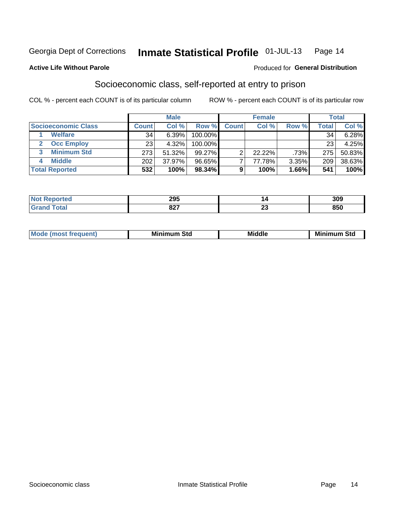#### Inmate Statistical Profile 01-JUL-13 Page 14

### **Active Life Without Parole**

### Produced for General Distribution

### Socioeconomic class, self-reported at entry to prison

COL % - percent each COUNT is of its particular column

|                       | <b>Male</b>  |        |           |              | <b>Female</b> |       | <b>Total</b> |        |
|-----------------------|--------------|--------|-----------|--------------|---------------|-------|--------------|--------|
| Socioeconomic Class   | <b>Count</b> | Col %  | Row %     | <b>Count</b> | Col %         | Row % | Total,       | Col %  |
| <b>Welfare</b>        | 34           | 6.39%  | 100.00%   |              |               |       | 34           | 6.28%  |
| <b>Occ Employ</b>     | 23           | 4.32%  | 100.00%   |              |               |       | 23           | 4.25%  |
| <b>Minimum Std</b>    | 273          | 51.32% | $99.27\%$ | ⌒            | $22.22\%$     | .73%  | 275          | 50.83% |
| <b>Middle</b>         | 202          | 37.97% | 96.65%    |              | 77.78%        | 3.35% | 209          | 38.63% |
| <b>Total Reported</b> | 532          | 100%   | 98.34%    |              | 100%          | 1.66% | 541          | 100%   |

| тес<br>$\sim$ | 295  |                          | 309 |
|---------------|------|--------------------------|-----|
|               | 027  | $\overline{\phantom{a}}$ |     |
|               | 04 I | $\overline{\phantom{a}}$ | οσυ |

|--|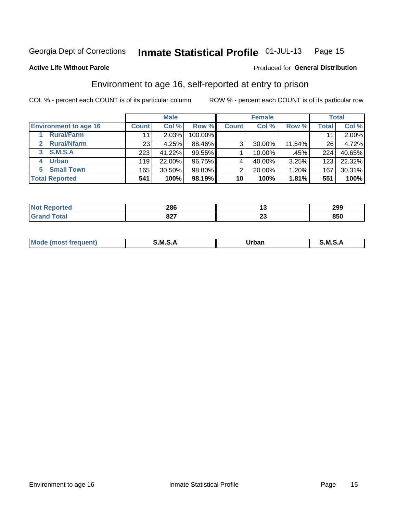#### Inmate Statistical Profile 01-JUL-13 Page 15

### **Active Life Without Parole**

### **Produced for General Distribution**

### Environment to age 16, self-reported at entry to prison

COL % - percent each COUNT is of its particular column

|                              |              | <b>Male</b> |         |              | <b>Female</b> |        |       | <b>Total</b> |
|------------------------------|--------------|-------------|---------|--------------|---------------|--------|-------|--------------|
| <b>Environment to age 16</b> | <b>Count</b> | Col %       | Row %   | <b>Count</b> | Col %         | Row %  | Total | Col %        |
| <b>Rural/Farm</b>            | 11           | 2.03%       | 100.00% |              |               |        |       | $2.00\%$     |
| <b>Rural/Nfarm</b><br>2.     | 231          | 4.25%       | 88.46%  | 3            | 30.00%        | 11.54% | 26    | 4.72%        |
| S.M.S.A<br>3                 | 223          | 41.22%      | 99.55%  |              | 10.00%        | .45%   | 224   | 40.65%       |
| <b>Urban</b>                 | 119          | 22.00%      | 96.75%  |              | 40.00%        | 3.25%  | 123   | 22.32%       |
| <b>Small Town</b><br>5       | 165          | 30.50%      | 98.80%  | ⌒            | 20.00%        | 1.20%  | 167   | 30.31%       |
| <b>Total Reported</b>        | 541          | 100%        | 98.19%  | 10           | 100%          | 1.81%  | 551   | 100%         |

| rted | 286  | יי | 299 |
|------|------|----|-----|
|      | 027  | ^^ | nen |
|      | 0Z I | ∼∸ | ουυ |

| Mo | M | urhar . | M      |
|----|---|---------|--------|
|    |   | _____   | ______ |
|    |   |         |        |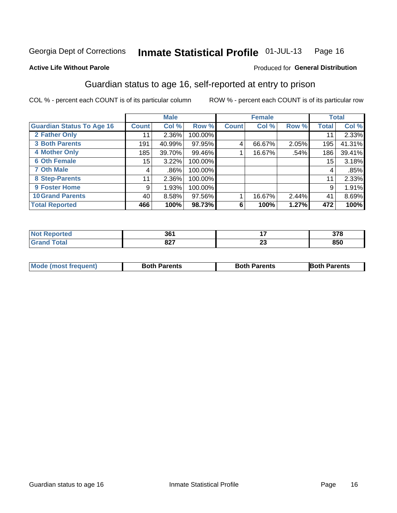#### Inmate Statistical Profile 01-JUL-13 Page 16

### **Active Life Without Parole**

### Produced for General Distribution

### Guardian status to age 16, self-reported at entry to prison

COL % - percent each COUNT is of its particular column

|                                  |              | <b>Male</b> |         |              | <b>Female</b> |       |              | <b>Total</b> |
|----------------------------------|--------------|-------------|---------|--------------|---------------|-------|--------------|--------------|
| <b>Guardian Status To Age 16</b> | <b>Count</b> | Col %       | Row %   | <b>Count</b> | Col %         | Row % | <b>Total</b> | Col %        |
| 2 Father Only                    | 11           | 2.36%       | 100.00% |              |               |       | 11           | 2.33%        |
| <b>3 Both Parents</b>            | 191          | 40.99%      | 97.95%  | 4            | 66.67%        | 2.05% | 195          | 41.31%       |
| <b>4 Mother Only</b>             | 185          | 39.70%      | 99.46%  |              | 16.67%        | .54%  | 186          | 39.41%       |
| <b>6 Oth Female</b>              | 15           | 3.22%       | 100.00% |              |               |       | 15           | 3.18%        |
| <b>7 Oth Male</b>                | 4            | .86%        | 100.00% |              |               |       | 4            | .85%         |
| 8 Step-Parents                   | 11           | 2.36%       | 100.00% |              |               |       | 11           | 2.33%        |
| 9 Foster Home                    | 9            | 1.93%       | 100.00% |              |               |       | 9            | 1.91%        |
| <b>10 Grand Parents</b>          | 40           | 8.58%       | 97.56%  |              | 16.67%        | 2.44% | 41           | 8.69%        |
| <b>Total Reported</b>            | 466          | 100%        | 98.73%  | 6            | 100%          | 1.27% | 472          | 100%         |

| ted | 901<br>JV I |          | 270<br><u>JI U</u> |
|-----|-------------|----------|--------------------|
|     | ^^7<br>,,,  | ~~<br>Δv | 850                |

| <b>Mode (most frequent)</b> | <b>Both Parents</b> | <b>Both Parents</b> | <b>Both Parents</b> |
|-----------------------------|---------------------|---------------------|---------------------|
|                             |                     |                     |                     |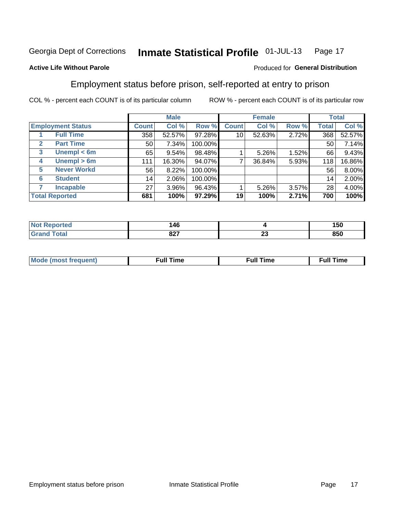#### Inmate Statistical Profile 01-JUL-13 Page 17

### **Active Life Without Parole**

### Produced for General Distribution

### Employment status before prison, self-reported at entry to prison

COL % - percent each COUNT is of its particular column

|                                  |                    |              | <b>Male</b> |         |              | <b>Female</b> |       |       | <b>Total</b> |
|----------------------------------|--------------------|--------------|-------------|---------|--------------|---------------|-------|-------|--------------|
| <b>Employment Status</b>         |                    | <b>Count</b> | Col %       | Row %   | <b>Count</b> | Col %         | Row % | Total | Col %        |
| <b>Full Time</b>                 |                    | 358          | 52.57%      | 97.28%  | 10           | 52.63%        | 2.72% | 368   | 52.57%       |
| <b>Part Time</b><br>$\mathbf{2}$ |                    | 50           | 7.34%       | 100.00% |              |               |       | 50    | 7.14%        |
| 3                                | Unempl $<$ 6m      | 65           | 9.54%       | 98.48%  |              | $5.26\%$      | 1.52% | 66    | 9.43%        |
| 4                                | Unempl > 6m        | 111          | 16.30%      | 94.07%  |              | 36.84%        | 5.93% | 118   | 16.86%       |
| 5                                | <b>Never Workd</b> | 56           | 8.22%       | 100.00% |              |               |       | 56    | 8.00%        |
| <b>Student</b><br>6              |                    | 14           | 2.06%       | 100.00% |              |               |       | 14    | 2.00%        |
| <b>Incapable</b><br>7            |                    | 27           | 3.96%       | 96.43%  |              | $5.26\%$      | 3.57% | 28    | 4.00%        |
| <b>Total Reported</b>            |                    | 681          | 100%        | 97.29%  | 19           | 100%          | 2.71% | 700   | 100%         |

| тес | 146<br>$\sim$         |         | 150 |
|-----|-----------------------|---------|-----|
|     | 007<br>O <sub>1</sub> | n.<br>~ | 850 |

| Mc | ∴ull | ----<br>ıme<br>w |
|----|------|------------------|
|    |      |                  |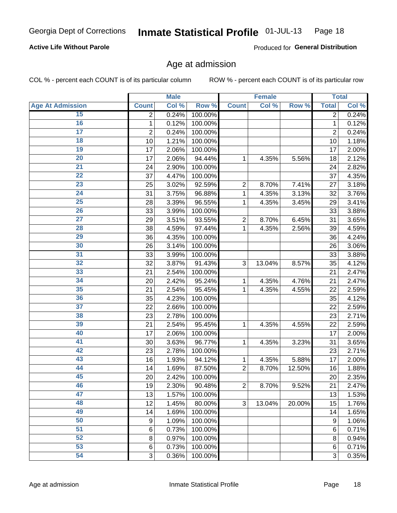#### Inmate Statistical Profile 01-JUL-13 Page 18

### **Active Life Without Parole**

Produced for General Distribution

### Age at admission

COL % - percent each COUNT is of its particular column

|                         |                         | <b>Male</b> |         |                | <b>Female</b> |        |                | <b>Total</b> |
|-------------------------|-------------------------|-------------|---------|----------------|---------------|--------|----------------|--------------|
| <b>Age At Admission</b> | <b>Count</b>            | Col %       | Row %   | <b>Count</b>   | Col %         | Row %  | <b>Total</b>   | Col %        |
| 15                      | 2                       | 0.24%       | 100.00% |                |               |        | 2              | 0.24%        |
| 16                      | 1                       | 0.12%       | 100.00% |                |               |        | $\mathbf{1}$   | 0.12%        |
| $\overline{17}$         | $\overline{\mathbf{c}}$ | 0.24%       | 100.00% |                |               |        | $\overline{2}$ | 0.24%        |
| 18                      | 10                      | 1.21%       | 100.00% |                |               |        | 10             | 1.18%        |
| 19                      | 17                      | 2.06%       | 100.00% |                |               |        | 17             | 2.00%        |
| $\overline{20}$         | 17                      | 2.06%       | 94.44%  | 1              | 4.35%         | 5.56%  | 18             | 2.12%        |
| 21                      | 24                      | 2.90%       | 100.00% |                |               |        | 24             | 2.82%        |
| 22                      | 37                      | 4.47%       | 100.00% |                |               |        | 37             | 4.35%        |
| 23                      | 25                      | 3.02%       | 92.59%  | $\overline{2}$ | 8.70%         | 7.41%  | 27             | 3.18%        |
| 24                      | 31                      | 3.75%       | 96.88%  | 1              | 4.35%         | 3.13%  | 32             | 3.76%        |
| $\overline{25}$         | 28                      | 3.39%       | 96.55%  | 1              | 4.35%         | 3.45%  | 29             | 3.41%        |
| 26                      | 33                      | 3.99%       | 100.00% |                |               |        | 33             | 3.88%        |
| $\overline{27}$         | 29                      | 3.51%       | 93.55%  | $\overline{2}$ | 8.70%         | 6.45%  | 31             | 3.65%        |
| 28                      | 38                      | 4.59%       | 97.44%  | 1              | 4.35%         | 2.56%  | 39             | 4.59%        |
| 29                      | 36                      | 4.35%       | 100.00% |                |               |        | 36             | 4.24%        |
| 30                      | 26                      | 3.14%       | 100.00% |                |               |        | 26             | 3.06%        |
| 31                      | 33                      | 3.99%       | 100.00% |                |               |        | 33             | 3.88%        |
| 32                      | 32                      | 3.87%       | 91.43%  | 3              | 13.04%        | 8.57%  | 35             | 4.12%        |
| 33                      | 21                      | 2.54%       | 100.00% |                |               |        | 21             | 2.47%        |
| 34                      | 20                      | 2.42%       | 95.24%  | 1              | 4.35%         | 4.76%  | 21             | 2.47%        |
| 35                      | 21                      | 2.54%       | 95.45%  | 1              | 4.35%         | 4.55%  | 22             | 2.59%        |
| 36                      | 35                      | 4.23%       | 100.00% |                |               |        | 35             | 4.12%        |
| $\overline{37}$         | 22                      | 2.66%       | 100.00% |                |               |        | 22             | 2.59%        |
| 38                      | 23                      | 2.78%       | 100.00% |                |               |        | 23             | 2.71%        |
| 39                      | 21                      | 2.54%       | 95.45%  | 1              | 4.35%         | 4.55%  | 22             | 2.59%        |
| 40                      | 17                      | 2.06%       | 100.00% |                |               |        | 17             | 2.00%        |
| 41                      | 30                      | 3.63%       | 96.77%  | 1              | 4.35%         | 3.23%  | 31             | 3.65%        |
| 42                      | 23                      | 2.78%       | 100.00% |                |               |        | 23             | 2.71%        |
| 43                      | 16                      | 1.93%       | 94.12%  | 1              | 4.35%         | 5.88%  | 17             | 2.00%        |
| 44                      | 14                      | 1.69%       | 87.50%  | $\overline{2}$ | 8.70%         | 12.50% | 16             | 1.88%        |
| 45                      | 20                      | 2.42%       | 100.00% |                |               |        | 20             | 2.35%        |
| 46                      | 19                      | 2.30%       | 90.48%  | $\overline{2}$ | 8.70%         | 9.52%  | 21             | 2.47%        |
| 47                      | 13                      | 1.57%       | 100.00% |                |               |        | 13             | 1.53%        |
| 48                      | 12                      | 1.45%       | 80.00%  | 3              | 13.04%        | 20.00% | 15             | 1.76%        |
| 49                      | 14                      | 1.69%       | 100.00% |                |               |        | 14             | 1.65%        |
| 50                      | 9                       | 1.09%       | 100.00% |                |               |        | 9              | 1.06%        |
| $\overline{51}$         | $6\phantom{1}6$         | 0.73%       | 100.00% |                |               |        | 6              | 0.71%        |
| 52                      | 8                       | 0.97%       | 100.00% |                |               |        | 8              | 0.94%        |
| 53                      | $6\phantom{1}6$         | 0.73%       | 100.00% |                |               |        | 6              | 0.71%        |
| 54                      | 3                       | 0.36%       | 100.00% |                |               |        | 3              | 0.35%        |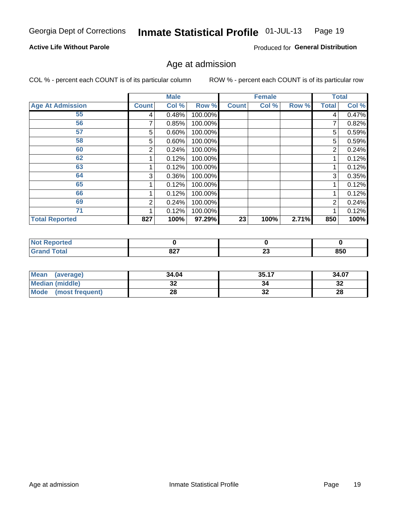#### Inmate Statistical Profile 01-JUL-13 Page 19

### **Active Life Without Parole**

Produced for General Distribution

### Age at admission

COL % - percent each COUNT is of its particular column

|                         |              | <b>Male</b> |         |              | <b>Female</b> |       |                | <b>Total</b> |
|-------------------------|--------------|-------------|---------|--------------|---------------|-------|----------------|--------------|
| <b>Age At Admission</b> | <b>Count</b> | Col %       | Row %   | <b>Count</b> | Col %         | Row % | <b>Total</b>   | Col %        |
| 55                      | 4            | 0.48%       | 100.00% |              |               |       | 4              | 0.47%        |
| 56                      |              | 0.85%       | 100.00% |              |               |       |                | 0.82%        |
| 57                      | 5            | 0.60%       | 100.00% |              |               |       | 5              | 0.59%        |
| 58                      | 5            | 0.60%       | 100.00% |              |               |       | 5              | 0.59%        |
| 60                      | 2            | 0.24%       | 100.00% |              |               |       | 2              | 0.24%        |
| 62                      |              | 0.12%       | 100.00% |              |               |       |                | 0.12%        |
| 63                      |              | 0.12%       | 100.00% |              |               |       |                | 0.12%        |
| 64                      | 3            | 0.36%       | 100.00% |              |               |       | 3              | 0.35%        |
| 65                      |              | 0.12%       | 100.00% |              |               |       |                | 0.12%        |
| 66                      |              | 0.12%       | 100.00% |              |               |       |                | 0.12%        |
| 69                      | 2            | 0.24%       | 100.00% |              |               |       | $\overline{2}$ | 0.24%        |
| 71                      |              | 0.12%       | 100.00% |              |               |       |                | 0.12%        |
| <b>Total Reported</b>   | 827          | 100%        | 97.29%  | 23           | 100%          | 2.71% | 850            | 100%         |

| <b>rted</b>          |      |                          |     |
|----------------------|------|--------------------------|-----|
| $\sim$ $\sim$ $\sim$ | 007  | $\overline{\phantom{a}}$ | 850 |
| _____                | 04 I | ∼∸                       |     |

| Mean<br>(average)              | 34.04 | 35.17    | 34.07    |
|--------------------------------|-------|----------|----------|
| <b>Median (middle)</b>         | JŁ    |          | າາ<br>ാച |
| <b>Mode</b><br>(most frequent) | იი    | ^^<br>JZ | 28       |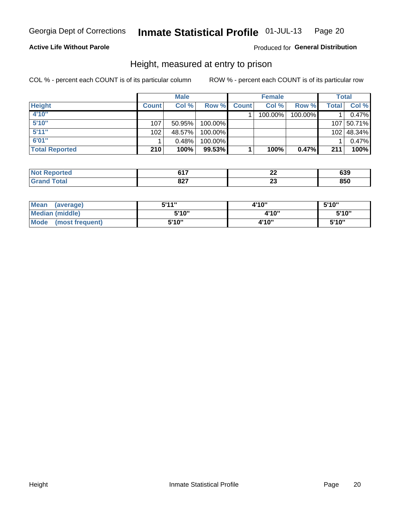#### Inmate Statistical Profile 01-JUL-13 Page 20

### **Active Life Without Parole**

### Produced for General Distribution

### Height, measured at entry to prison

COL % - percent each COUNT is of its particular column

|                       |              | <b>Male</b> |         |              | <b>Female</b> |         |       | Total      |
|-----------------------|--------------|-------------|---------|--------------|---------------|---------|-------|------------|
| <b>Height</b>         | <b>Count</b> | Col %       | Row %   | <b>Count</b> | Col %         | Row %   | Total | Col %      |
| 4'10"                 |              |             |         |              | 100.00%       | 100.00% |       | 0.47%      |
| 5'10''                | 107          | 50.95%      | 100.00% |              |               |         |       | 107 50.71% |
| 5'11''                | 102          | 48.57%      | 100.00% |              |               |         |       | 102 48.34% |
| 6'01''                |              | 0.48%       | 100.00% |              |               |         |       | 0.47%      |
| <b>Total Reported</b> | 210          | 100%        | 99.53%  |              | 100%          | 0.47%   | 211   | 100%       |

| <b>Not</b><br><b>orted</b><br>kenor | <b>CA7</b><br>$\sim$ $\sim$ | --  | 639 |
|-------------------------------------|-----------------------------|-----|-----|
| <b>Total</b>                        | 027                         | - - | 850 |
| ' Grano                             | 94 I                        | ⊷   |     |

| <b>Mean</b><br>(average)       | 544"  | 4'10" | 5'10" |
|--------------------------------|-------|-------|-------|
| Median (middle)                | 5'10" | 4'10" | 5'10" |
| <b>Mode</b><br>(most frequent) | 5'10" | 4'10" | 5'10" |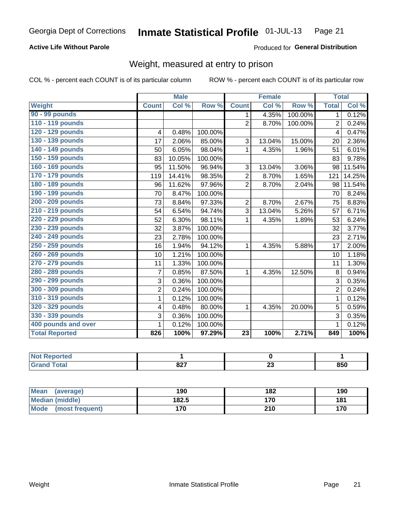#### Inmate Statistical Profile 01-JUL-13 Page 21

### **Active Life Without Parole**

Produced for General Distribution

### Weight, measured at entry to prison

COL % - percent each COUNT is of its particular column

|                       |                | <b>Male</b> |         |                 | <b>Female</b> |         | <b>Total</b>   |        |
|-----------------------|----------------|-------------|---------|-----------------|---------------|---------|----------------|--------|
| <b>Weight</b>         | <b>Count</b>   | Col %       | Row %   | <b>Count</b>    | Col%          | Row %   | <b>Total</b>   | Col %  |
| 90 - 99 pounds        |                |             |         | 1               | 4.35%         | 100.00% | $\mathbf{1}$   | 0.12%  |
| 110 - 119 pounds      |                |             |         | $\overline{2}$  | 8.70%         | 100.00% | $\overline{2}$ | 0.24%  |
| 120 - 129 pounds      | 4              | 0.48%       | 100.00% |                 |               |         | 4              | 0.47%  |
| 130 - 139 pounds      | 17             | 2.06%       | 85.00%  | 3               | 13.04%        | 15.00%  | 20             | 2.36%  |
| 140 - 149 pounds      | 50             | 6.05%       | 98.04%  | 1               | 4.35%         | 1.96%   | 51             | 6.01%  |
| 150 - 159 pounds      | 83             | 10.05%      | 100.00% |                 |               |         | 83             | 9.78%  |
| 160 - 169 pounds      | 95             | 11.50%      | 96.94%  | 3               | 13.04%        | 3.06%   | 98             | 11.54% |
| 170 - 179 pounds      | 119            | 14.41%      | 98.35%  | $\overline{2}$  | 8.70%         | 1.65%   | 121            | 14.25% |
| 180 - 189 pounds      | 96             | 11.62%      | 97.96%  | $\overline{2}$  | 8.70%         | 2.04%   | 98             | 11.54% |
| 190 - 199 pounds      | 70             | 8.47%       | 100.00% |                 |               |         | 70             | 8.24%  |
| 200 - 209 pounds      | 73             | 8.84%       | 97.33%  | $\overline{2}$  | 8.70%         | 2.67%   | 75             | 8.83%  |
| 210 - 219 pounds      | 54             | 6.54%       | 94.74%  | 3               | 13.04%        | 5.26%   | 57             | 6.71%  |
| 220 - 229 pounds      | 52             | 6.30%       | 98.11%  | 1               | 4.35%         | 1.89%   | 53             | 6.24%  |
| 230 - 239 pounds      | 32             | 3.87%       | 100.00% |                 |               |         | 32             | 3.77%  |
| 240 - 249 pounds      | 23             | 2.78%       | 100.00% |                 |               |         | 23             | 2.71%  |
| 250 - 259 pounds      | 16             | 1.94%       | 94.12%  | 1               | 4.35%         | 5.88%   | 17             | 2.00%  |
| 260 - 269 pounds      | 10             | 1.21%       | 100.00% |                 |               |         | 10             | 1.18%  |
| 270 - 279 pounds      | 11             | 1.33%       | 100.00% |                 |               |         | 11             | 1.30%  |
| 280 - 289 pounds      | $\overline{7}$ | 0.85%       | 87.50%  | 1               | 4.35%         | 12.50%  | 8              | 0.94%  |
| 290 - 299 pounds      | 3              | 0.36%       | 100.00% |                 |               |         | 3              | 0.35%  |
| 300 - 309 pounds      | $\overline{2}$ | 0.24%       | 100.00% |                 |               |         | $\overline{2}$ | 0.24%  |
| 310 - 319 pounds      | 1              | 0.12%       | 100.00% |                 |               |         | $\mathbf{1}$   | 0.12%  |
| 320 - 329 pounds      | 4              | 0.48%       | 80.00%  | 1               | 4.35%         | 20.00%  | 5              | 0.59%  |
| 330 - 339 pounds      | 3              | 0.36%       | 100.00% |                 |               |         | 3              | 0.35%  |
| 400 pounds and over   | 1              | 0.12%       | 100.00% |                 |               |         | $\mathbf 1$    | 0.12%  |
| <b>Total Reported</b> | 826            | 100%        | 97.29%  | $\overline{23}$ | 100%          | 2.71%   | 849            | 100%   |

| TEO                         |                      |    |     |
|-----------------------------|----------------------|----|-----|
| $\sim$ $\sim$ $\sim$ $\sim$ | 007<br>J 4<br>$\sim$ | -- | 850 |

| <b>Mean</b><br>(average) | 190   | 182 | 190 |
|--------------------------|-------|-----|-----|
| <b>Median (middle)</b>   | 182.5 | 170 | 181 |
| Mode<br>(most frequent)  | 170   | 210 | 170 |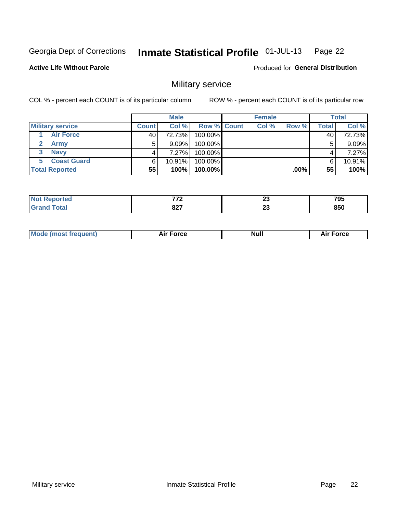#### Inmate Statistical Profile 01-JUL-13 Page 22

### **Active Life Without Parole**

**Produced for General Distribution** 

### Military service

COL % - percent each COUNT is of its particular column

|                         |              | <b>Male</b> |                    | <b>Female</b> |        |       | <b>Total</b> |
|-------------------------|--------------|-------------|--------------------|---------------|--------|-------|--------------|
| <b>Military service</b> | <b>Count</b> | Col%        | <b>Row % Count</b> | Col %         | Row %  | Total | Col %        |
| <b>Air Force</b>        | 40           | 72.73%      | 100.00%            |               |        | 40    | 72.73%       |
| <b>Army</b>             |              | $9.09\%$    | 100.00%            |               |        | 5     | 9.09%        |
| <b>Navy</b>             |              | 7.27%       | 100.00%            |               |        |       | 7.27%        |
| <b>Coast Guard</b>      | 6            | $10.91\%$   | 100.00%            |               |        | 6     | 10.91%       |
| <b>Total Reported</b>   | 55           | 100%        | 100.00%            |               | .00% l | 55    | 100%         |

| -770        | n.<br>∼∸ | 795 |
|-------------|----------|-----|
| ^^7<br>04 I | …<br>ZJ  | 850 |

| <b>Mode (most frequent)</b> | Force<br>Aır | Null | ∙orce |
|-----------------------------|--------------|------|-------|
|                             |              |      |       |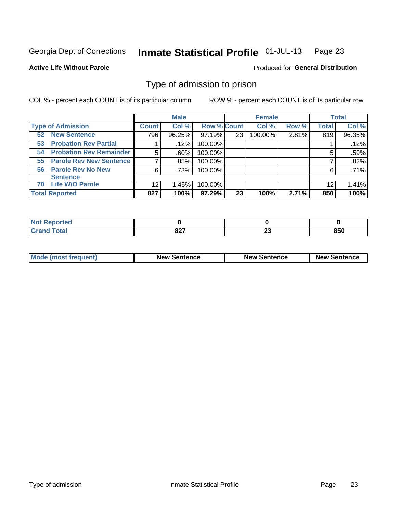#### Inmate Statistical Profile 01-JUL-13 Page 23

**Active Life Without Parole** 

**Produced for General Distribution** 

### Type of admission to prison

COL % - percent each COUNT is of its particular column

|                                      |              | <b>Male</b> |                    |    | <b>Female</b> |       |              | <b>Total</b> |
|--------------------------------------|--------------|-------------|--------------------|----|---------------|-------|--------------|--------------|
| <b>Type of Admission</b>             | <b>Count</b> | Col %       | <b>Row % Count</b> |    | Col %         | Row % | <b>Total</b> | Col %        |
| <b>New Sentence</b><br>52            | 796          | 96.25%      | 97.19%             | 23 | 100.00%       | 2.81% | 819          | 96.35%       |
| <b>Probation Rev Partial</b><br>53   |              | .12%        | 100.00%            |    |               |       |              | .12%         |
| <b>Probation Rev Remainder</b><br>54 | 5            | .60%        | 100.00%            |    |               |       | 5            | .59%         |
| <b>Parole Rev New Sentence</b><br>55 |              | .85%        | 100.00%            |    |               |       |              | .82%         |
| 56 Parole Rev No New                 | 6            | .73%        | 100.00%            |    |               |       | 6            | .71%         |
| <b>Sentence</b>                      |              |             |                    |    |               |       |              |              |
| <b>Life W/O Parole</b><br>70         | 12           | 1.45%       | 100.00%            |    |               |       | 12           | 1.41%        |
| <b>Total Reported</b>                | 827          | 100%        | 97.29%             | 23 | 100%          | 2.71% | 850          | 100%         |

| Reported<br><b>NOT</b><br>$\sim$ |                   |                     |     |
|----------------------------------|-------------------|---------------------|-----|
| <b>Total</b>                     | ^^7<br><u>uzi</u> | $\overline{ }$<br>~ | 850 |

| <b>Mode (most frequent)</b> | <b>New Sentence</b> | <b>New Sentence</b> | <b>New Sentence</b> |
|-----------------------------|---------------------|---------------------|---------------------|
|                             |                     |                     |                     |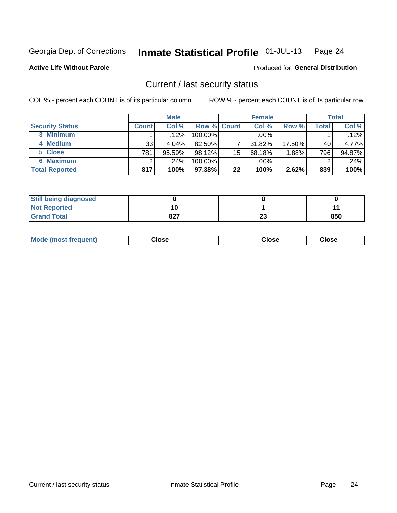#### Inmate Statistical Profile 01-JUL-13 Page 24

**Active Life Without Parole** 

### **Produced for General Distribution**

### Current / last security status

COL % - percent each COUNT is of its particular column

|                        |              | <b>Male</b> |                    |    | <b>Female</b> |           |       | <b>Total</b> |
|------------------------|--------------|-------------|--------------------|----|---------------|-----------|-------|--------------|
| <b>Security Status</b> | <b>Count</b> | Col %       | <b>Row % Count</b> |    | Col %         | Row %     | Total | Col %        |
| 3 Minimum              |              | $.12\%$     | $100.00\%$         |    | $.00\%$       |           |       | .12%         |
| 4 Medium               | 33           | $4.04\%$    | 82.50%             |    | 31.82%        | $17.50\%$ | 40    | 4.77%        |
| 5 Close                | 781          | $95.59\%$   | 98.12%             | 15 | 68.18%        | .88%      | 796   | 94.87%       |
| 6 Maximum              |              | .24%        | 100.00%            |    | .00%          |           | ◠     | .24%         |
| <b>Total Reported</b>  | 817          | 100%        | 97.38%             | 22 | 100%          | 2.62%     | 839   | 100%         |

| <b>Still being diagnosed</b> |     |          |     |
|------------------------------|-----|----------|-----|
| <b>Not Reported</b>          |     |          |     |
| <b>Grand Total</b>           | 827 | ^^<br>25 | 850 |

| Mode (most | Close   | Close   | Close   |
|------------|---------|---------|---------|
| frequent)  | - - - - | - - - - | - - - - |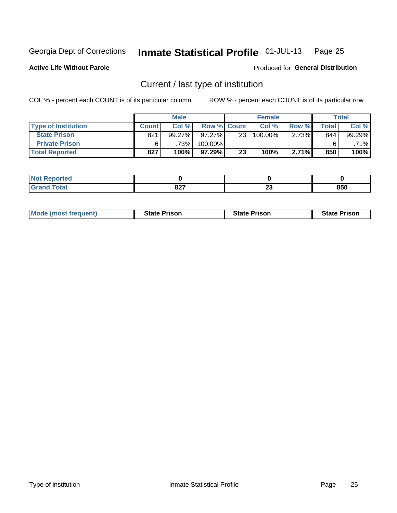#### Inmate Statistical Profile 01-JUL-13 Page 25

**Active Life Without Parole** 

Produced for General Distribution

### Current / last type of institution

COL % - percent each COUNT is of its particular column

|                            |              | <b>Male</b> |             |                 | <b>Female</b> |       |         | <b>Total</b> |
|----------------------------|--------------|-------------|-------------|-----------------|---------------|-------|---------|--------------|
| <b>Type of Institution</b> | <b>Count</b> | Col%        | Row % Count |                 | Col %         | Row % | Total i | Col %        |
| <b>State Prison</b>        | 821          | $99.27\%$   | $97.27\%$   | 231             | 100.00%       | 2.73% | 844     | 99.29%       |
| <b>Private Prison</b>      |              | 73%         | 100.00%     |                 |               |       |         | .71%         |
| <b>Total Reported</b>      | 827          | 100%        | 97.29%      | 23 <sub>1</sub> | 100%          | 2.71% | 850     | 100%         |

| rtea    |     |    |     |
|---------|-----|----|-----|
| $m = 1$ | 027 | n. | 0EM |
|         | 021 | ΔJ | ουι |

| <b>Mode (most frequent)</b> | <b>State Prison</b> | <b>State Prison</b> | <b>State Prison</b> |
|-----------------------------|---------------------|---------------------|---------------------|
|                             |                     |                     |                     |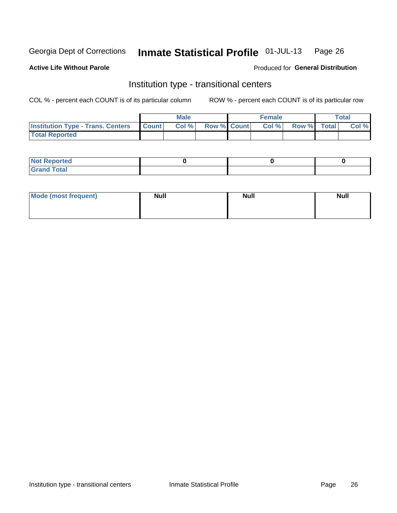#### Inmate Statistical Profile 01-JUL-13 Page 26

### **Active Life Without Parole**

### Produced for General Distribution

### Institution type - transitional centers

COL % - percent each COUNT is of its particular column

|                                                | Male  |                    | <b>Female</b> |                   | Total |
|------------------------------------------------|-------|--------------------|---------------|-------------------|-------|
| <b>Institution Type - Trans. Centers Count</b> | Col % | <b>Row % Count</b> |               | Col % Row % Total | Col % |
| <b>Total Reported</b>                          |       |                    |               |                   |       |

| <b>Reported</b><br><b>NOT</b><br>$\sim$            |  |  |
|----------------------------------------------------|--|--|
| $f$ $f \circ f \circ f$<br>$C = 1$<br><b>TULAI</b> |  |  |

| Mode (most frequent) | <b>Null</b> | <b>Null</b> | <b>Null</b> |
|----------------------|-------------|-------------|-------------|
|                      |             |             |             |
|                      |             |             |             |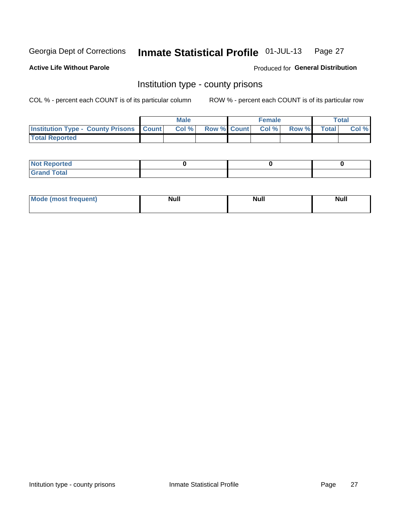#### Inmate Statistical Profile 01-JUL-13 Page 27

**Active Life Without Parole** 

**Produced for General Distribution** 

### Institution type - county prisons

COL % - percent each COUNT is of its particular column

|                                                  | <b>Male</b> |  | <b>Female</b>            |             | <b>Total</b> |
|--------------------------------------------------|-------------|--|--------------------------|-------------|--------------|
| <b>Institution Type - County Prisons   Count</b> | Col %       |  | <b>Row % Count Col %</b> | Row % Total | Col %        |
| <b>Total Reported</b>                            |             |  |                          |             |              |

| <b>Not Reported</b>         |  |  |
|-----------------------------|--|--|
| <b>Total</b><br>-<br>______ |  |  |

| <b>Mode</b>      | <b>Null</b> | <b>Null</b> | <b>Null</b> |
|------------------|-------------|-------------|-------------|
| (most freauent). |             |             |             |
|                  |             |             |             |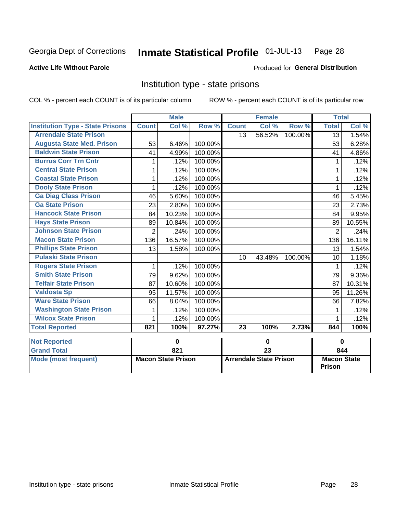#### Inmate Statistical Profile 01-JUL-13 Page 28

### **Active Life Without Parole**

### Produced for General Distribution

### Institution type - state prisons

COL % - percent each COUNT is of its particular column

|                                         |                | <b>Male</b>               |         |              | <b>Female</b>                 |         | <b>Total</b>                        |        |
|-----------------------------------------|----------------|---------------------------|---------|--------------|-------------------------------|---------|-------------------------------------|--------|
| <b>Institution Type - State Prisons</b> | <b>Count</b>   | Col %                     | Row %   | <b>Count</b> | Col %                         | Row %   | <b>Total</b>                        | Col %  |
| <b>Arrendale State Prison</b>           |                |                           |         | 13           | 56.52%                        | 100.00% | 13                                  | 1.54%  |
| <b>Augusta State Med. Prison</b>        | 53             | 6.46%                     | 100.00% |              |                               |         | 53                                  | 6.28%  |
| <b>Baldwin State Prison</b>             | 41             | 4.99%                     | 100.00% |              |                               |         | 41                                  | 4.86%  |
| <b>Burrus Corr Trn Cntr</b>             | 1              | .12%                      | 100.00% |              |                               |         |                                     | .12%   |
| <b>Central State Prison</b>             | 1              | .12%                      | 100.00% |              |                               |         | 1                                   | .12%   |
| <b>Coastal State Prison</b>             | 1              | .12%                      | 100.00% |              |                               |         | 1                                   | .12%   |
| <b>Dooly State Prison</b>               | 1              | .12%                      | 100.00% |              |                               |         | 1                                   | .12%   |
| <b>Ga Diag Class Prison</b>             | 46             | 5.60%                     | 100.00% |              |                               |         | 46                                  | 5.45%  |
| <b>Ga State Prison</b>                  | 23             | 2.80%                     | 100.00% |              |                               |         | 23                                  | 2.73%  |
| <b>Hancock State Prison</b>             | 84             | 10.23%                    | 100.00% |              |                               |         | 84                                  | 9.95%  |
| <b>Hays State Prison</b>                | 89             | 10.84%                    | 100.00% |              |                               |         | 89                                  | 10.55% |
| <b>Johnson State Prison</b>             | $\overline{2}$ | .24%                      | 100.00% |              |                               |         | $\overline{2}$                      | .24%   |
| <b>Macon State Prison</b>               | 136            | 16.57%                    | 100.00% |              |                               |         | 136                                 | 16.11% |
| <b>Phillips State Prison</b>            | 13             | 1.58%                     | 100.00% |              |                               |         | 13                                  | 1.54%  |
| <b>Pulaski State Prison</b>             |                |                           |         | 10           | 43.48%                        | 100.00% | 10                                  | 1.18%  |
| <b>Rogers State Prison</b>              | 1              | .12%                      | 100.00% |              |                               |         | 1                                   | .12%   |
| <b>Smith State Prison</b>               | 79             | 9.62%                     | 100.00% |              |                               |         | 79                                  | 9.36%  |
| <b>Telfair State Prison</b>             | 87             | 10.60%                    | 100.00% |              |                               |         | 87                                  | 10.31% |
| <b>Valdosta Sp</b>                      | 95             | 11.57%                    | 100.00% |              |                               |         | 95                                  | 11.26% |
| <b>Ware State Prison</b>                | 66             | 8.04%                     | 100.00% |              |                               |         | 66                                  | 7.82%  |
| <b>Washington State Prison</b>          | 1              | .12%                      | 100.00% |              |                               |         | 1                                   | .12%   |
| <b>Wilcox State Prison</b>              | 1              | .12%                      | 100.00% |              |                               |         | 1                                   | .12%   |
| <b>Total Reported</b>                   | 821            | 100%                      | 97.27%  | 23           | 100%                          | 2.73%   | 844                                 | 100%   |
| <b>Not Reported</b>                     |                | 0                         |         |              | $\mathbf 0$                   |         |                                     | 0      |
| <b>Grand Total</b>                      |                | 821                       |         |              | $\overline{23}$               |         |                                     | 844    |
| <b>Mode (most frequent)</b>             |                | <b>Macon State Prison</b> |         |              | <b>Arrendale State Prison</b> |         | <b>Macon State</b><br><b>Prison</b> |        |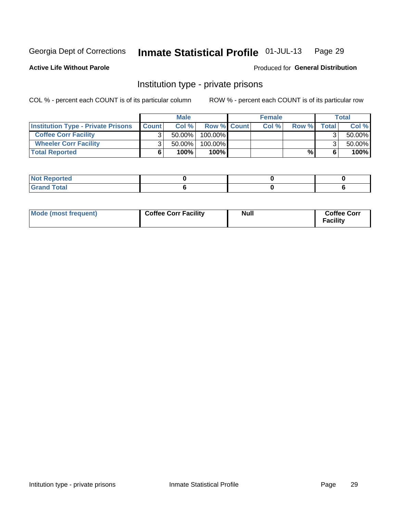#### Inmate Statistical Profile 01-JUL-13 Page 29

**Active Life Without Parole** 

Produced for General Distribution

### Institution type - private prisons

COL % - percent each COUNT is of its particular column

|                                           |              | <b>Male</b> |                    | <b>Female</b> |       |              | <b>Total</b> |
|-------------------------------------------|--------------|-------------|--------------------|---------------|-------|--------------|--------------|
| <b>Institution Type - Private Prisons</b> | <b>Count</b> | Col%        | <b>Row % Count</b> | Col%          | Row % | <b>Total</b> | Col %        |
| <b>Coffee Corr Facility</b>               |              | $50.00\%$   | $100.00\%$         |               |       |              | 50.00%       |
| <b>Wheeler Corr Facility</b>              |              | $50.00\%$   | 100.00%            |               |       |              | 50.00%       |
| <b>Total Reported</b>                     |              | 100%        | 100%               |               | %     |              | 100%         |

| тео                       |  |  |
|---------------------------|--|--|
| $\sim$<br>$- \cdot$<br>-- |  |  |

| Mode (most frequent) | <b>Coffee Corr Facility</b> | <b>Null</b> | <b>Coffee Corr</b><br><b>Facility</b> |
|----------------------|-----------------------------|-------------|---------------------------------------|
|----------------------|-----------------------------|-------------|---------------------------------------|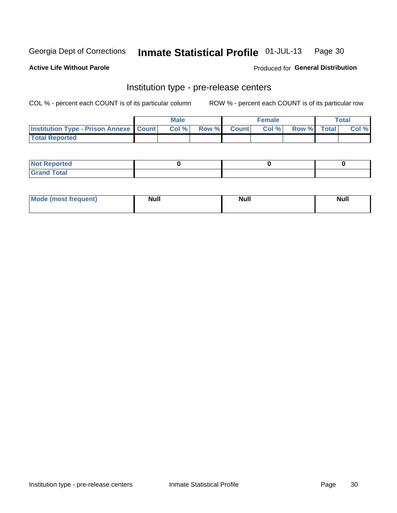#### Inmate Statistical Profile 01-JUL-13 Page 30

**Active Life Without Parole** 

Produced for General Distribution

## Institution type - pre-release centers

COL % - percent each COUNT is of its particular column

|                                                   | <b>Male</b> |              |       | <b>Female</b> |                    | <b>Total</b> |
|---------------------------------------------------|-------------|--------------|-------|---------------|--------------------|--------------|
| <b>Institution Type - Prison Annexe   Count  </b> | Col %       | <b>Row %</b> | Count | Col %         | <b>Row %</b> Total | Col %        |
| <b>Total Reported</b>                             |             |              |       |               |                    |              |

| <b>Reported</b><br>I NOT |  |  |
|--------------------------|--|--|
| <b>Total</b><br>$C$ ren  |  |  |

| $^{\circ}$ Mo<br>frequent)<br>⊥(most | <b>Null</b> | Noll<br><b>vull</b> | <b>Null</b> |
|--------------------------------------|-------------|---------------------|-------------|
|                                      |             |                     |             |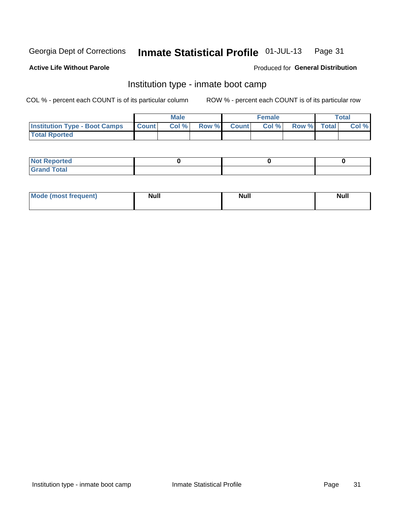#### Inmate Statistical Profile 01-JUL-13 Page 31

### **Active Life Without Parole**

### Produced for General Distribution

### Institution type - inmate boot camp

COL % - percent each COUNT is of its particular column

|                                      |                  | <b>Male</b> |              |              | <b>Female</b> |             | <b>Total</b> |
|--------------------------------------|------------------|-------------|--------------|--------------|---------------|-------------|--------------|
| <b>Institution Type - Boot Camps</b> | <b>I</b> Count I | Col %       | <b>Row %</b> | <b>Count</b> | Col %         | Row % Total | Col %        |
| <b>Total Rported</b>                 |                  |             |              |              |               |             |              |

| <b>Not Reported</b>            |  |  |
|--------------------------------|--|--|
| <b>Total</b><br>C <sub>r</sub> |  |  |

| <b>I Mode (most frequent)</b> | <b>Null</b> | <b>Null</b> | <b>Null</b> |
|-------------------------------|-------------|-------------|-------------|
|                               |             |             |             |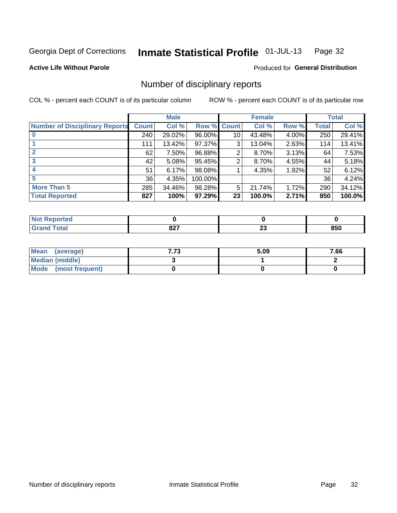#### Inmate Statistical Profile 01-JUL-13 Page 32

**Active Life Without Parole** 

### Produced for General Distribution

### Number of disciplinary reports

COL % - percent each COUNT is of its particular column

|                                       |              | <b>Male</b> |         |              | <b>Female</b> |       |              | <b>Total</b> |
|---------------------------------------|--------------|-------------|---------|--------------|---------------|-------|--------------|--------------|
| <b>Number of Disciplinary Reports</b> | <b>Count</b> | Col %       | Row %   | <b>Count</b> | Col %         | Row % | <b>Total</b> | Col %        |
|                                       | 240          | 29.02%      | 96.00%  | 10           | 43.48%        | 4.00% | 250          | 29.41%       |
|                                       | 111          | 13.42%      | 97.37%  | 3            | 13.04%        | 2.63% | 114          | 13.41%       |
|                                       | 62           | 7.50%       | 96.88%  | 2            | 8.70%         | 3.13% | 64           | 7.53%        |
| 3                                     | 42           | 5.08%       | 95.45%  | 2            | 8.70%         | 4.55% | 44           | 5.18%        |
|                                       | 51           | 6.17%       | 98.08%  |              | 4.35%         | 1.92% | 52           | 6.12%        |
| 5                                     | 36           | 4.35%       | 100.00% |              |               |       | 36           | 4.24%        |
| <b>More Than 5</b>                    | 285          | 34.46%      | 98.28%  | 5            | 21.74%        | 1.72% | 290          | 34.12%       |
| <b>Total Reported</b>                 | 827          | 100%        | 97.29%  | 23           | 100.0%        | 2.71% | 850          | 100.0%       |

| NO<br>τеσ    |      |        |            |
|--------------|------|--------|------------|
| <b>Total</b> | 027  | $\sim$ | nen        |
|              | 04 I | Δv     | <b>OOU</b> |

| Mean (average)       | 7.73 | 5.09 | 7.66 |
|----------------------|------|------|------|
| Median (middle)      |      |      |      |
| Mode (most frequent) |      |      |      |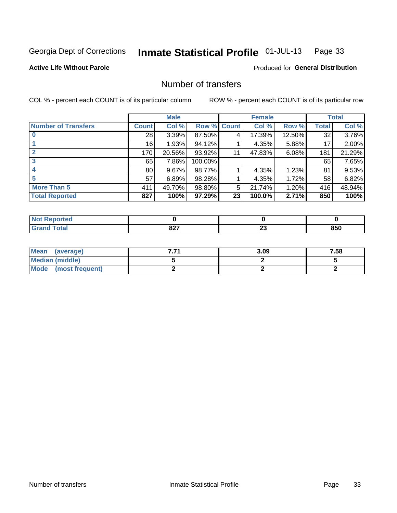#### Inmate Statistical Profile 01-JUL-13 Page 33

**Active Life Without Parole** 

**Produced for General Distribution** 

### Number of transfers

COL % - percent each COUNT is of its particular column

|                            |                 | <b>Male</b> |         |              | <b>Female</b> |        |              | <b>Total</b> |
|----------------------------|-----------------|-------------|---------|--------------|---------------|--------|--------------|--------------|
| <b>Number of Transfers</b> | Count l         | Col %       | Row %   | <b>Count</b> | Col %         | Row %  | <b>Total</b> | Col %        |
|                            | 28              | 3.39%       | 87.50%  | 4            | 17.39%        | 12.50% | 32           | 3.76%        |
|                            | 16              | 1.93%       | 94.12%  |              | 4.35%         | 5.88%  | 17           | 2.00%        |
|                            | 170             | 20.56%      | 93.92%  | 11           | 47.83%        | 6.08%  | 181          | 21.29%       |
| 3                          | 65              | 7.86%       | 100.00% |              |               |        | 65           | 7.65%        |
|                            | 80 <sub>1</sub> | 9.67%       | 98.77%  |              | 4.35%         | 1.23%  | 81           | 9.53%        |
| 5                          | 57              | 6.89%       | 98.28%  |              | 4.35%         | 1.72%  | 58           | 6.82%        |
| <b>More Than 5</b>         | 411             | 49.70%      | 98.80%  | 5            | 21.74%        | 1.20%  | 416          | 48.94%       |
| <b>Total Reported</b>      | 827             | 100%        | 97.29%  | 23           | 100.0%        | 2.71%  | 850          | 100%         |

| <b>prted</b><br>NO |            |    |     |
|--------------------|------------|----|-----|
| 'otal              | ດດາ        | ^^ | יים |
|                    | <u>541</u> | -- | ช5บ |

| Mean (average)       | 3.09 | 7.58 |
|----------------------|------|------|
| Median (middle)      |      |      |
| Mode (most frequent) |      |      |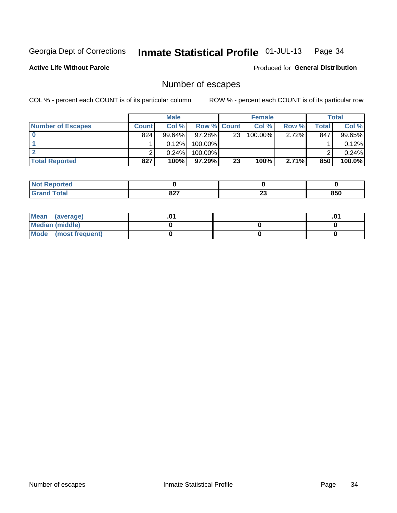#### Inmate Statistical Profile 01-JUL-13 Page 34

**Active Life Without Parole** 

**Produced for General Distribution** 

### Number of escapes

COL % - percent each COUNT is of its particular column

|                          |              | <b>Male</b> |                    |                 | <b>Female</b> |          |       | <b>Total</b> |
|--------------------------|--------------|-------------|--------------------|-----------------|---------------|----------|-------|--------------|
| <b>Number of Escapes</b> | <b>Count</b> | Col%        | <b>Row % Count</b> |                 | Col %         | Row %    | Total | Col %        |
|                          | 824          | $99.64\%$   | $97.28\%$          | 23              | 100.00%       | $2.72\%$ | 847   | 99.65%       |
|                          |              | 0.12%       | 100.00%            |                 |               |          |       | 0.12%        |
|                          |              | 0.24%       | 100.00%            |                 |               |          |       | 0.24%        |
| <b>Total Reported</b>    | 827          | 100%        | 97.29% I           | 23 <sub>1</sub> | 100%          | 2.71%    | 850   | 100.0%       |

| <b>Not Reported</b> |      |    |     |
|---------------------|------|----|-----|
| Total               | 027  | ~  | 850 |
| Gra                 | 04 I | 2J |     |

| Mean (average)       |  | .01 |
|----------------------|--|-----|
| Median (middle)      |  |     |
| Mode (most frequent) |  |     |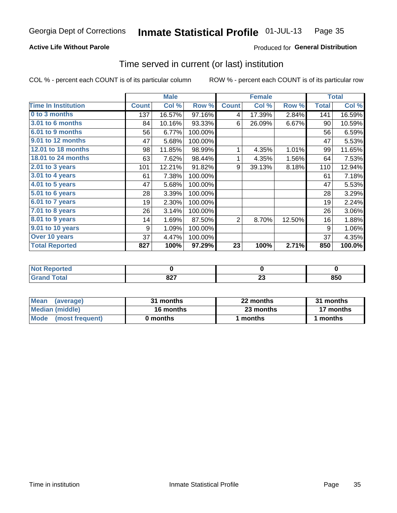#### Inmate Statistical Profile 01-JUL-13 Page 35

### **Active Life Without Parole**

### Produced for General Distribution

### Time served in current (or last) institution

COL % - percent each COUNT is of its particular column

|                            |              | <b>Male</b> |         |                | <b>Female</b> |        |              | <b>Total</b> |
|----------------------------|--------------|-------------|---------|----------------|---------------|--------|--------------|--------------|
| <b>Time In Institution</b> | <b>Count</b> | Col %       | Row %   | <b>Count</b>   | Col %         | Row %  | <b>Total</b> | Col %        |
| 0 to 3 months              | 137          | 16.57%      | 97.16%  | 4              | 17.39%        | 2.84%  | 141          | 16.59%       |
| <b>3.01 to 6 months</b>    | 84           | 10.16%      | 93.33%  | 6              | 26.09%        | 6.67%  | 90           | 10.59%       |
| 6.01 to 9 months           | 56           | 6.77%       | 100.00% |                |               |        | 56           | 6.59%        |
| 9.01 to 12 months          | 47           | 5.68%       | 100.00% |                |               |        | 47           | 5.53%        |
| 12.01 to 18 months         | 98           | 11.85%      | 98.99%  | 1              | 4.35%         | 1.01%  | 99           | 11.65%       |
| <b>18.01 to 24 months</b>  | 63           | 7.62%       | 98.44%  |                | 4.35%         | 1.56%  | 64           | 7.53%        |
| 2.01 to 3 years            | 101          | 12.21%      | 91.82%  | 9              | 39.13%        | 8.18%  | 110          | 12.94%       |
| 3.01 to 4 years            | 61           | 7.38%       | 100.00% |                |               |        | 61           | 7.18%        |
| $4.01$ to 5 years          | 47           | 5.68%       | 100.00% |                |               |        | 47           | 5.53%        |
| 5.01 to 6 years            | 28           | 3.39%       | 100.00% |                |               |        | 28           | 3.29%        |
| 6.01 to 7 years            | 19           | 2.30%       | 100.00% |                |               |        | 19           | 2.24%        |
| $7.01$ to 8 years          | 26           | 3.14%       | 100.00% |                |               |        | 26           | 3.06%        |
| 8.01 to 9 years            | 14           | 1.69%       | 87.50%  | $\overline{2}$ | 8.70%         | 12.50% | 16           | 1.88%        |
| 9.01 to 10 years           | 9            | 1.09%       | 100.00% |                |               |        | 9            | 1.06%        |
| Over 10 years              | 37           | 4.47%       | 100.00% |                |               |        | 37           | 4.35%        |
| <b>Total Reported</b>      | 827          | 100%        | 97.29%  | 23             | 100%          | 2.71%  | 850          | 100.0%       |

| <b>orted</b><br>NOT. |             |                          |            |
|----------------------|-------------|--------------------------|------------|
| $T_{\alpha}$ ial     | 027<br>04 I | ~~<br><u>_</u><br>$\sim$ | OEN<br>ουυ |

| <b>Mean</b><br>(average) | 31 months | 22 months | 31 months |
|--------------------------|-----------|-----------|-----------|
| Median (middle)          | 16 months | 23 months | 17 months |
| Mode (most frequent)     | 0 months  | 1 months  | 1 months  |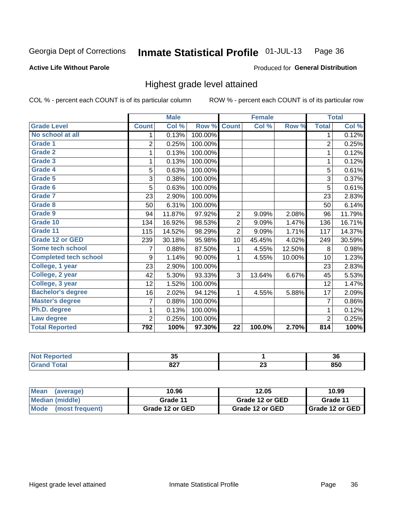### **Active Life Without Parole**

### Produced for General Distribution

### Highest grade level attained

COL % - percent each COUNT is of its particular column

|                              |                | <b>Male</b> |         |                 | <b>Female</b> |        |                | <b>Total</b> |
|------------------------------|----------------|-------------|---------|-----------------|---------------|--------|----------------|--------------|
| <b>Grade Level</b>           | <b>Count</b>   | Col %       | Row %   | <b>Count</b>    | Col %         | Row %  | <b>Total</b>   | Col %        |
| No school at all             | 1              | 0.13%       | 100.00% |                 |               |        | 1              | 0.12%        |
| <b>Grade 1</b>               | $\overline{2}$ | 0.25%       | 100.00% |                 |               |        | $\overline{2}$ | 0.25%        |
| <b>Grade 2</b>               | 1              | 0.13%       | 100.00% |                 |               |        | 1              | 0.12%        |
| <b>Grade 3</b>               | 1              | 0.13%       | 100.00% |                 |               |        | 1              | 0.12%        |
| <b>Grade 4</b>               | 5              | 0.63%       | 100.00% |                 |               |        | 5              | 0.61%        |
| Grade 5                      | 3              | 0.38%       | 100.00% |                 |               |        | 3              | 0.37%        |
| Grade 6                      | 5              | 0.63%       | 100.00% |                 |               |        | 5              | 0.61%        |
| Grade 7                      | 23             | 2.90%       | 100.00% |                 |               |        | 23             | 2.83%        |
| Grade 8                      | 50             | 6.31%       | 100.00% |                 |               |        | 50             | 6.14%        |
| Grade 9                      | 94             | 11.87%      | 97.92%  | $\overline{2}$  | 9.09%         | 2.08%  | 96             | 11.79%       |
| Grade 10                     | 134            | 16.92%      | 98.53%  | $\overline{2}$  | 9.09%         | 1.47%  | 136            | 16.71%       |
| Grade 11                     | 115            | 14.52%      | 98.29%  | $\overline{2}$  | 9.09%         | 1.71%  | 117            | 14.37%       |
| <b>Grade 12 or GED</b>       | 239            | 30.18%      | 95.98%  | 10              | 45.45%        | 4.02%  | 249            | 30.59%       |
| Some tech school             | 7              | 0.88%       | 87.50%  | 1               | 4.55%         | 12.50% | 8              | 0.98%        |
| <b>Completed tech school</b> | 9              | 1.14%       | 90.00%  | 1               | 4.55%         | 10.00% | 10             | 1.23%        |
| College, 1 year              | 23             | 2.90%       | 100.00% |                 |               |        | 23             | 2.83%        |
| College, 2 year              | 42             | 5.30%       | 93.33%  | 3               | 13.64%        | 6.67%  | 45             | 5.53%        |
| College, 3 year              | 12             | 1.52%       | 100.00% |                 |               |        | 12             | 1.47%        |
| <b>Bachelor's degree</b>     | 16             | 2.02%       | 94.12%  | 1               | 4.55%         | 5.88%  | 17             | 2.09%        |
| <b>Master's degree</b>       | 7              | 0.88%       | 100.00% |                 |               |        | $\overline{7}$ | 0.86%        |
| Ph.D. degree                 | 1              | 0.13%       | 100.00% |                 |               |        | 1              | 0.12%        |
| Law degree                   | 2              | 0.25%       | 100.00% |                 |               |        | $\overline{2}$ | 0.25%        |
| <b>Total Reported</b>        | 792            | 100%        | 97.30%  | $\overline{22}$ | 100.0%        | 2.70%  | 814            | 100%         |

| Reported     | ÷    |    | ^^  |
|--------------|------|----|-----|
| <b>NOT</b>   | uu   |    | ათ  |
| <b>Total</b> | ດດາ  | ~~ | nen |
|              | 04 I | ∼∽ | ουυ |

| <b>Mean</b><br>(average) | 10.96           | 12.05           | 10.99             |
|--------------------------|-----------------|-----------------|-------------------|
| Median (middle)          | Grade 11        | Grade 12 or GED | Grade 11          |
| Mode (most frequent)     | Grade 12 or GED | Grade 12 or GED | I Grade 12 or GED |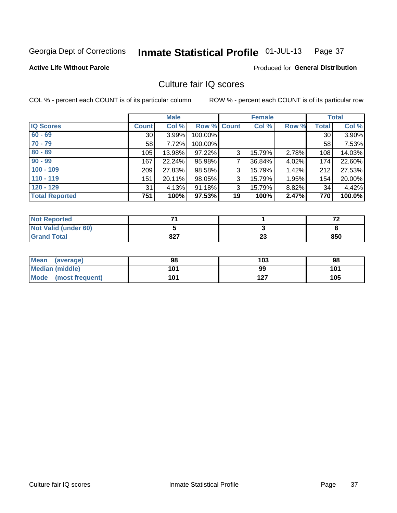#### Inmate Statistical Profile 01-JUL-13 Page 37

**Active Life Without Parole** 

Produced for General Distribution

## Culture fair IQ scores

COL % - percent each COUNT is of its particular column

|                       |              | <b>Male</b> |                    |    | <b>Female</b> |       |              | <b>Total</b> |
|-----------------------|--------------|-------------|--------------------|----|---------------|-------|--------------|--------------|
| <b>IQ Scores</b>      | <b>Count</b> | Col %       | <b>Row % Count</b> |    | Col %         | Row % | <b>Total</b> | Col %        |
| $60 - 69$             | 30           | 3.99%       | 100.00%            |    |               |       | 30           | 3.90%        |
| $70 - 79$             | 58           | 7.72%       | 100.00%            |    |               |       | 58           | 7.53%        |
| $80 - 89$             | 105          | 13.98%      | 97.22%             | 3  | 15.79%        | 2.78% | 108          | 14.03%       |
| $90 - 99$             | 167          | 22.24%      | 95.98%             | 7  | 36.84%        | 4.02% | 174          | 22.60%       |
| $100 - 109$           | 209          | 27.83%      | 98.58%             | 3  | 15.79%        | 1.42% | 212          | 27.53%       |
| $110 - 119$           | 151          | 20.11%      | 98.05%             | 3  | 15.79%        | 1.95% | 154          | 20.00%       |
| $120 - 129$           | 31           | 4.13%       | 91.18%             | 3  | 15.79%        | 8.82% | 34           | 4.42%        |
| <b>Total Reported</b> | 751          | 100%        | 97.53%             | 19 | 100%          | 2.47% | 770          | 100.0%       |

| <b>Not Reported</b>         |     |          | - - |
|-----------------------------|-----|----------|-----|
| <b>Not Valid (under 60)</b> |     |          |     |
| <b>Grand Total</b>          | 827 | ^^<br>∠J | 850 |

| Mean (average)       | 98  | 103 | 98  |
|----------------------|-----|-----|-----|
| Median (middle)      | 101 | 99  | 101 |
| Mode (most frequent) | 101 | 127 | 105 |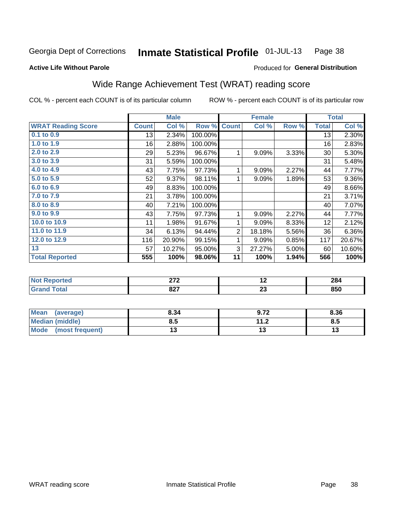#### Inmate Statistical Profile 01-JUL-13 Page 38

### **Active Life Without Parole**

## Produced for General Distribution

## Wide Range Achievement Test (WRAT) reading score

COL % - percent each COUNT is of its particular column

ROW % - percent each COUNT is of its particular row

|                           |              | <b>Male</b> |         |                | <b>Female</b> |       |              | <b>Total</b> |
|---------------------------|--------------|-------------|---------|----------------|---------------|-------|--------------|--------------|
| <b>WRAT Reading Score</b> | <b>Count</b> | Col %       | Row %   | <b>Count</b>   | Col %         | Row % | <b>Total</b> | Col %        |
| $0.1$ to $0.9$            | 13           | 2.34%       | 100.00% |                |               |       | 13           | 2.30%        |
| 1.0 to 1.9                | 16           | 2.88%       | 100.00% |                |               |       | 16           | 2.83%        |
| 2.0 to 2.9                | 29           | 5.23%       | 96.67%  | 1              | 9.09%         | 3.33% | 30           | 5.30%        |
| 3.0 to 3.9                | 31           | 5.59%       | 100.00% |                |               |       | 31           | 5.48%        |
| 4.0 to 4.9                | 43           | 7.75%       | 97.73%  | 1              | 9.09%         | 2.27% | 44           | 7.77%        |
| 5.0 to 5.9                | 52           | 9.37%       | 98.11%  | 1              | 9.09%         | 1.89% | 53           | 9.36%        |
| 6.0 to 6.9                | 49           | 8.83%       | 100.00% |                |               |       | 49           | 8.66%        |
| 7.0 to 7.9                | 21           | 3.78%       | 100.00% |                |               |       | 21           | 3.71%        |
| 8.0 to 8.9                | 40           | 7.21%       | 100.00% |                |               |       | 40           | 7.07%        |
| 9.0 to 9.9                | 43           | 7.75%       | 97.73%  | 1              | 9.09%         | 2.27% | 44           | 7.77%        |
| 10.0 to 10.9              | 11           | 1.98%       | 91.67%  | 1              | 9.09%         | 8.33% | 12           | 2.12%        |
| 11.0 to 11.9              | 34           | 6.13%       | 94.44%  | $\overline{2}$ | 18.18%        | 5.56% | 36           | 6.36%        |
| 12.0 to 12.9              | 116          | 20.90%      | 99.15%  | 1              | 9.09%         | 0.85% | 117          | 20.67%       |
| 13                        | 57           | 10.27%      | 95.00%  | 3              | 27.27%        | 5.00% | 60           | 10.60%       |
| <b>Total Reported</b>     | 555          | 100%        | 98.06%  | 11             | 100%          | 1.94% | 566          | 100%         |
|                           |              |             |         |                |               |       |              |              |
| <b>Not Reported</b>       |              | 272         |         |                | 12            |       |              | 284          |
| <b>Grand Total</b>        |              | 827         |         |                | 23            |       |              | 850          |

|                 |      |                      | ----- |
|-----------------|------|----------------------|-------|
|                 |      |                      |       |
| Mean (average)  | 8.34 | 9.72                 | 8.36  |
| Median (middle) | 0.J  | 11 つ<br>$\mathbf{L}$ | 0.J   |

 $\overline{13}$ 

 $\overline{13}$ 

(most frequent)

**Mode** 

 $\overline{13}$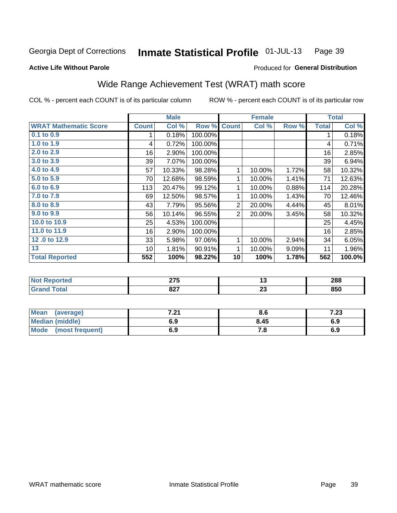#### Inmate Statistical Profile 01-JUL-13 Page 39

## **Active Life Without Parole**

## Produced for General Distribution

## Wide Range Achievement Test (WRAT) math score

COL % - percent each COUNT is of its particular column

| <b>WRAT Mathematic Score</b><br>Col %<br><b>Count</b><br>Col %<br>Row %<br><b>Total</b><br><b>Count</b><br>Row %<br>0.1 to 0.9<br>0.18%<br>100.00%<br>1<br>1<br>1.0 to 1.9<br>0.72%<br>100.00%<br>4<br>4<br>2.0 to 2.9<br>16<br>2.90%<br>100.00%<br>16<br>3.0 to 3.9<br>7.07%<br>39<br>100.00%<br>39<br>4.0 to 4.9<br>1.72%<br>57<br>10.33%<br>98.28%<br>1<br>10.00%<br>58<br>$5.0$ to $5.9$<br>12.68%<br>98.59%<br>1.41%<br>70<br>1<br>10.00%<br>71<br>6.0 to 6.9<br>113<br>20.47%<br>99.12%<br>10.00%<br>0.88%<br>114<br>1<br>7.0 to 7.9<br>1.43%<br>12.50%<br>98.57%<br>1<br>10.00%<br>69<br>70<br>8.0 to 8.9<br>95.56%<br>7.79%<br>$\overline{2}$<br>20.00%<br>4.44%<br>45<br>43<br>9.0 to 9.9<br>10.14%<br>96.55%<br>$\overline{2}$<br>3.45%<br>56<br>20.00%<br>58<br>10.0 to 10.9<br>4.53%<br>25<br>100.00%<br>25<br>11.0 to 11.9<br>16<br>2.90%<br>100.00%<br>16<br>12.0 to 12.9<br>33<br>5.98%<br>97.06%<br>10.00%<br>2.94%<br>34<br>1<br>13<br>90.91%<br>10<br>1.81%<br>1<br>10.00%<br>9.09%<br>11<br><b>Total Reported</b><br>562<br>552<br>98.22%<br>10<br>100%<br>1.78%<br>100%<br>288 |                     | <b>Male</b> |  | <b>Female</b> |  | <b>Total</b> |
|----------------------------------------------------------------------------------------------------------------------------------------------------------------------------------------------------------------------------------------------------------------------------------------------------------------------------------------------------------------------------------------------------------------------------------------------------------------------------------------------------------------------------------------------------------------------------------------------------------------------------------------------------------------------------------------------------------------------------------------------------------------------------------------------------------------------------------------------------------------------------------------------------------------------------------------------------------------------------------------------------------------------------------------------------------------------------------------------------|---------------------|-------------|--|---------------|--|--------------|
|                                                                                                                                                                                                                                                                                                                                                                                                                                                                                                                                                                                                                                                                                                                                                                                                                                                                                                                                                                                                                                                                                                    |                     |             |  |               |  | Col %        |
|                                                                                                                                                                                                                                                                                                                                                                                                                                                                                                                                                                                                                                                                                                                                                                                                                                                                                                                                                                                                                                                                                                    |                     |             |  |               |  | 0.18%        |
|                                                                                                                                                                                                                                                                                                                                                                                                                                                                                                                                                                                                                                                                                                                                                                                                                                                                                                                                                                                                                                                                                                    |                     |             |  |               |  | 0.71%        |
|                                                                                                                                                                                                                                                                                                                                                                                                                                                                                                                                                                                                                                                                                                                                                                                                                                                                                                                                                                                                                                                                                                    |                     |             |  |               |  | 2.85%        |
|                                                                                                                                                                                                                                                                                                                                                                                                                                                                                                                                                                                                                                                                                                                                                                                                                                                                                                                                                                                                                                                                                                    |                     |             |  |               |  | 6.94%        |
|                                                                                                                                                                                                                                                                                                                                                                                                                                                                                                                                                                                                                                                                                                                                                                                                                                                                                                                                                                                                                                                                                                    |                     |             |  |               |  | 10.32%       |
|                                                                                                                                                                                                                                                                                                                                                                                                                                                                                                                                                                                                                                                                                                                                                                                                                                                                                                                                                                                                                                                                                                    |                     |             |  |               |  | 12.63%       |
|                                                                                                                                                                                                                                                                                                                                                                                                                                                                                                                                                                                                                                                                                                                                                                                                                                                                                                                                                                                                                                                                                                    |                     |             |  |               |  | 20.28%       |
|                                                                                                                                                                                                                                                                                                                                                                                                                                                                                                                                                                                                                                                                                                                                                                                                                                                                                                                                                                                                                                                                                                    |                     |             |  |               |  | 12.46%       |
|                                                                                                                                                                                                                                                                                                                                                                                                                                                                                                                                                                                                                                                                                                                                                                                                                                                                                                                                                                                                                                                                                                    |                     |             |  |               |  | 8.01%        |
|                                                                                                                                                                                                                                                                                                                                                                                                                                                                                                                                                                                                                                                                                                                                                                                                                                                                                                                                                                                                                                                                                                    |                     |             |  |               |  | 10.32%       |
|                                                                                                                                                                                                                                                                                                                                                                                                                                                                                                                                                                                                                                                                                                                                                                                                                                                                                                                                                                                                                                                                                                    |                     |             |  |               |  | 4.45%        |
|                                                                                                                                                                                                                                                                                                                                                                                                                                                                                                                                                                                                                                                                                                                                                                                                                                                                                                                                                                                                                                                                                                    |                     |             |  |               |  | 2.85%        |
|                                                                                                                                                                                                                                                                                                                                                                                                                                                                                                                                                                                                                                                                                                                                                                                                                                                                                                                                                                                                                                                                                                    |                     |             |  |               |  | 6.05%        |
|                                                                                                                                                                                                                                                                                                                                                                                                                                                                                                                                                                                                                                                                                                                                                                                                                                                                                                                                                                                                                                                                                                    |                     |             |  |               |  | 1.96%        |
|                                                                                                                                                                                                                                                                                                                                                                                                                                                                                                                                                                                                                                                                                                                                                                                                                                                                                                                                                                                                                                                                                                    |                     |             |  |               |  | 100.0%       |
|                                                                                                                                                                                                                                                                                                                                                                                                                                                                                                                                                                                                                                                                                                                                                                                                                                                                                                                                                                                                                                                                                                    |                     |             |  |               |  |              |
|                                                                                                                                                                                                                                                                                                                                                                                                                                                                                                                                                                                                                                                                                                                                                                                                                                                                                                                                                                                                                                                                                                    | <b>Not Reported</b> | 275         |  | 13            |  |              |
| <b>Grand Total</b><br>827<br>23<br>850                                                                                                                                                                                                                                                                                                                                                                                                                                                                                                                                                                                                                                                                                                                                                                                                                                                                                                                                                                                                                                                             |                     |             |  |               |  |              |

| Mean<br>(average)              | 7.04<br>$\sim$ | o.o  | י הי<br>د |
|--------------------------------|----------------|------|-----------|
| <b>Median (middle)</b>         | 6.9            | 8.45 | 6.9       |
| <b>Mode</b><br>(most frequent) | 6.9            | 7.O  | 6.9       |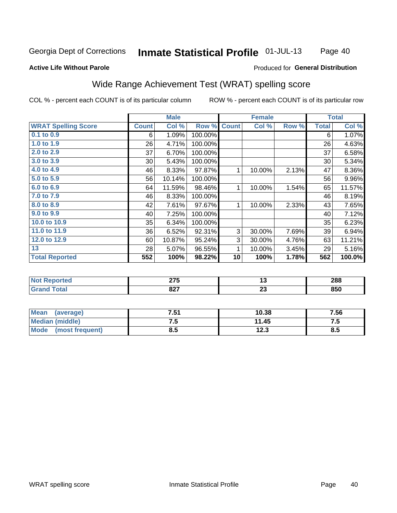### Inmate Statistical Profile 01-JUL-13 Page 40

### **Active Life Without Parole**

### Produced for General Distribution

## Wide Range Achievement Test (WRAT) spelling score

COL % - percent each COUNT is of its particular column

|                            |              | <b>Male</b> |         |              | <b>Female</b> |       |              | <b>Total</b> |
|----------------------------|--------------|-------------|---------|--------------|---------------|-------|--------------|--------------|
| <b>WRAT Spelling Score</b> | <b>Count</b> | Col %       | Row %   | <b>Count</b> | Col %         | Row % | <b>Total</b> | Col %        |
| $0.1$ to $0.9$             | 6            | 1.09%       | 100.00% |              |               |       | 6            | 1.07%        |
| 1.0 to $1.9$               | 26           | 4.71%       | 100.00% |              |               |       | 26           | 4.63%        |
| 2.0 to 2.9                 | 37           | 6.70%       | 100.00% |              |               |       | 37           | 6.58%        |
| 3.0 to 3.9                 | 30           | 5.43%       | 100.00% |              |               |       | 30           | 5.34%        |
| 4.0 to 4.9                 | 46           | 8.33%       | 97.87%  | 1            | 10.00%        | 2.13% | 47           | 8.36%        |
| 5.0 to 5.9                 | 56           | 10.14%      | 100.00% |              |               |       | 56           | 9.96%        |
| 6.0 to 6.9                 | 64           | 11.59%      | 98.46%  | 1            | 10.00%        | 1.54% | 65           | 11.57%       |
| 7.0 to 7.9                 | 46           | 8.33%       | 100.00% |              |               |       | 46           | 8.19%        |
| 8.0 to 8.9                 | 42           | 7.61%       | 97.67%  | 1            | 10.00%        | 2.33% | 43           | 7.65%        |
| 9.0 to 9.9                 | 40           | 7.25%       | 100.00% |              |               |       | 40           | 7.12%        |
| 10.0 to 10.9               | 35           | 6.34%       | 100.00% |              |               |       | 35           | 6.23%        |
| 11.0 to 11.9               | 36           | 6.52%       | 92.31%  | 3            | 30.00%        | 7.69% | 39           | 6.94%        |
| 12.0 to 12.9               | 60           | 10.87%      | 95.24%  | 3            | 30.00%        | 4.76% | 63           | 11.21%       |
| 13                         | 28           | 5.07%       | 96.55%  | 1            | 10.00%        | 3.45% | 29           | 5.16%        |
| <b>Total Reported</b>      | 552          | 100%        | 98.22%  | 10           | 100%          | 1.78% | 562          | 100.0%       |
|                            |              |             |         |              |               |       |              |              |
| <b>Not Reported</b>        |              | 275         |         |              | 13            |       |              | 288          |
| <b>Grand Total</b>         |              | 827         |         |              | 23            |       |              | 850          |

| <b>Mean</b><br>(average) | 7.51 | 10.38 | 7.56 |
|--------------------------|------|-------|------|
| <b>Median (middle)</b>   |      | 11.45 | ن. ا |
| Mode<br>(most frequent)  | ช.ว  | 12.3  | 8.5  |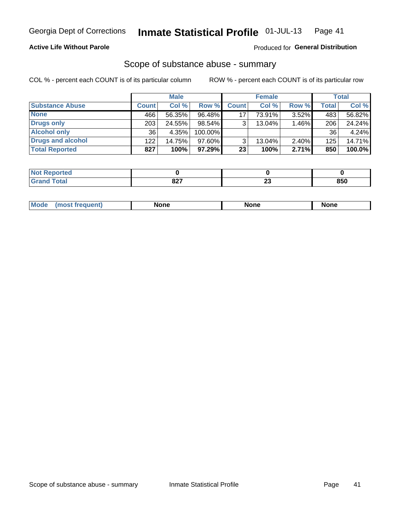## **Active Life Without Parole**

### Produced for General Distribution

## Scope of substance abuse - summary

COL % - percent each COUNT is of its particular column

|                        |              | <b>Male</b> |           |              | <b>Female</b> |          |              | Total     |
|------------------------|--------------|-------------|-----------|--------------|---------------|----------|--------------|-----------|
| <b>Substance Abuse</b> | <b>Count</b> | Col %       | Row %     | <b>Count</b> | Col %         | Row %    | <b>Total</b> | Col %     |
| <b>None</b>            | 466          | 56.35%      | 96.48%    | 17           | 73.91%        | $3.52\%$ | 483          | 56.82%    |
| Drugs only             | 203          | 24.55%      | $98.54\%$ | 3            | 13.04%        | 1.46%    | 206          | 24.24%    |
| <b>Alcohol only</b>    | 36           | 4.35%       | 100.00%   |              |               |          | 36           | 4.24%     |
| Drugs and alcohol      | 122          | 14.75%      | $97.60\%$ |              | 13.04%        | $2.40\%$ | 125          | 14.71%    |
| <b>Total Reported</b>  | 827          | 100%        | 97.29% I  | 23           | 100%          | 2.71%    | 850          | $100.0\%$ |

| Reported      |          |          |     |
|---------------|----------|----------|-----|
| <b>c</b> otal | ດດາ<br>ᅆ | ~~<br>LJ | 850 |

| Mode<br>None<br>None<br>None<br>quenu |
|---------------------------------------|
|---------------------------------------|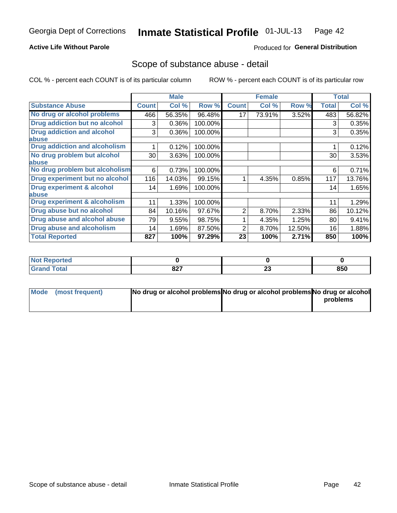## **Active Life Without Parole**

## Produced for General Distribution

## Scope of substance abuse - detail

COL % - percent each COUNT is of its particular column

|                                      |              | <b>Male</b> |         |              | <b>Female</b> |        |              | <b>Total</b> |
|--------------------------------------|--------------|-------------|---------|--------------|---------------|--------|--------------|--------------|
| <b>Substance Abuse</b>               | <b>Count</b> | Col %       | Row %   | <b>Count</b> | Col %         | Row %  | <b>Total</b> | Col %        |
| No drug or alcohol problems          | 466          | 56.35%      | 96.48%  | 17           | 73.91%        | 3.52%  | 483          | 56.82%       |
| Drug addiction but no alcohol        | 3            | 0.36%       | 100.00% |              |               |        | 3            | 0.35%        |
| <b>Drug addiction and alcohol</b>    | 3            | 0.36%       | 100.00% |              |               |        | 3            | 0.35%        |
| <b>labuse</b>                        |              |             |         |              |               |        |              |              |
| <b>Drug addiction and alcoholism</b> |              | 0.12%       | 100.00% |              |               |        |              | 0.12%        |
| No drug problem but alcohol          | 30           | 3.63%       | 100.00% |              |               |        | 30           | 3.53%        |
| abuse                                |              |             |         |              |               |        |              |              |
| No drug problem but alcoholism       | 6            | 0.73%       | 100.00% |              |               |        | 6            | 0.71%        |
| Drug experiment but no alcohol       | 116          | 14.03%      | 99.15%  |              | 4.35%         | 0.85%  | 117          | 13.76%       |
| <b>Drug experiment &amp; alcohol</b> | 14           | 1.69%       | 100.00% |              |               |        | 14           | 1.65%        |
| abuse                                |              |             |         |              |               |        |              |              |
| Drug experiment & alcoholism         | 11           | 1.33%       | 100.00% |              |               |        | 11           | 1.29%        |
| Drug abuse but no alcohol            | 84           | 10.16%      | 97.67%  | 2            | 8.70%         | 2.33%  | 86           | 10.12%       |
| Drug abuse and alcohol abuse         | 79           | 9.55%       | 98.75%  |              | 4.35%         | 1.25%  | 80           | 9.41%        |
| <b>Drug abuse and alcoholism</b>     | 14           | 1.69%       | 87.50%  | 2            | 8.70%         | 12.50% | 16           | 1.88%        |
| <b>Total Reported</b>                | 827          | 100%        | 97.29%  | 23           | 100%          | 2.71%  | 850          | 100%         |

| ported<br>NOT |      |    |     |
|---------------|------|----|-----|
| $\sim$        | 027  | n. | 850 |
| _____         | 04 I | ΔJ |     |

| Mode (most frequent) | No drug or alcohol problems No drug or alcohol problems No drug or alcohol |          |
|----------------------|----------------------------------------------------------------------------|----------|
|                      |                                                                            | problems |
|                      |                                                                            |          |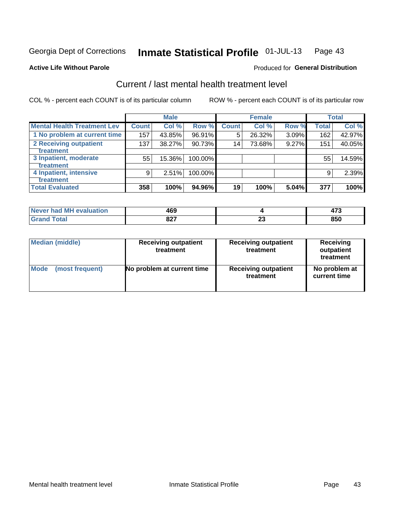#### Inmate Statistical Profile 01-JUL-13 Page 43

### **Active Life Without Parole**

## **Produced for General Distribution**

## Current / last mental health treatment level

COL % - percent each COUNT is of its particular column

|                                    |              | <b>Male</b> |           |                 | <b>Female</b> |       |              | <b>Total</b> |
|------------------------------------|--------------|-------------|-----------|-----------------|---------------|-------|--------------|--------------|
| <b>Mental Health Treatment Lev</b> | <b>Count</b> | Col %       | Row %     | <b>Count</b>    | Col %         | Row % | <b>Total</b> | Col %        |
| 1 No problem at current time       | 157          | 43.85%      | 96.91%    | 5               | 26.32%        | 3.09% | 162          | 42.97%       |
| 2 Receiving outpatient             | 137          | 38.27%      | $90.73\%$ | 14 <sub>1</sub> | 73.68%        | 9.27% | 151          | 40.05%       |
| <b>Treatment</b>                   |              |             |           |                 |               |       |              |              |
| 3 Inpatient, moderate              | 55           | 15.36%      | 100.00%   |                 |               |       | 55           | 14.59%       |
| <b>Treatment</b>                   |              |             |           |                 |               |       |              |              |
| 4 Inpatient, intensive             | 9            | 2.51%       | 100.00%   |                 |               |       | 9            | 2.39%        |
| <b>Treatment</b>                   |              |             |           |                 |               |       |              |              |
| <b>Total Evaluated</b>             | 358          | 100%        | 94.96%    | 19              | 100%          | 5.04% | 377          | 100%         |

| Never had MH evaluation | 469         |    |     |
|-------------------------|-------------|----|-----|
| Total                   | 007<br>04 I | Æu | 850 |

| <b>Median (middle)</b> | <b>Receiving outpatient</b><br>treatment | <b>Receiving outpatient</b><br>treatment | <b>Receiving</b><br>outpatient<br>treatment |
|------------------------|------------------------------------------|------------------------------------------|---------------------------------------------|
| <b>Mode</b>            | No problem at current time               | <b>Receiving outpatient</b>              | No problem at                               |
| (most frequent)        |                                          | treatment                                | current time                                |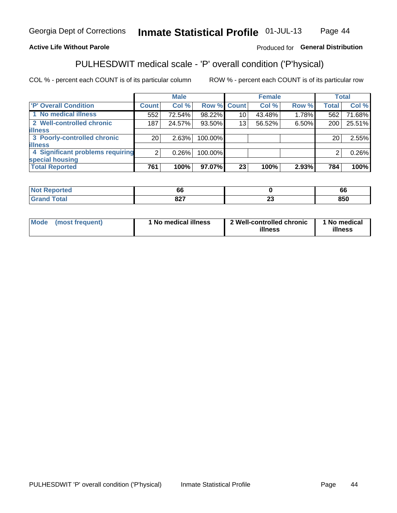#### Inmate Statistical Profile 01-JUL-13 Page 44

## **Active Life Without Parole**

## Produced for General Distribution

## PULHESDWIT medical scale - 'P' overall condition ('P'hysical)

COL % - percent each COUNT is of its particular column

|                                  |                 | <b>Male</b> |             |    | <b>Female</b> |       |              | <b>Total</b> |
|----------------------------------|-----------------|-------------|-------------|----|---------------|-------|--------------|--------------|
| 'P' Overall Condition            | Count l         | Col %       | Row % Count |    | Col %         | Row % | <b>Total</b> | Col %        |
| 1 No medical illness             | 552             | 72.54%      | 98.22%      | 10 | 43.48%        | 1.78% | 562          | 71.68%       |
| 2 Well-controlled chronic        | 187             | 24.57%      | 93.50%      | 13 | 56.52%        | 6.50% | 200          | 25.51%       |
| <b>illness</b>                   |                 |             |             |    |               |       |              |              |
| 3 Poorly-controlled chronic      | 20 <sub>1</sub> | 2.63%       | 100.00%     |    |               |       | 20           | 2.55%        |
| <b>illness</b>                   |                 |             |             |    |               |       |              |              |
| 4 Significant problems requiring | $\overline{2}$  | 0.26%       | 100.00%     |    |               |       | 2            | 0.26%        |
| special housing                  |                 |             |             |    |               |       |              |              |
| <b>Total Reported</b>            | 761             | 100%        | 97.07%      | 23 | 100%          | 2.93% | 784          | 100%         |

| oo         |                          | oo      |
|------------|--------------------------|---------|
| 027        | $\overline{\phantom{a}}$ | $- - -$ |
| <b>UZ.</b> | $\overline{\phantom{a}}$ | 850     |

| <b>Mode</b> | (most frequent) | 1 No medical illness | 2 Well-controlled chronic<br>illness | 1 No medical<br>illness |
|-------------|-----------------|----------------------|--------------------------------------|-------------------------|
|-------------|-----------------|----------------------|--------------------------------------|-------------------------|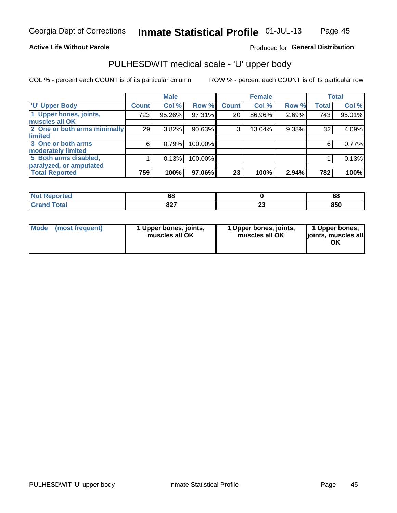### **Active Life Without Parole**

## Produced for General Distribution

# PULHESDWIT medical scale - 'U' upper body

COL % - percent each COUNT is of its particular column

|                              |              | <b>Male</b> |           |              | <b>Female</b> |       |              | <b>Total</b> |
|------------------------------|--------------|-------------|-----------|--------------|---------------|-------|--------------|--------------|
| <b>U' Upper Body</b>         | <b>Count</b> | Col %       | Row %     | <b>Count</b> | Col %         | Row % | <b>Total</b> | Col %        |
| 1 Upper bones, joints,       | 723          | 95.26%      | 97.31%    | 20           | 86.96%        | 2.69% | 743          | 95.01%       |
| muscles all OK               |              |             |           |              |               |       |              |              |
| 2 One or both arms minimally | 29           | 3.82%       | $90.63\%$ | 3            | 13.04%        | 9.38% | 32           | 4.09%        |
| limited                      |              |             |           |              |               |       |              |              |
| 3 One or both arms           | 6            | 0.79%       | 100.00%   |              |               |       | 6            | 0.77%        |
| moderately limited           |              |             |           |              |               |       |              |              |
| 5 Both arms disabled,        |              | 0.13%       | 100.00%   |              |               |       |              | 0.13%        |
| paralyzed, or amputated      |              |             |           |              |               |       |              |              |
| <b>Total Reported</b>        | 759          | 100%        | 97.06%    | 23           | 100%          | 2.94% | 782          | 100%         |

| <b>Not Reported</b>      | oc          |   | r<br>oc |
|--------------------------|-------------|---|---------|
| <b>Total</b><br>ا الله ا | 007<br>04 I | w | 850     |

| <b>Mode</b> | (most frequent) | l Upper bones, joints,<br>muscles all OK | 1 Upper bones, joints,<br>muscles all OK | 1 Upper bones,<br>ljoints, muscles all |
|-------------|-----------------|------------------------------------------|------------------------------------------|----------------------------------------|
|-------------|-----------------|------------------------------------------|------------------------------------------|----------------------------------------|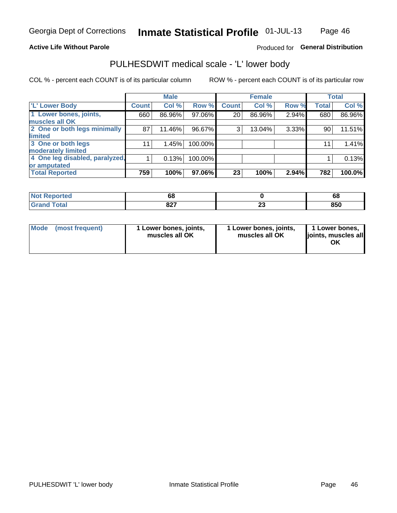### **Active Life Without Parole**

## Produced for General Distribution

## PULHESDWIT medical scale - 'L' lower body

COL % - percent each COUNT is of its particular column

|                                |              | <b>Male</b> |         |              | <b>Female</b> |       |              | <b>Total</b> |
|--------------------------------|--------------|-------------|---------|--------------|---------------|-------|--------------|--------------|
| 'L' Lower Body                 | <b>Count</b> | Col %       | Row %   | <b>Count</b> | Col %         | Row % | <b>Total</b> | Col %        |
| 1 Lower bones, joints,         | 660          | 86.96%      | 97.06%  | 20           | 86.96%        | 2.94% | 680          | 86.96%       |
| muscles all OK                 |              |             |         |              |               |       |              |              |
| 2 One or both legs minimally   | 87           | 11.46%      | 96.67%  | 3            | 13.04%        | 3.33% | 90           | 11.51%       |
| limited                        |              |             |         |              |               |       |              |              |
| 3 One or both legs             | 11           | 1.45%       | 100.00% |              |               |       | 11           | 1.41%        |
| moderately limited             |              |             |         |              |               |       |              |              |
| 4 One leg disabled, paralyzed, |              | 0.13%       | 100.00% |              |               |       |              | 0.13%        |
| or amputated                   |              |             |         |              |               |       |              |              |
| <b>Total Reported</b>          | 759          | 100%        | 97.06%  | 23           | 100%          | 2.94% | 782          | 100.0%       |

| ported<br>NOT<br>$\cdots$ | oc          |   | $6\epsilon$ |
|---------------------------|-------------|---|-------------|
| <b>Total</b>              | ^^7<br>04 I | w | 850         |

| Mode | (most frequent) | 1 Lower bones, joints,<br>muscles all OK | 1 Lower bones, joints,<br>muscles all OK | 1 Lower bones,<br>lioints, muscles all<br>ΟK |
|------|-----------------|------------------------------------------|------------------------------------------|----------------------------------------------|
|------|-----------------|------------------------------------------|------------------------------------------|----------------------------------------------|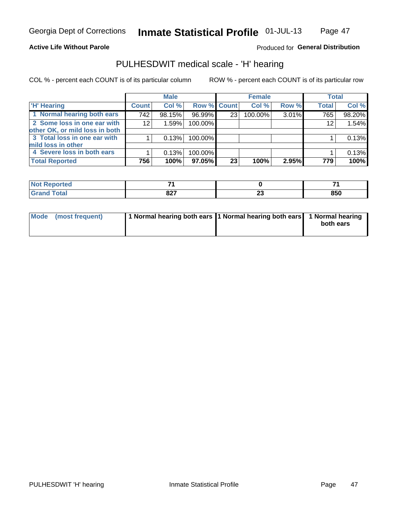### **Active Life Without Parole**

## Produced for General Distribution

## PULHESDWIT medical scale - 'H' hearing

COL % - percent each COUNT is of its particular column

|                                |              | <b>Male</b> |             |                 | <b>Female</b> |       | <b>Total</b> |        |
|--------------------------------|--------------|-------------|-------------|-----------------|---------------|-------|--------------|--------|
| <b>H' Hearing</b>              | <b>Count</b> | Col %       | Row % Count |                 | Col %         | Row % | <b>Total</b> | Col %  |
| 1 Normal hearing both ears     | 742          | 98.15%      | 96.99%      | 23 <sub>1</sub> | 100.00%       | 3.01% | 765          | 98.20% |
| 2 Some loss in one ear with    | 12           | 1.59%       | 100.00%     |                 |               |       | 12           | 1.54%  |
| other OK, or mild loss in both |              |             |             |                 |               |       |              |        |
| 3 Total loss in one ear with   |              | 0.13%       | 100.00%     |                 |               |       |              | 0.13%  |
| mild loss in other             |              |             |             |                 |               |       |              |        |
| 4 Severe loss in both ears     |              | 0.13%       | 100.00%     |                 |               |       |              | 0.13%  |
| <b>Total Reported</b>          | 756          | 100%        | 97.05%      | 23              | 100%          | 2.95% | 779          | 100%   |

| Teo                         |             |            |     |
|-----------------------------|-------------|------------|-----|
| $\sim$ $\sim$ $\sim$ $\sim$ | 007<br>UZ 1 | . .<br>$-$ | 850 |

| Mode (most frequent) | 1 Normal hearing both ears 1 Normal hearing both ears 1 Normal hearing | both ears |
|----------------------|------------------------------------------------------------------------|-----------|
|                      |                                                                        |           |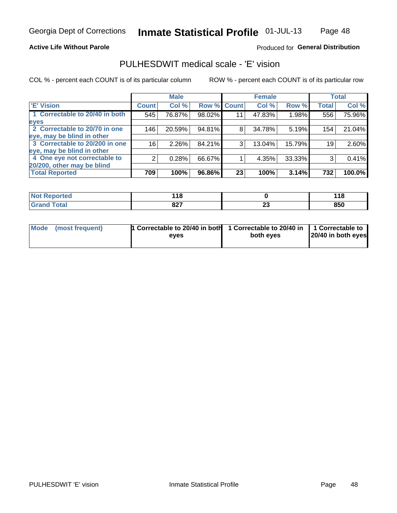### **Active Life Without Parole**

## Produced for General Distribution

## PULHESDWIT medical scale - 'E' vision

COL % - percent each COUNT is of its particular column

|                                |                 | <b>Male</b> |        |             | <b>Female</b> |        |              | <b>Total</b> |
|--------------------------------|-----------------|-------------|--------|-------------|---------------|--------|--------------|--------------|
| <b>E' Vision</b>               | <b>Count</b>    | Col %       |        | Row % Count | Col %         | Row %  | <b>Total</b> | Col %        |
| 1 Correctable to 20/40 in both | 545             | 76.87%      | 98.02% | 11          | 47.83%        | 1.98%  | 556          | 75.96%       |
| eyes                           |                 |             |        |             |               |        |              |              |
| 2 Correctable to 20/70 in one  | 146             | 20.59%      | 94.81% | 8           | 34.78%        | 5.19%  | 154          | 21.04%       |
| eye, may be blind in other     |                 |             |        |             |               |        |              |              |
| 3 Correctable to 20/200 in one | 16 <sub>1</sub> | $2.26\%$    | 84.21% | 3           | 13.04%        | 15.79% | 19           | 2.60%        |
| eye, may be blind in other     |                 |             |        |             |               |        |              |              |
| 4 One eye not correctable to   | 2               | 0.28%       | 66.67% |             | 4.35%         | 33.33% | 3            | 0.41%        |
| 20/200, other may be blind     |                 |             |        |             |               |        |              |              |
| <b>Total Reported</b>          | 709             | 100%        | 96.86% | 23          | 100%          | 3.14%  | 732          | 100.0%       |

| ాorted       | 44 <sup>c</sup> |          | 440 |
|--------------|-----------------|----------|-----|
| NO           | - 10            |          | .   |
| <b>Total</b> | 027             | ົ        | 850 |
| <b>C.A.A</b> | 04 I            | <u>_</u> |     |

| Mode (most frequent) | 1 Correctable to 20/40 in both<br>eves | 1 Correctable to 20/40 in   1 Correctable to<br>both eyes | 20/40 in both eyes |
|----------------------|----------------------------------------|-----------------------------------------------------------|--------------------|
|                      |                                        |                                                           |                    |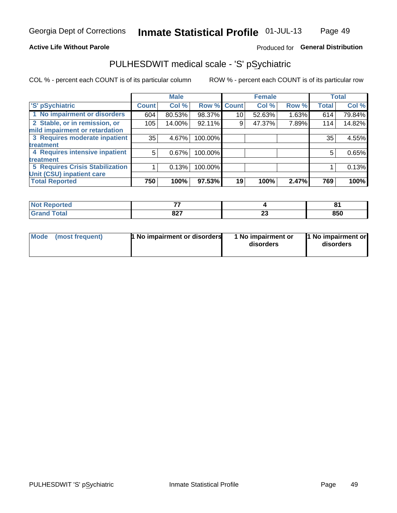### **Active Life Without Parole**

## Produced for General Distribution

## PULHESDWIT medical scale - 'S' pSychiatric

COL % - percent each COUNT is of its particular column

|                                        |              | <b>Male</b> |         |             | <b>Female</b> |       |              | <b>Total</b> |
|----------------------------------------|--------------|-------------|---------|-------------|---------------|-------|--------------|--------------|
| 'S' pSychiatric                        | <b>Count</b> | Col %       |         | Row % Count | Col %         | Row % | <b>Total</b> | Col %        |
| 1 No impairment or disorders           | 604          | 80.53%      | 98.37%  | 10          | 52.63%        | 1.63% | 614          | 79.84%       |
| 2 Stable, or in remission, or          | 105          | 14.00%      | 92.11%  | 9           | 47.37%        | 7.89% | 114          | 14.82%       |
| mild impairment or retardation         |              |             |         |             |               |       |              |              |
| 3 Requires moderate inpatient          | 35           | 4.67%       | 100.00% |             |               |       | 35           | 4.55%        |
| treatment                              |              |             |         |             |               |       |              |              |
| 4 Requires intensive inpatient         | 5            | 0.67%       | 100.00% |             |               |       | 5            | 0.65%        |
| treatment                              |              |             |         |             |               |       |              |              |
| <b>5 Requires Crisis Stabilization</b> |              | 0.13%       | 100.00% |             |               |       |              | 0.13%        |
| Unit (CSU) inpatient care              |              |             |         |             |               |       |              |              |
| <b>Total Reported</b>                  | 750          | 100%        | 97.53%  | 19          | 100%          | 2.47% | 769          | 100%         |

| <b>Not Reported</b>   | --  |        | п.  |
|-----------------------|-----|--------|-----|
| <b>Total</b><br>Cron. | 827 | ~<br>~ | 850 |

| <b>Mode</b> | (most frequent) | 1 No impairment or disorders | 1 No impairment or<br>disorders | 1 No impairment or<br>disorders |
|-------------|-----------------|------------------------------|---------------------------------|---------------------------------|
|-------------|-----------------|------------------------------|---------------------------------|---------------------------------|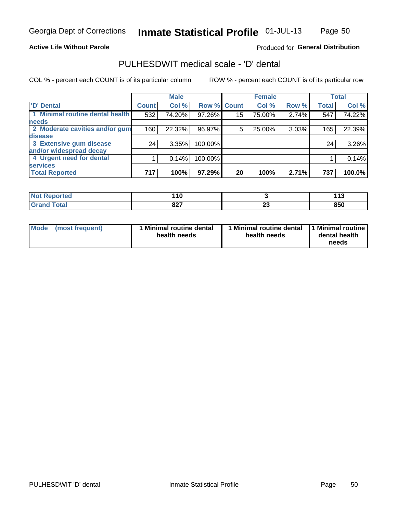### **Active Life Without Parole**

## Produced for General Distribution

## PULHESDWIT medical scale - 'D' dental

COL % - percent each COUNT is of its particular column

|                                 |              | <b>Male</b> |         |                 | <b>Female</b> |       |              | <b>Total</b> |
|---------------------------------|--------------|-------------|---------|-----------------|---------------|-------|--------------|--------------|
| <b>D'</b> Dental                | <b>Count</b> | Col %       |         | Row % Count     | Col %         | Row % | <b>Total</b> | Col %        |
| 1 Minimal routine dental health | 532          | 74.20%      | 97.26%  | 15 <sub>2</sub> | 75.00%        | 2.74% | 547          | 74.22%       |
| <b>needs</b>                    |              |             |         |                 |               |       |              |              |
| 2 Moderate cavities and/or gum  | 160          | 22.32%      | 96.97%  | 5               | 25.00%        | 3.03% | 165          | 22.39%       |
| disease                         |              |             |         |                 |               |       |              |              |
| 3 Extensive gum disease         | 24           | 3.35%       | 100.00% |                 |               |       | 24           | 3.26%        |
| and/or widespread decay         |              |             |         |                 |               |       |              |              |
| 4 Urgent need for dental        |              | 0.14%       | 100.00% |                 |               |       |              | 0.14%        |
| <b>services</b>                 |              |             |         |                 |               |       |              |              |
| <b>Total Reported</b>           | 717          | 100%        | 97.29%  | 20              | 100%          | 2.71% | 737          | 100.0%       |

| rreol        | . .<br>$\sim$ |        | $\sim$<br>. . |
|--------------|---------------|--------|---------------|
| <b>Total</b> | 827           | …<br>w | 850           |

| <b>Mode</b> | (most frequent) | <b>Minimal routine dental</b><br>health needs | 1 Minimal routine dental<br>health needs | <b>11 Minimal routine I</b><br>dental health<br>needs |
|-------------|-----------------|-----------------------------------------------|------------------------------------------|-------------------------------------------------------|
|-------------|-----------------|-----------------------------------------------|------------------------------------------|-------------------------------------------------------|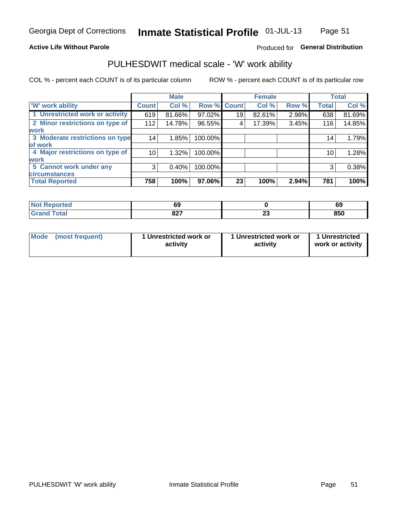### **Active Life Without Parole**

## Produced for General Distribution

## PULHESDWIT medical scale - 'W' work ability

COL % - percent each COUNT is of its particular column

|                                 |              | <b>Male</b> |         |             | <b>Female</b> |       |              | <b>Total</b> |
|---------------------------------|--------------|-------------|---------|-------------|---------------|-------|--------------|--------------|
| <b>W' work ability</b>          | <b>Count</b> | Col %       |         | Row % Count | Col %         | Row % | <b>Total</b> | Col %        |
| 1 Unrestricted work or activity | 619          | 81.66%      | 97.02%  | 19          | 82.61%        | 2.98% | 638          | 81.69%       |
| 2 Minor restrictions on type of | 112          | 14.78%      | 96.55%  | 4           | 17.39%        | 3.45% | 116          | 14.85%       |
| <b>work</b>                     |              |             |         |             |               |       |              |              |
| 3 Moderate restrictions on type | 14           | 1.85%       | 100.00% |             |               |       | 14           | 1.79%        |
| lof work                        |              |             |         |             |               |       |              |              |
| 4 Major restrictions on type of | 10           | 1.32%       | 100.00% |             |               |       | 10           | 1.28%        |
| <b>work</b>                     |              |             |         |             |               |       |              |              |
| 5 Cannot work under any         | 3            | 0.40%       | 100.00% |             |               |       | 3            | 0.38%        |
| <b>circumstances</b>            |              |             |         |             |               |       |              |              |
| <b>Total Reported</b>           | 758          | 100%        | 97.06%  | 23          | 100%          | 2.94% | 781          | 100%         |

| <b>Not Reported</b>           | 69          |           | c'<br>o, |
|-------------------------------|-------------|-----------|----------|
| <b>Total</b><br>Cron<br>oranu | 007<br>82 I | n.<br>2 J | 850      |

| Mode            | 1 Unrestricted work or | 1 Unrestricted work or | 1 Unrestricted   |
|-----------------|------------------------|------------------------|------------------|
| (most frequent) | activity               | activity               | work or activity |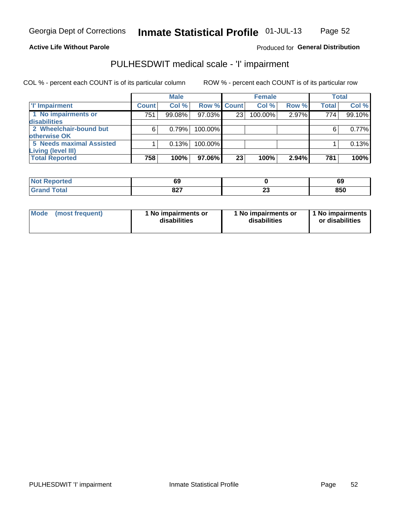### **Active Life Without Parole**

## Produced for General Distribution

## PULHESDWIT medical scale - 'I' impairment

|                                 |              | <b>Male</b> |                    |    | <b>Female</b> |       |       | <b>Total</b> |
|---------------------------------|--------------|-------------|--------------------|----|---------------|-------|-------|--------------|
| 'I' Impairment                  | <b>Count</b> | Col %       | <b>Row % Count</b> |    | Col %         | Row % | Total | Col %        |
| 1 No impairments or             | 751          | 99.08%      | 97.03%             | 23 | 100.00%       | 2.97% | 774   | 99.10%       |
| disabilities                    |              |             |                    |    |               |       |       |              |
| 2 Wheelchair-bound but          | 6            | 0.79%       | 100.00%            |    |               |       |       | 0.77%        |
| otherwise OK                    |              |             |                    |    |               |       |       |              |
| <b>5 Needs maximal Assisted</b> |              | 0.13%       | 100.00%            |    |               |       |       | 0.13%        |
| <b>Living (level III)</b>       |              |             |                    |    |               |       |       |              |
| <b>Total Reported</b>           | 758          | 100%        | 97.06%             | 23 | 100%          | 2.94% | 781   | 100%         |
|                                 |              |             |                    |    |               |       |       |              |

| . Reported | r.            |              | ~   |
|------------|---------------|--------------|-----|
| $\sim$     | ໐ະ            |              | ৩৬  |
|            | ິດ ດ=<br>04 I | --<br>$\sim$ | 850 |

| <b>Mode</b>     | 1 No impairments or | 1 No impairments or | 1 No impairments |
|-----------------|---------------------|---------------------|------------------|
| (most frequent) | disabilities        | disabilities        | or disabilities  |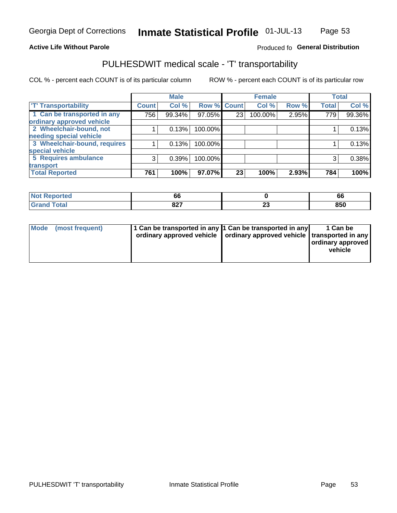### **Active Life Without Parole**

### Produced fo General Distribution

## PULHESDWIT medical scale - 'T' transportability

COL % - percent each COUNT is of its particular column

|                              |                    | <b>Male</b> |             |    | <b>Female</b> |       |              | <b>Total</b> |
|------------------------------|--------------------|-------------|-------------|----|---------------|-------|--------------|--------------|
| <b>T' Transportability</b>   | Count <sup>1</sup> | Col %       | Row % Count |    | Col %         | Row % | <b>Total</b> | Col %        |
| 1 Can be transported in any  | 756                | 99.34%      | 97.05%      | 23 | 100.00%       | 2.95% | 779          | 99.36%       |
| ordinary approved vehicle    |                    |             |             |    |               |       |              |              |
| 2 Wheelchair-bound, not      |                    | 0.13%       | 100.00%     |    |               |       |              | 0.13%        |
| needing special vehicle      |                    |             |             |    |               |       |              |              |
| 3 Wheelchair-bound, requires |                    | 0.13%       | 100.00%     |    |               |       |              | 0.13%        |
| special vehicle              |                    |             |             |    |               |       |              |              |
| 5 Requires ambulance         | $\mathcal{R}$      | 0.39%       | 100.00%     |    |               |       | 3            | 0.38%        |
| transport                    |                    |             |             |    |               |       |              |              |
| <b>Total Reported</b>        | 761                | 100%        | 97.07%      | 23 | 100%          | 2.93% | 784          | 100%         |

| orted        | <br><b>bt</b>      |   | oo  |
|--------------|--------------------|---|-----|
| <b>Total</b> | <b>007</b><br>04 I | ∼ | 850 |

| <b>Mode</b> | (most frequent) | 1 Can be transported in any 1 Can be transported in any | ordinary approved vehicle   ordinary approved vehicle   transported in any | 1 Can be<br>  ordinary approved  <br>vehicle |
|-------------|-----------------|---------------------------------------------------------|----------------------------------------------------------------------------|----------------------------------------------|
|-------------|-----------------|---------------------------------------------------------|----------------------------------------------------------------------------|----------------------------------------------|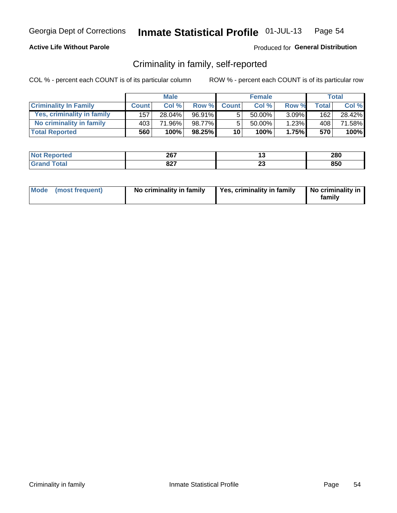### **Active Life Without Parole**

### Produced for General Distribution

## Criminality in family, self-reported

COL % - percent each COUNT is of its particular column

|                              |              | <b>Male</b> |           |                 | <b>Female</b> |          |              | Total  |
|------------------------------|--------------|-------------|-----------|-----------------|---------------|----------|--------------|--------|
| <b>Criminality In Family</b> | <b>Count</b> | Col%        | Row %     | <b>Count</b>    | Col%          | Row %    | <b>Total</b> | Col %  |
| Yes, criminality in family   | 157          | 28.04%      | 96.91%    | 5               | 50.00%        | $3.09\%$ | 162          | 28.42% |
| No criminality in family     | 403          | 71.96%      | 98.77%    | 5               | $50.00\%$     | 1.23%    | 408          | 71.58% |
| <b>Total Reported</b>        | 560          | 100%        | $98.25\%$ | 10 <sup>1</sup> | 100%          | 1.75%    | 570          | 100%   |

| <b>Reported</b><br>' Nt | 207<br>20 L |    | 280 |
|-------------------------|-------------|----|-----|
| <b>otal</b><br>______   | 027<br>04 I | ΔJ | 850 |

|  | Mode (most frequent) | No criminality in family | Yes, criminality in family | No criminality in<br>family |
|--|----------------------|--------------------------|----------------------------|-----------------------------|
|--|----------------------|--------------------------|----------------------------|-----------------------------|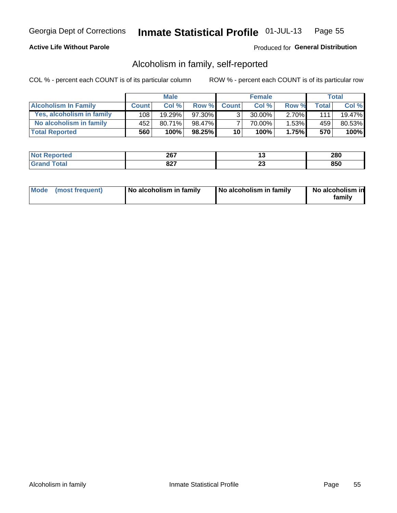## **Active Life Without Parole**

## Produced for General Distribution

## Alcoholism in family, self-reported

COL % - percent each COUNT is of its particular column

|                             |              | <b>Male</b> |        |                 | <b>Female</b> |          |       | Total   |
|-----------------------------|--------------|-------------|--------|-----------------|---------------|----------|-------|---------|
| <b>Alcoholism In Family</b> | <b>Count</b> | Col %       | Row %  | <b>Count</b>    | Col %         | Row %    | Total | Col %   |
| Yes, alcoholism in family   | 108 l        | 19.29%      | 97.30% | 3 <sub>1</sub>  | $30.00\%$     | $2.70\%$ | 111   | 19.47%  |
| No alcoholism in family     | 452          | $80.71\%$   | 98.47% |                 | 70.00%        | 1.53%    | 459   | 80.53%  |
| <b>Total Reported</b>       | 560          | 100%        | 98.25% | 10 <sub>1</sub> | 100%          | 1.75%    | 570   | $100\%$ |

| <b>Not</b><br><b>Reported</b> | 267         | 1 v          | 280 |
|-------------------------------|-------------|--------------|-----|
| <b>jotal</b>                  | 027<br>04 I | $\sim$<br>ZJ | 850 |

|  | Mode (most frequent) | No alcoholism in family | No alcoholism in family | No alcoholism in<br>family |
|--|----------------------|-------------------------|-------------------------|----------------------------|
|--|----------------------|-------------------------|-------------------------|----------------------------|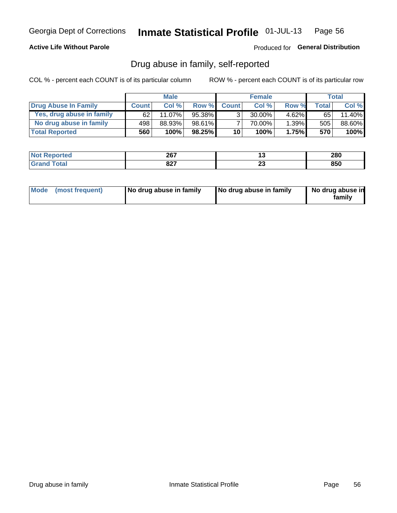## **Active Life Without Parole**

### Produced for General Distribution

## Drug abuse in family, self-reported

COL % - percent each COUNT is of its particular column

|                           |              | <b>Male</b> |        |                 | <b>Female</b> |          |              | Total  |
|---------------------------|--------------|-------------|--------|-----------------|---------------|----------|--------------|--------|
| Drug Abuse In Family      | <b>Count</b> | Col %       | Row %  | <b>Count</b>    | Col%          | Row %    | <b>Total</b> | Col %  |
| Yes, drug abuse in family | 62           | $11.07\%$   | 95.38% | 3 <sub>1</sub>  | $30.00\%$     | $4.62\%$ | 65           | 11.40% |
| No drug abuse in family   | 498          | 88.93%      | 98.61% | 7               | 70.00%        | 1.39%    | 505          | 88.60% |
| <b>Total Reported</b>     | 560          | 100%        | 98.25% | 10 <sub>1</sub> | 100%          | 1.75%    | 570          | 100%   |

| <b>Not Reported</b> | 267  | . .    | 280 |
|---------------------|------|--------|-----|
| `otal               | 007  | $\sim$ | 850 |
| ' Grano             | UZ I | --     |     |

|  | Mode (most frequent) | No drug abuse in family | No drug abuse in family | No drug abuse in<br>family |
|--|----------------------|-------------------------|-------------------------|----------------------------|
|--|----------------------|-------------------------|-------------------------|----------------------------|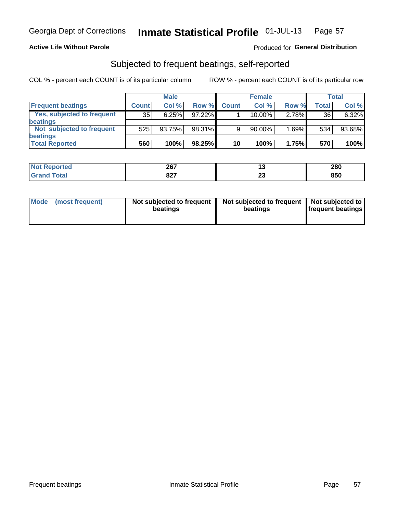### **Active Life Without Parole**

### Produced for General Distribution

## Subjected to frequent beatings, self-reported

COL % - percent each COUNT is of its particular column

|                                   |              | <b>Male</b> |           |              | <b>Female</b> |       |       | Total  |
|-----------------------------------|--------------|-------------|-----------|--------------|---------------|-------|-------|--------|
| <b>Frequent beatings</b>          | <b>Count</b> | Col %       | Row %     | <b>Count</b> | Col %         | Row % | Total | Col %  |
| <b>Yes, subjected to frequent</b> | 35           | 6.25%       | 97.22%    |              | 10.00%        | 2.78% | 36    | 6.32%  |
| <b>beatings</b>                   |              |             |           |              |               |       |       |        |
| Not subjected to frequent         | 525          | 93.75%      | 98.31%    | 9            | 90.00%        | 1.69% | 534   | 93.68% |
| <b>beatings</b>                   |              |             |           |              |               |       |       |        |
| <b>Total Reported</b>             | 560          | 100%        | $98.25\%$ | 10           | 100%          | 1.75% | 570   | 100%   |

| <b>Not Reported</b> | 267         | ⊶        | 280 |
|---------------------|-------------|----------|-----|
| <b>Total</b>        | 027<br>04 I | ~~<br>20 | 850 |

| Mode | (most frequent) | Not subjected to frequent<br>beatings | Not subjected to frequent<br>beatings | Not subjected to<br><b>frequent beatings</b> |
|------|-----------------|---------------------------------------|---------------------------------------|----------------------------------------------|
|      |                 |                                       |                                       |                                              |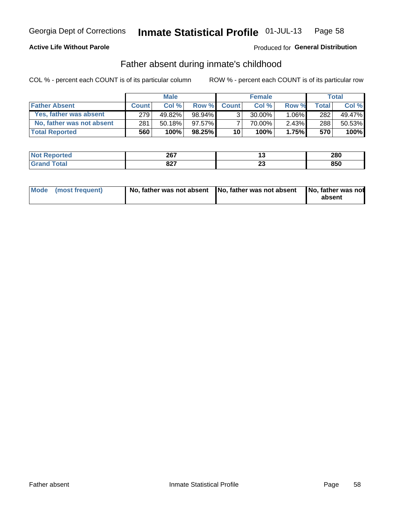## **Active Life Without Parole**

## Produced for General Distribution

## Father absent during inmate's childhood

COL % - percent each COUNT is of its particular column

|                           |              | <b>Male</b> |           |                 | <b>Female</b> |          |       | Total  |
|---------------------------|--------------|-------------|-----------|-----------------|---------------|----------|-------|--------|
| <b>Father Absent</b>      | <b>Count</b> | Col%        | Row %     | <b>Count</b>    | Col %         | Row %    | Total | Col %  |
| Yes, father was absent    | 279          | 49.82%      | 98.94%    | $\mathcal{R}_1$ | $30.00\%$     | $1.06\%$ | 282   | 49.47% |
| No, father was not absent | 281          | 50.18%      | 97.57%    |                 | 70.00%        | $2.43\%$ | 288   | 50.53% |
| <b>Total Reported</b>     | 560          | 100%        | $98.25\%$ | 10 <sup>1</sup> | 100%          | 1.75%    | 570   | 100%   |

| <b>Not Reported</b> | 267         |         | 280 |
|---------------------|-------------|---------|-----|
| <b>Total</b>        | 027<br>04 I | ۰.<br>∼ | 850 |

| Mode (most frequent) |  | No, father was not absent No, father was not absent No, father was not | absent |
|----------------------|--|------------------------------------------------------------------------|--------|
|----------------------|--|------------------------------------------------------------------------|--------|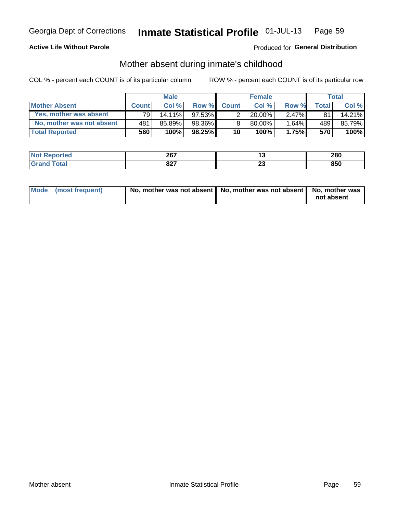### **Active Life Without Parole**

## Produced for General Distribution

## Mother absent during inmate's childhood

COL % - percent each COUNT is of its particular column

|                           |              | <b>Male</b> |           |                 | <b>Female</b> |          |              | Total  |
|---------------------------|--------------|-------------|-----------|-----------------|---------------|----------|--------------|--------|
| <b>Mother Absent</b>      | <b>Count</b> | Col%        | Row %     | <b>Count</b>    | Col%          | Row %    | <b>Total</b> | Col %  |
| Yes, mother was absent    | 791          | $14.11\%$   | 97.53%    | 2               | $20.00\%$     | $2.47\%$ | 81           | 14.21% |
| No. mother was not absent | 481          | 85.89%      | 98.36%    | 8               | 80.00%        | 1.64%    | 489          | 85.79% |
| <b>Total Reported</b>     | 560          | 100%        | $98.25\%$ | 10 <sup>1</sup> | 100%          | 1.75%    | 570          | 100%   |

| <b>Not</b><br><b>Reported</b> | 267         | 1 v          | 280 |
|-------------------------------|-------------|--------------|-----|
| <b>jotal</b>                  | 027<br>04 I | $\sim$<br>ZJ | 850 |

| Mode (most frequent) | No, mother was not absent   No, mother was not absent   No, mother was | not absent |
|----------------------|------------------------------------------------------------------------|------------|
|                      |                                                                        |            |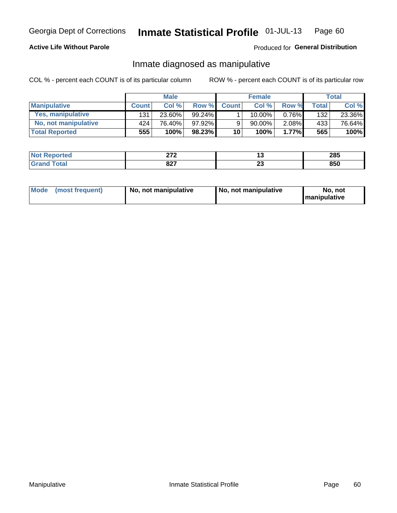## **Active Life Without Parole**

## Produced for General Distribution

## Inmate diagnosed as manipulative

COL % - percent each COUNT is of its particular column

|                          | <b>Male</b>  |        | <b>Female</b> |                 |             | Total |              |        |
|--------------------------|--------------|--------|---------------|-----------------|-------------|-------|--------------|--------|
| <b>Manipulative</b>      | <b>Count</b> | Col %  | Row %         | <b>Count</b>    | Col %       | Row % | <b>Total</b> | Col %  |
| <b>Yes, manipulative</b> | 131          | 23.60% | 99.24% ∎      |                 | $10.00\%$ , | 0.76% | 132          | 23.36% |
| No, not manipulative     | 424          | 76.40% | 97.92%        | 9               | 90.00%      | 2.08% | 433          | 76.64% |
| <b>Total Reported</b>    | 555!         | 100%   | $98.23\%$     | 10 <sup>1</sup> | 100%        | 1.77% | 565          | 100%   |

| <b>Not</b><br><b>' Reported</b> | 0.70<br>-             | . .                 | 285 |
|---------------------------------|-----------------------|---------------------|-----|
| <b>ota</b><br>l Gran            | 027<br>04 I<br>$\sim$ | ^^<br>2 J<br>$\sim$ | 850 |

|  | Mode (most frequent) | No, not manipulative | No, not manipulative | No. not<br><b>I</b> manipulative |
|--|----------------------|----------------------|----------------------|----------------------------------|
|--|----------------------|----------------------|----------------------|----------------------------------|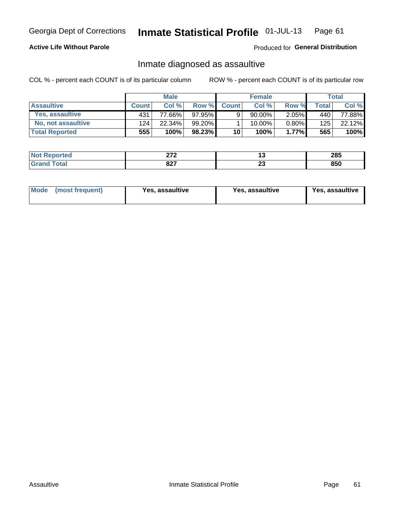#### Inmate Statistical Profile 01-JUL-13 Page 61

## **Active Life Without Parole**

Produced for General Distribution

## Inmate diagnosed as assaultive

COL % - percent each COUNT is of its particular column

|                       | <b>Male</b>  |        | <b>Female</b> |              |             | <b>Total</b> |       |        |
|-----------------------|--------------|--------|---------------|--------------|-------------|--------------|-------|--------|
| <b>Assaultive</b>     | <b>Count</b> | Col%   | Row %         | <b>Count</b> | Col%        | Row %        | Total | Col %  |
| Yes, assaultive       | 431          | 77.66% | 97.95%        | 9            | $90.00\%$   | $2.05\%$     | 440   | 77.88% |
| No, not assaultive    | 124          | 22.34% | 99.20%        |              | $10.00\%$ . | $0.80\%$     | 125   | 22.12% |
| <b>Total Reported</b> | 555          | 100%   | 98.23%        | 10           | $100\%$ .   | $1.77\%$     | 565   | 100%   |

| <b>Not</b><br>Reported | $\sim$<br><u>_</u> | 1 v          | 285 |
|------------------------|--------------------|--------------|-----|
| <b>otal</b>            | 027<br>04 I        | $\sim$<br>ZJ | 850 |

| Mode (most frequent)<br>Yes, assaultive | Yes, assaultive | <b>Yes, assaultive</b> |
|-----------------------------------------|-----------------|------------------------|
|-----------------------------------------|-----------------|------------------------|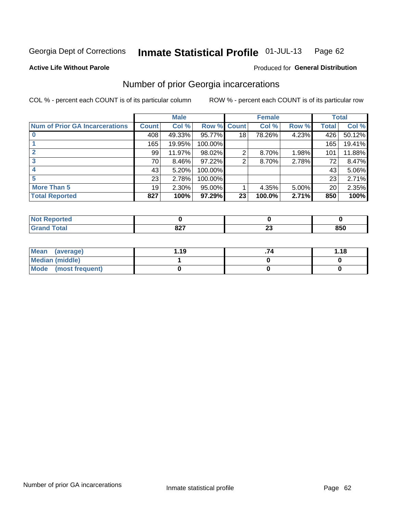#### Inmate Statistical Profile 01-JUL-13 Page 62

**Active Life Without Parole** 

## **Produced for General Distribution**

## Number of prior Georgia incarcerations

COL % - percent each COUNT is of its particular column

|                                       |                 | <b>Male</b> |                    |    | <b>Female</b> |       |       | <b>Total</b> |
|---------------------------------------|-----------------|-------------|--------------------|----|---------------|-------|-------|--------------|
| <b>Num of Prior GA Incarcerations</b> | <b>Count</b>    | Col %       | <b>Row % Count</b> |    | Col %         | Row % | Total | Col %        |
|                                       | 408             | 49.33%      | 95.77%             | 18 | 78.26%        | 4.23% | 426   | 50.12%       |
|                                       | 165             | 19.95%      | 100.00%            |    |               |       | 165   | 19.41%       |
|                                       | 99              | 11.97%      | 98.02%             | 2  | 8.70%         | 1.98% | 101   | 11.88%       |
| 3                                     | 70              | 8.46%       | 97.22%             | 2  | 8.70%         | 2.78% | 72    | 8.47%        |
|                                       | 43              | 5.20%       | 100.00%            |    |               |       | 43    | 5.06%        |
| 5                                     | 23              | 2.78%       | 100.00%            |    |               |       | 23    | 2.71%        |
| <b>More Than 5</b>                    | 19 <sup>1</sup> | 2.30%       | 95.00%             |    | 4.35%         | 5.00% | 20    | 2.35%        |
| <b>Total Reported</b>                 | 827             | 100%        | 97.29%             | 23 | 100.0%        | 2.71% | 850   | 100%         |

| rted              |             |    |     |
|-------------------|-------------|----|-----|
| <b>otal</b><br>-- | ^^7<br>UZ 1 | -- | 850 |

| Mean (average)       | 1.19 | 1.18 |
|----------------------|------|------|
| Median (middle)      |      |      |
| Mode (most frequent) |      |      |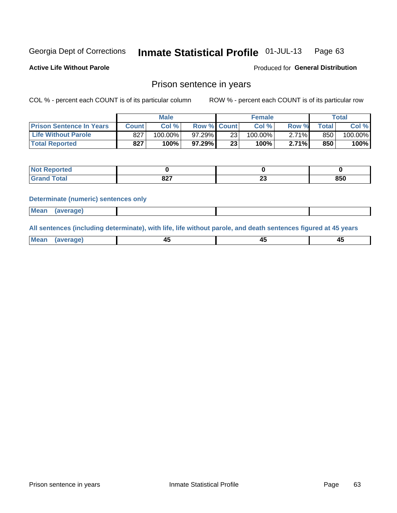#### Inmate Statistical Profile 01-JUL-13 Page 63

**Active Life Without Parole** 

Produced for General Distribution

## Prison sentence in years

COL % - percent each COUNT is of its particular column

ROW % - percent each COUNT is of its particular row

|                                 | <b>Male</b> |            |                    | <b>Female</b> |            |       | $\tau$ otal |         |
|---------------------------------|-------------|------------|--------------------|---------------|------------|-------|-------------|---------|
| <b>Prison Sentence In Years</b> | Count l     | Col%       | <b>Row % Count</b> |               | $Col \%$   | Row % | Total       | Col %   |
| <b>Life Without Parole</b>      | 827         | $100.00\%$ | $97.29\%$          | 23            | $100.00\%$ | 2.71% | 850         | 100.00% |
| <b>Total Reported</b>           | 827         | 100%       | 97.29%             | 23            | 100%       | 2.71% | 850         | 100%    |

| Reported<br>$\sim$ |                    |    |     |
|--------------------|--------------------|----|-----|
| <b>Total</b>       | <b>007</b><br>04 I | ∼∸ | 850 |

### **Determinate (numeric) sentences only**

| <b>Mean</b><br><i>(average)</i> |  |
|---------------------------------|--|
|---------------------------------|--|

All sentences (including determinate), with life, life without parole, and death sentences figured at 45 years

| $M$ ea<br>(average) | $\sim$ | ,,<br>т. |
|---------------------|--------|----------|
|                     |        |          |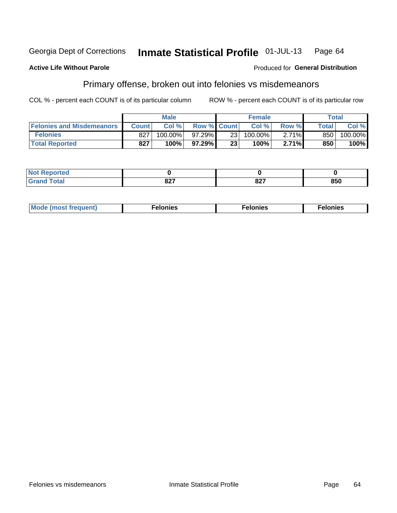### **Active Life Without Parole**

### Produced for General Distribution

## Primary offense, broken out into felonies vs misdemeanors

COL % - percent each COUNT is of its particular column

|                                  |              | <b>Male</b> |                    |                 | <b>Female</b> |       |              | Total   |
|----------------------------------|--------------|-------------|--------------------|-----------------|---------------|-------|--------------|---------|
| <b>Felonies and Misdemeanors</b> | <b>Count</b> | Col%        | <b>Row % Count</b> |                 | Col%          | Row % | <b>Total</b> | Col %   |
| <b>Felonies</b>                  | 827          | 100.00%     | 97.29%             | 231             | 100.00%       | 2.71% | 850          | 100.00% |
| <b>Total Reported</b>            | 827          | $100\%$     | 97.29%             | 23 <sub>1</sub> | $100\%$       | 2.71% | 850          | 100%    |

| <b>Not Reported</b>              |                    |             |     |
|----------------------------------|--------------------|-------------|-----|
| <b>Total</b><br>Grand<br>- - - - | <b>007</b><br>04 I | 027<br>OZ 1 | 850 |

| <b>Mode</b><br>frequent)<br>nies<br>≧ (most tr.<br>. | onies<br>. | lonies<br>ею<br>____ |
|------------------------------------------------------|------------|----------------------|
|------------------------------------------------------|------------|----------------------|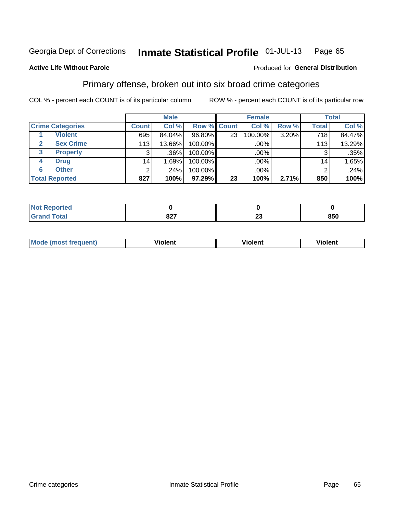### Inmate Statistical Profile 01-JUL-13 Page 65

### **Active Life Without Parole**

### Produced for General Distribution

## Primary offense, broken out into six broad crime categories

COL % - percent each COUNT is of its particular column

|                         |              | <b>Male</b> |         |                 | <b>Female</b> |       |              | <b>Total</b> |
|-------------------------|--------------|-------------|---------|-----------------|---------------|-------|--------------|--------------|
| <b>Crime Categories</b> | <b>Count</b> | Col %       |         | Row % Count     | Col %         | Row % | <b>Total</b> | Col %        |
| <b>Violent</b>          | 695          | 84.04%      | 96.80%  | 23 <sub>1</sub> | 100.00%       | 3.20% | 718          | 84.47%       |
| <b>Sex Crime</b><br>2   | 113          | 13.66%      | 100.00% |                 | .00%          |       | 113          | 13.29%       |
| 3<br><b>Property</b>    | 3            | .36%        | 100.00% |                 | .00%          |       | 3            | .35%         |
| <b>Drug</b><br>4        | 14           | .69%        | 100.00% |                 | .00%          |       | 14           | 1.65%        |
| <b>Other</b><br>6       | 2            | .24%        | 100.00% |                 | .00%          |       | 2            | .24%         |
| <b>Total Reported</b>   | 827          | 100%        | 97.29%  | 23              | 100%          | 2.71% | 850          | 100%         |

| <b>Not Reported</b> |             |                               |     |
|---------------------|-------------|-------------------------------|-----|
| Total               | 007<br>04 I | $\overline{\phantom{a}}$<br>∼ | 850 |

| M | . | 40 O |
|---|---|------|
|   |   |      |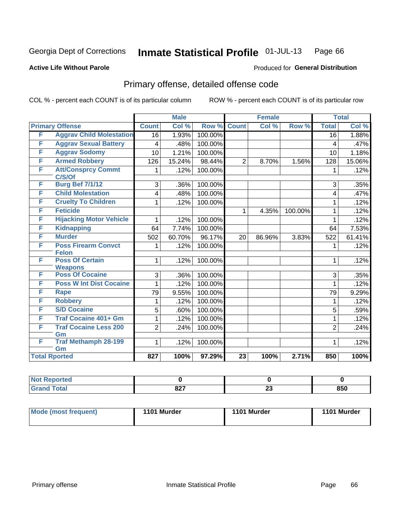#### Inmate Statistical Profile 01-JUL-13 Page 66

### **Active Life Without Parole**

## **Produced for General Distribution**

## Primary offense, detailed offense code

COL % - percent each COUNT is of its particular column

|   |                                          |                | <b>Male</b> |         |                 | <b>Female</b> |         |                | <b>Total</b> |  |
|---|------------------------------------------|----------------|-------------|---------|-----------------|---------------|---------|----------------|--------------|--|
|   | <b>Primary Offense</b>                   | <b>Count</b>   | Col %       | Row %   | <b>Count</b>    | Col %         | Row %   | <b>Total</b>   | Col %        |  |
| F | <b>Aggrav Child Molestation</b>          | 16             | 1.93%       | 100.00% |                 |               |         | 16             | 1.88%        |  |
| F | <b>Aggrav Sexual Battery</b>             | 4              | .48%        | 100.00% |                 |               |         | 4              | .47%         |  |
| F | <b>Aggrav Sodomy</b>                     | 10             | 1.21%       | 100.00% |                 |               |         | 10             | 1.18%        |  |
| F | <b>Armed Robbery</b>                     | 126            | 15.24%      | 98.44%  | $\overline{2}$  | 8.70%         | 1.56%   | 128            | 15.06%       |  |
| F | <b>Att/Consprcy Commt</b><br>C/S/Of      | 1              | .12%        | 100.00% |                 |               |         |                | .12%         |  |
| F | <b>Burg Bef 7/1/12</b>                   | 3              | .36%        | 100.00% |                 |               |         | 3              | .35%         |  |
| F | <b>Child Molestation</b>                 | 4              | .48%        | 100.00% |                 |               |         | 4              | .47%         |  |
| F | <b>Cruelty To Children</b>               | 1              | .12%        | 100.00% |                 |               |         | 1              | .12%         |  |
| F | <b>Feticide</b>                          |                |             |         | 1               | 4.35%         | 100.00% | 1              | .12%         |  |
| F | <b>Hijacking Motor Vehicle</b>           | 1              | .12%        | 100.00% |                 |               |         | 1              | .12%         |  |
| F | <b>Kidnapping</b>                        | 64             | 7.74%       | 100.00% |                 |               |         | 64             | 7.53%        |  |
| F | <b>Murder</b>                            | 502            | 60.70%      | 96.17%  | 20              | 86.96%        | 3.83%   | 522            | 61.41%       |  |
| F | <b>Poss Firearm Convct</b>               | 1              | .12%        | 100.00% |                 |               |         | 1              | .12%         |  |
|   | <b>Felon</b>                             |                |             |         |                 |               |         |                |              |  |
| F | <b>Poss Of Certain</b><br><b>Weapons</b> | 1              | .12%        | 100.00% |                 |               |         | $\mathbf 1$    | .12%         |  |
| F | <b>Poss Of Cocaine</b>                   | 3              | .36%        | 100.00% |                 |               |         | 3              | .35%         |  |
| F | <b>Poss W Int Dist Cocaine</b>           |                | .12%        | 100.00% |                 |               |         |                | .12%         |  |
| F | <b>Rape</b>                              | 79             | 9.55%       | 100.00% |                 |               |         | 79             | 9.29%        |  |
| F | <b>Robbery</b>                           | 1              | .12%        | 100.00% |                 |               |         | 1              | .12%         |  |
| F | <b>S/D Cocaine</b>                       | 5              | .60%        | 100.00% |                 |               |         | 5              | .59%         |  |
| F | <b>Traf Cocaine 401+ Gm</b>              | 1              | .12%        | 100.00% |                 |               |         | 1              | .12%         |  |
| F | <b>Traf Cocaine Less 200</b>             | $\overline{2}$ | .24%        | 100.00% |                 |               |         | $\overline{2}$ | .24%         |  |
|   | Gm                                       |                |             |         |                 |               |         |                |              |  |
| F | <b>Traf Methamph 28-199</b><br>Gm        | 1              | .12%        | 100.00% |                 |               |         | 1              | .12%         |  |
|   | <b>Total Rported</b>                     | 827            | 100%        | 97.29%  | $\overline{23}$ | 100%          | 2.71%   | 850            | 100%         |  |

| oorted<br>'N ( |            |          |     |
|----------------|------------|----------|-----|
| 'otal          | 027<br>OZ. | ^^<br>ZJ | 850 |

| Mode (most frequent) | 1101 Murder | 1101 Murder | 1101 Murder |
|----------------------|-------------|-------------|-------------|
|                      |             |             |             |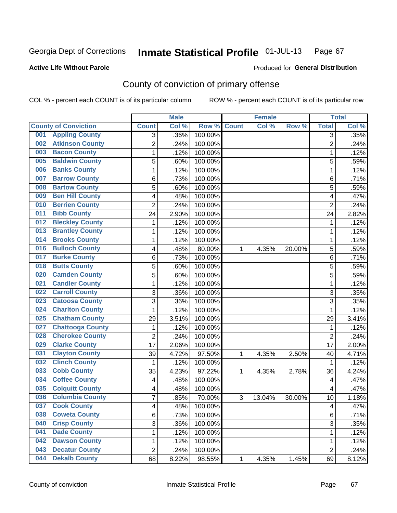### **Active Life Without Parole**

### Produced for **General Distribution**

## County of conviction of primary offense

|                                |                | <b>Male</b> |                  |              | <b>Female</b> |        |                | <b>Total</b> |
|--------------------------------|----------------|-------------|------------------|--------------|---------------|--------|----------------|--------------|
| <b>County of Conviction</b>    | <b>Count</b>   | Col %       | Row <sup>%</sup> | <b>Count</b> | Col %         | Row %  | <b>Total</b>   | Col %        |
| <b>Appling County</b><br>001   | 3              | .36%        | 100.00%          |              |               |        | 3              | .35%         |
| <b>Atkinson County</b><br>002  | $\overline{2}$ | .24%        | 100.00%          |              |               |        | $\overline{2}$ | .24%         |
| <b>Bacon County</b><br>003     | 1              | .12%        | 100.00%          |              |               |        | 1              | .12%         |
| <b>Baldwin County</b><br>005   | 5              | .60%        | 100.00%          |              |               |        | 5              | .59%         |
| <b>Banks County</b><br>006     | 1              | .12%        | 100.00%          |              |               |        | $\mathbf{1}$   | .12%         |
| <b>Barrow County</b><br>007    | 6              | .73%        | 100.00%          |              |               |        | 6              | .71%         |
| <b>Bartow County</b><br>008    | 5              | .60%        | 100.00%          |              |               |        | 5              | .59%         |
| <b>Ben Hill County</b><br>009  | 4              | .48%        | 100.00%          |              |               |        | 4              | .47%         |
| <b>Berrien County</b><br>010   | $\overline{2}$ | .24%        | 100.00%          |              |               |        | $\overline{2}$ | .24%         |
| <b>Bibb County</b><br>011      | 24             | 2.90%       | 100.00%          |              |               |        | 24             | 2.82%        |
| <b>Bleckley County</b><br>012  | 1              | .12%        | 100.00%          |              |               |        | 1              | .12%         |
| <b>Brantley County</b><br>013  | 1              | .12%        | 100.00%          |              |               |        | 1              | .12%         |
| <b>Brooks County</b><br>014    | 1              | .12%        | 100.00%          |              |               |        | 1              | .12%         |
| <b>Bulloch County</b><br>016   | 4              | .48%        | 80.00%           | 1            | 4.35%         | 20.00% | 5              | .59%         |
| <b>Burke County</b><br>017     | 6              | .73%        | 100.00%          |              |               |        | 6              | .71%         |
| <b>Butts County</b><br>018     | 5              | .60%        | 100.00%          |              |               |        | 5              | .59%         |
| <b>Camden County</b><br>020    | 5              | .60%        | 100.00%          |              |               |        | 5              | .59%         |
| <b>Candler County</b><br>021   | 1              | .12%        | 100.00%          |              |               |        | $\mathbf{1}$   | .12%         |
| <b>Carroll County</b><br>022   | 3              | .36%        | 100.00%          |              |               |        | 3              | .35%         |
| <b>Catoosa County</b><br>023   | 3              | .36%        | 100.00%          |              |               |        | $\overline{3}$ | .35%         |
| <b>Charlton County</b><br>024  | 1              | .12%        | 100.00%          |              |               |        | 1              | .12%         |
| <b>Chatham County</b><br>025   | 29             | 3.51%       | 100.00%          |              |               |        | 29             | 3.41%        |
| <b>Chattooga County</b><br>027 | 1              | .12%        | 100.00%          |              |               |        | 1              | .12%         |
| <b>Cherokee County</b><br>028  | $\overline{2}$ | .24%        | 100.00%          |              |               |        | $\overline{2}$ | .24%         |
| <b>Clarke County</b><br>029    | 17             | 2.06%       | 100.00%          |              |               |        | 17             | 2.00%        |
| <b>Clayton County</b><br>031   | 39             | 4.72%       | 97.50%           | 1            | 4.35%         | 2.50%  | 40             | 4.71%        |
| <b>Clinch County</b><br>032    | 1              | .12%        | 100.00%          |              |               |        | 1              | .12%         |
| <b>Cobb County</b><br>033      | 35             | 4.23%       | 97.22%           | 1            | 4.35%         | 2.78%  | 36             | 4.24%        |
| <b>Coffee County</b><br>034    | 4              | .48%        | 100.00%          |              |               |        | 4              | .47%         |
| <b>Colquitt County</b><br>035  | 4              | .48%        | 100.00%          |              |               |        | 4              | .47%         |
| <b>Columbia County</b><br>036  | 7              | .85%        | 70.00%           | 3            | 13.04%        | 30.00% | 10             | 1.18%        |
| 037<br><b>Cook County</b>      | 4              | .48%        | 100.00%          |              |               |        | 4              | .47%         |
| <b>Coweta County</b><br>038    | 6              | .73%        | 100.00%          |              |               |        | 6              | .71%         |
| <b>Crisp County</b><br>040     | 3              | .36%        | 100.00%          |              |               |        | 3              | .35%         |
| <b>Dade County</b><br>041      | 1              | .12%        | 100.00%          |              |               |        | 1              | .12%         |
| <b>Dawson County</b><br>042    | 1              | .12%        | 100.00%          |              |               |        | 1              | .12%         |
| <b>Decatur County</b><br>043   | $\overline{2}$ | .24%        | 100.00%          |              |               |        | $\overline{2}$ | .24%         |
| <b>Dekalb County</b><br>044    | 68             | 8.22%       | 98.55%           | 1            | 4.35%         | 1.45%  | 69             | 8.12%        |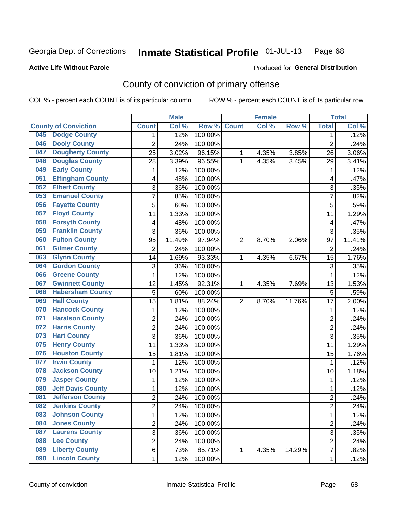### **Active Life Without Parole**

## Produced for **General Distribution**

## County of conviction of primary offense

|     |                             |                         | <b>Male</b> |         |                | <b>Female</b> |        |                 | <b>Total</b> |
|-----|-----------------------------|-------------------------|-------------|---------|----------------|---------------|--------|-----------------|--------------|
|     | <b>County of Conviction</b> | <b>Count</b>            | Col %       | Row %   | <b>Count</b>   | Col %         | Row %  | <b>Total</b>    | Col %        |
| 045 | <b>Dodge County</b>         | 1                       | .12%        | 100.00% |                |               |        | 1               | .12%         |
| 046 | <b>Dooly County</b>         | $\overline{2}$          | .24%        | 100.00% |                |               |        | $\overline{2}$  | .24%         |
| 047 | <b>Dougherty County</b>     | 25                      | 3.02%       | 96.15%  | 1              | 4.35%         | 3.85%  | 26              | 3.06%        |
| 048 | <b>Douglas County</b>       | 28                      | 3.39%       | 96.55%  | 1              | 4.35%         | 3.45%  | 29              | 3.41%        |
| 049 | <b>Early County</b>         | 1                       | .12%        | 100.00% |                |               |        | 1               | .12%         |
| 051 | <b>Effingham County</b>     | 4                       | .48%        | 100.00% |                |               |        | 4               | .47%         |
| 052 | <b>Elbert County</b>        | 3                       | .36%        | 100.00% |                |               |        | 3               | .35%         |
| 053 | <b>Emanuel County</b>       | 7                       | .85%        | 100.00% |                |               |        | $\overline{7}$  | .82%         |
| 056 | <b>Fayette County</b>       | 5                       | .60%        | 100.00% |                |               |        | 5               | .59%         |
| 057 | <b>Floyd County</b>         | 11                      | 1.33%       | 100.00% |                |               |        | 11              | 1.29%        |
| 058 | <b>Forsyth County</b>       | $\overline{\mathbf{4}}$ | .48%        | 100.00% |                |               |        | 4               | .47%         |
| 059 | <b>Franklin County</b>      | 3                       | .36%        | 100.00% |                |               |        | 3               | .35%         |
| 060 | <b>Fulton County</b>        | 95                      | 11.49%      | 97.94%  | $\overline{2}$ | 8.70%         | 2.06%  | 97              | 11.41%       |
| 061 | <b>Gilmer County</b>        | $\overline{2}$          | .24%        | 100.00% |                |               |        | $\overline{2}$  | .24%         |
| 063 | <b>Glynn County</b>         | 14                      | 1.69%       | 93.33%  | 1              | 4.35%         | 6.67%  | $\overline{15}$ | 1.76%        |
| 064 | <b>Gordon County</b>        | 3                       | .36%        | 100.00% |                |               |        | 3               | .35%         |
| 066 | <b>Greene County</b>        | 1                       | .12%        | 100.00% |                |               |        | 1               | .12%         |
| 067 | <b>Gwinnett County</b>      | 12                      | 1.45%       | 92.31%  | 1              | 4.35%         | 7.69%  | 13              | 1.53%        |
| 068 | <b>Habersham County</b>     | $\overline{5}$          | .60%        | 100.00% |                |               |        | 5               | .59%         |
| 069 | <b>Hall County</b>          | 15                      | 1.81%       | 88.24%  | $\overline{2}$ | 8.70%         | 11.76% | 17              | 2.00%        |
| 070 | <b>Hancock County</b>       | 1                       | .12%        | 100.00% |                |               |        | 1               | .12%         |
| 071 | <b>Haralson County</b>      | $\overline{c}$          | .24%        | 100.00% |                |               |        | $\overline{2}$  | .24%         |
| 072 | <b>Harris County</b>        | $\overline{2}$          | .24%        | 100.00% |                |               |        | $\overline{2}$  | .24%         |
| 073 | <b>Hart County</b>          | 3                       | .36%        | 100.00% |                |               |        | 3               | .35%         |
| 075 | <b>Henry County</b>         | 11                      | 1.33%       | 100.00% |                |               |        | 11              | 1.29%        |
| 076 | <b>Houston County</b>       | 15                      | 1.81%       | 100.00% |                |               |        | 15              | 1.76%        |
| 077 | <b>Irwin County</b>         | 1                       | .12%        | 100.00% |                |               |        | 1               | .12%         |
| 078 | <b>Jackson County</b>       | 10                      | 1.21%       | 100.00% |                |               |        | 10              | 1.18%        |
| 079 | <b>Jasper County</b>        | 1                       | .12%        | 100.00% |                |               |        | 1               | .12%         |
| 080 | <b>Jeff Davis County</b>    | 1                       | .12%        | 100.00% |                |               |        | 1               | .12%         |
| 081 | <b>Jefferson County</b>     | $\overline{2}$          | .24%        | 100.00% |                |               |        | $\overline{2}$  | .24%         |
| 082 | <b>Jenkins County</b>       | $\overline{\mathbf{c}}$ | .24%        | 100.00% |                |               |        | 2               | .24%         |
| 083 | <b>Johnson County</b>       | 1                       | .12%        | 100.00% |                |               |        | $\mathbf{1}$    | .12%         |
| 084 | <b>Jones County</b>         | 2                       | .24%        | 100.00% |                |               |        | $\overline{2}$  | .24%         |
| 087 | <b>Laurens County</b>       | $\overline{3}$          | .36%        | 100.00% |                |               |        | $\overline{3}$  | .35%         |
| 088 | <b>Lee County</b>           | 2                       | .24%        | 100.00% |                |               |        | $\overline{2}$  | .24%         |
| 089 | <b>Liberty County</b>       | 6                       | .73%        | 85.71%  | 1              | 4.35%         | 14.29% | $\overline{7}$  | .82%         |
| 090 | <b>Lincoln County</b>       | 1                       | .12%        | 100.00% |                |               |        | 1               | .12%         |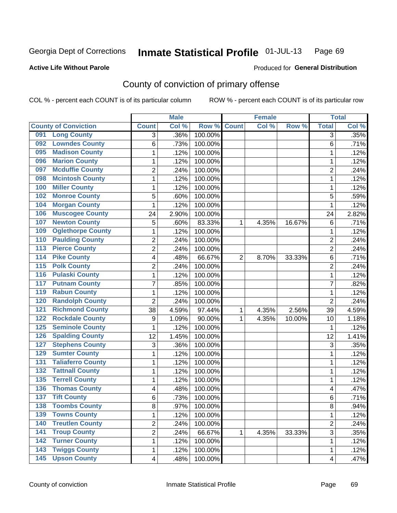### **Active Life Without Parole**

### Produced for **General Distribution**

## County of conviction of primary offense

|                                           |                  | <b>Male</b> |                  |                | <b>Female</b> |        |                | <b>Total</b> |
|-------------------------------------------|------------------|-------------|------------------|----------------|---------------|--------|----------------|--------------|
| <b>County of Conviction</b>               | <b>Count</b>     | Col %       | Row <sup>%</sup> | <b>Count</b>   | Col %         | Row %  | <b>Total</b>   | Col %        |
| <b>Long County</b><br>091                 | 3                | .36%        | 100.00%          |                |               |        | 3              | .35%         |
| <b>Lowndes County</b><br>092              | 6                | .73%        | 100.00%          |                |               |        | 6              | .71%         |
| <b>Madison County</b><br>095              | 1                | .12%        | 100.00%          |                |               |        | 1              | .12%         |
| <b>Marion County</b><br>096               | 1                | .12%        | 100.00%          |                |               |        | 1              | .12%         |
| <b>Mcduffie County</b><br>097             | 2                | .24%        | 100.00%          |                |               |        | $\overline{2}$ | .24%         |
| <b>Mcintosh County</b><br>098             | 1                | .12%        | 100.00%          |                |               |        | $\mathbf{1}$   | .12%         |
| <b>Miller County</b><br>100               | 1                | .12%        | 100.00%          |                |               |        | 1              | .12%         |
| <b>Monroe County</b><br>102               | 5                | .60%        | 100.00%          |                |               |        | 5              | .59%         |
| <b>Morgan County</b><br>104               | 1                | .12%        | 100.00%          |                |               |        | 1              | .12%         |
| <b>Muscogee County</b><br>106             | 24               | 2.90%       | 100.00%          |                |               |        | 24             | 2.82%        |
| <b>Newton County</b><br>107               | 5                | .60%        | 83.33%           | 1              | 4.35%         | 16.67% | 6              | .71%         |
| <b>Oglethorpe County</b><br>109           | 1                | .12%        | 100.00%          |                |               |        | 1              | .12%         |
| <b>Paulding County</b><br>110             | $\overline{2}$   | .24%        | 100.00%          |                |               |        | $\overline{2}$ | .24%         |
| <b>Pierce County</b><br>$\overline{113}$  | $\overline{2}$   | .24%        | 100.00%          |                |               |        | $\overline{2}$ | .24%         |
| <b>Pike County</b><br>$\overline{114}$    | 4                | .48%        | 66.67%           | $\overline{2}$ | 8.70%         | 33.33% | 6              | .71%         |
| <b>Polk County</b><br>$\overline{115}$    | $\overline{2}$   | .24%        | 100.00%          |                |               |        | $\overline{2}$ | .24%         |
| <b>Pulaski County</b><br>$\overline{116}$ | 1                | .12%        | 100.00%          |                |               |        | 1              | .12%         |
| <b>Putnam County</b><br>117               | $\overline{7}$   | .85%        | 100.00%          |                |               |        | $\overline{7}$ | .82%         |
| <b>Rabun County</b><br>119                | 1                | .12%        | 100.00%          |                |               |        | 1              | .12%         |
| <b>Randolph County</b><br>120             | $\overline{2}$   | .24%        | 100.00%          |                |               |        | $\overline{2}$ | .24%         |
| <b>Richmond County</b><br>121             | 38               | 4.59%       | 97.44%           | 1              | 4.35%         | 2.56%  | 39             | 4.59%        |
| <b>Rockdale County</b><br>122             | $\boldsymbol{9}$ | 1.09%       | 90.00%           | 1              | 4.35%         | 10.00% | 10             | 1.18%        |
| <b>Seminole County</b><br>125             | 1                | .12%        | 100.00%          |                |               |        | 1              | .12%         |
| <b>Spalding County</b><br>126             | 12               | 1.45%       | 100.00%          |                |               |        | 12             | 1.41%        |
| <b>Stephens County</b><br>127             | 3                | .36%        | 100.00%          |                |               |        | 3              | .35%         |
| <b>Sumter County</b><br>129               | 1                | .12%        | 100.00%          |                |               |        | 1              | .12%         |
| <b>Taliaferro County</b><br>131           | 1                | .12%        | 100.00%          |                |               |        | 1              | .12%         |
| <b>Tattnall County</b><br>132             | 1                | .12%        | 100.00%          |                |               |        | $\mathbf{1}$   | .12%         |
| <b>Terrell County</b><br>135              | 1                | .12%        | 100.00%          |                |               |        | 1              | .12%         |
| <b>Thomas County</b><br>136               | 4                | .48%        | 100.00%          |                |               |        | 4              | .47%         |
| <b>Tift County</b><br>$\overline{137}$    | 6                | .73%        | 100.00%          |                |               |        | 6              | .71%         |
| 138<br><b>Toombs County</b>               | 8                | .97%        | 100.00%          |                |               |        | 8              | .94%         |
| <b>Towns County</b><br>139                | 1                | .12%        | 100.00%          |                |               |        | $\mathbf{1}$   | .12%         |
| 140<br><b>Treutlen County</b>             | $\overline{2}$   | .24%        | 100.00%          |                |               |        | $\overline{2}$ | .24%         |
| <b>Troup County</b><br>141                | $\overline{2}$   | .24%        | 66.67%           | 1              | 4.35%         | 33.33% | 3              | .35%         |
| <b>Turner County</b><br>142               | 1                | .12%        | 100.00%          |                |               |        | $\mathbf{1}$   | .12%         |
| <b>Twiggs County</b><br>143               | 1                | .12%        | 100.00%          |                |               |        | 1              | .12%         |
| <b>Upson County</b><br>$\overline{145}$   | 4                | .48%        | 100.00%          |                |               |        | 4              | .47%         |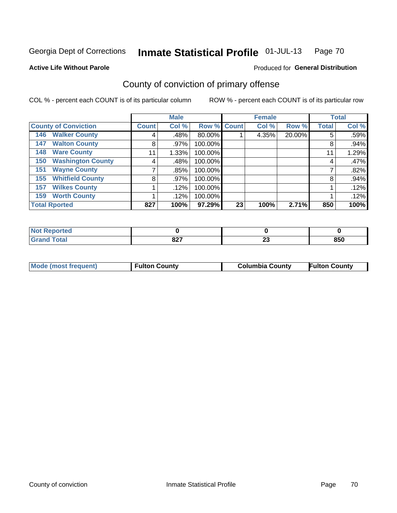**Active Life Without Parole** 

### Produced for **General Distribution**

## County of conviction of primary offense

|                                 | <b>Male</b>  |       |             | <b>Female</b> |       | <b>Total</b> |              |       |
|---------------------------------|--------------|-------|-------------|---------------|-------|--------------|--------------|-------|
| <b>County of Conviction</b>     | <b>Count</b> | Col % | Row % Count |               | Col % | Row %        | <b>Total</b> | Col % |
| <b>Walker County</b><br>146     | 4            | .48%  | 80.00%      |               | 4.35% | 20.00%       | 5            | .59%  |
| <b>Walton County</b><br>147     | 8            | .97%  | 100.00%     |               |       |              | 8            | .94%  |
| <b>Ware County</b><br>148       | 11           | 1.33% | 100.00%     |               |       |              | 11           | 1.29% |
| <b>Washington County</b><br>150 | 4            | .48%  | 100.00%     |               |       |              | 4            | .47%  |
| <b>Wayne County</b><br>151      |              | .85%  | 100.00%     |               |       |              | ⇁            | .82%  |
| <b>Whitfield County</b><br>155  | 8            | .97%  | 100.00%     |               |       |              | 8            | .94%  |
| <b>Wilkes County</b><br>157     |              | .12%  | 100.00%     |               |       |              |              | .12%  |
| <b>Worth County</b><br>159      |              | .12%  | 100.00%     |               |       |              |              | .12%  |
| <b>Total Rported</b>            | 827          | 100%  | 97.29%      | 23            | 100%  | 2.71%        | 850          | 100%  |

| : Reported<br><b>NOT</b> |             |          |     |
|--------------------------|-------------|----------|-----|
| <b>Total</b>             | 007<br>04 I | ^^<br>∼∸ | 850 |

| Mode (most frequent) | <b>Fulton County</b> | <b>Columbia County</b> | <b>Fulton County</b> |
|----------------------|----------------------|------------------------|----------------------|
|                      |                      |                        |                      |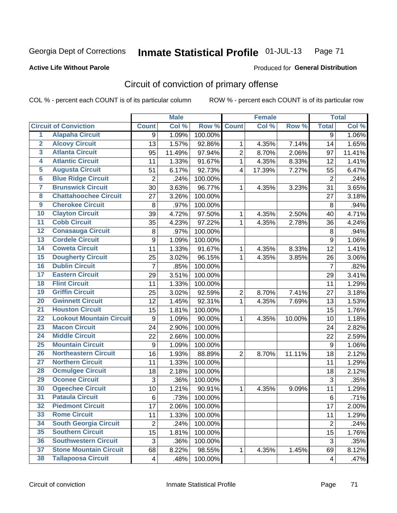**Active Life Without Parole** 

Produced for **General Distribution**

## Circuit of conviction of primary offense

|                         |                                 |                | <b>Male</b> |         |                | <b>Female</b> |        | <b>Total</b>     |        |
|-------------------------|---------------------------------|----------------|-------------|---------|----------------|---------------|--------|------------------|--------|
|                         | <b>Circuit of Conviction</b>    | <b>Count</b>   | Col %       | Row %   | <b>Count</b>   | Col %         | Row %  | <b>Total</b>     | Col %  |
| 1                       | <b>Alapaha Circuit</b>          | 9              | 1.09%       | 100.00% |                |               |        | 9                | 1.06%  |
| $\overline{2}$          | <b>Alcovy Circuit</b>           | 13             | 1.57%       | 92.86%  | 1              | 4.35%         | 7.14%  | 14               | 1.65%  |
| $\overline{\mathbf{3}}$ | <b>Atlanta Circuit</b>          | 95             | 11.49%      | 97.94%  | $\overline{2}$ | 8.70%         | 2.06%  | 97               | 11.41% |
| 4                       | <b>Atlantic Circuit</b>         | 11             | 1.33%       | 91.67%  | $\mathbf{1}$   | 4.35%         | 8.33%  | 12               | 1.41%  |
| 5                       | <b>Augusta Circuit</b>          | 51             | 6.17%       | 92.73%  | $\overline{4}$ | 17.39%        | 7.27%  | 55               | 6.47%  |
| $\overline{\mathbf{6}}$ | <b>Blue Ridge Circuit</b>       | $\overline{2}$ | $.24\%$     | 100.00% |                |               |        | $\overline{2}$   | .24%   |
| 7                       | <b>Brunswick Circuit</b>        | 30             | 3.63%       | 96.77%  | 1              | 4.35%         | 3.23%  | 31               | 3.65%  |
| $\overline{\mathbf{8}}$ | <b>Chattahoochee Circuit</b>    | 27             | 3.26%       | 100.00% |                |               |        | 27               | 3.18%  |
| $\overline{9}$          | <b>Cherokee Circuit</b>         | 8              | .97%        | 100.00% |                |               |        | 8                | .94%   |
| 10                      | <b>Clayton Circuit</b>          | 39             | 4.72%       | 97.50%  | 1              | 4.35%         | 2.50%  | 40               | 4.71%  |
| $\overline{11}$         | <b>Cobb Circuit</b>             | 35             | 4.23%       | 97.22%  | $\mathbf{1}$   | 4.35%         | 2.78%  | 36               | 4.24%  |
| $\overline{12}$         | <b>Conasauga Circuit</b>        | 8              | .97%        | 100.00% |                |               |        | 8                | .94%   |
| 13                      | <b>Cordele Circuit</b>          | 9              | 1.09%       | 100.00% |                |               |        | $\boldsymbol{9}$ | 1.06%  |
| 14                      | <b>Coweta Circuit</b>           | 11             | 1.33%       | 91.67%  | $\mathbf{1}$   | 4.35%         | 8.33%  | 12               | 1.41%  |
| 15                      | <b>Dougherty Circuit</b>        | 25             | 3.02%       | 96.15%  | $\mathbf 1$    | 4.35%         | 3.85%  | 26               | 3.06%  |
| 16                      | <b>Dublin Circuit</b>           | 7              | .85%        | 100.00% |                |               |        | $\overline{7}$   | .82%   |
| 17                      | <b>Eastern Circuit</b>          | 29             | 3.51%       | 100.00% |                |               |        | 29               | 3.41%  |
| 18                      | <b>Flint Circuit</b>            | 11             | 1.33%       | 100.00% |                |               |        | 11               | 1.29%  |
| 19                      | <b>Griffin Circuit</b>          | 25             | 3.02%       | 92.59%  | $\overline{2}$ | 8.70%         | 7.41%  | 27               | 3.18%  |
| 20                      | <b>Gwinnett Circuit</b>         | 12             | 1.45%       | 92.31%  | 1              | 4.35%         | 7.69%  | 13               | 1.53%  |
| $\overline{21}$         | <b>Houston Circuit</b>          | 15             | 1.81%       | 100.00% |                |               |        | 15               | 1.76%  |
| $\overline{22}$         | <b>Lookout Mountain Circuit</b> | 9              | 1.09%       | 90.00%  | 1              | 4.35%         | 10.00% | 10               | 1.18%  |
| 23                      | <b>Macon Circuit</b>            | 24             | 2.90%       | 100.00% |                |               |        | 24               | 2.82%  |
| $\overline{24}$         | <b>Middle Circuit</b>           | 22             | 2.66%       | 100.00% |                |               |        | 22               | 2.59%  |
| 25                      | <b>Mountain Circuit</b>         | 9              | 1.09%       | 100.00% |                |               |        | $\boldsymbol{9}$ | 1.06%  |
| 26                      | <b>Northeastern Circuit</b>     | 16             | 1.93%       | 88.89%  | $\overline{2}$ | 8.70%         | 11.11% | 18               | 2.12%  |
| $\overline{27}$         | <b>Northern Circuit</b>         | 11             | 1.33%       | 100.00% |                |               |        | 11               | 1.29%  |
| 28                      | <b>Ocmulgee Circuit</b>         | 18             | 2.18%       | 100.00% |                |               |        | 18               | 2.12%  |
| 29                      | <b>Oconee Circuit</b>           | 3              | .36%        | 100.00% |                |               |        | 3                | .35%   |
| 30                      | <b>Ogeechee Circuit</b>         | 10             | 1.21%       | 90.91%  | 1              | 4.35%         | 9.09%  | 11               | 1.29%  |
| $\overline{31}$         | <b>Pataula Circuit</b>          | 6              | .73%        | 100.00% |                |               |        | 6                | .71%   |
| 32                      | <b>Piedmont Circuit</b>         | 17             | 2.06%       | 100.00% |                |               |        | 17               | 2.00%  |
| 33                      | <b>Rome Circuit</b>             | 11             | 1.33%       | 100.00% |                |               |        | 11               | 1.29%  |
| 34                      | <b>South Georgia Circuit</b>    | $\overline{2}$ | .24%        | 100.00% |                |               |        | $\overline{2}$   | .24%   |
| 35                      | <b>Southern Circuit</b>         | 15             | 1.81%       | 100.00% |                |               |        | 15               | 1.76%  |
| 36                      | <b>Southwestern Circuit</b>     | 3              | .36%        | 100.00% |                |               |        | 3                | .35%   |
| 37                      | <b>Stone Mountain Circuit</b>   | 68             | 8.22%       | 98.55%  | 1              | 4.35%         | 1.45%  | 69               | 8.12%  |
| 38                      | <b>Tallapoosa Circuit</b>       | 4              | .48%        | 100.00% |                |               |        | 4                | .47%   |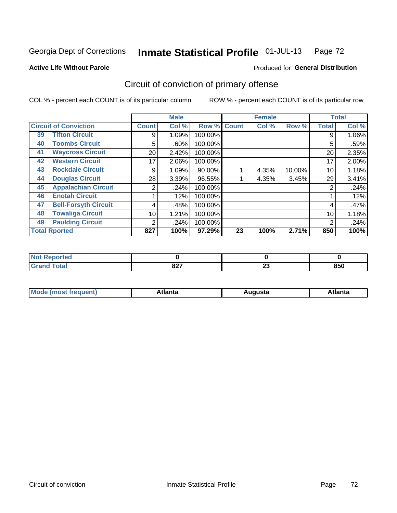### **Active Life Without Parole**

## Produced for **General Distribution**

## Circuit of conviction of primary offense

|    |                              |                | <b>Male</b> |         |              | <b>Female</b> |              |              | <b>Total</b> |  |
|----|------------------------------|----------------|-------------|---------|--------------|---------------|--------------|--------------|--------------|--|
|    | <b>Circuit of Conviction</b> | <b>Count</b>   | Col %       | Row %   | <b>Count</b> | Col %         | Row %        | <b>Total</b> | Col %        |  |
| 39 | <b>Tifton Circuit</b>        | 9              | 1.09%       | 100.00% |              |               |              | 9            | 1.06%        |  |
| 40 | <b>Toombs Circuit</b>        | 5              | .60%        | 100.00% |              |               |              | 5            | .59%         |  |
| 41 | <b>Waycross Circuit</b>      | 20             | 2.42%       | 100.00% |              |               |              | 20           | 2.35%        |  |
| 42 | <b>Western Circuit</b>       | 17             | 2.06%       | 100.00% |              |               |              | 17           | 2.00%        |  |
| 43 | <b>Rockdale Circuit</b>      | 9              | 1.09%       | 90.00%  |              | 4.35%         | 10.00%       | 10           | 1.18%        |  |
| 44 | <b>Douglas Circuit</b>       | 28             | 3.39%       | 96.55%  |              | 4.35%         | 3.45%        | 29           | 3.41%        |  |
| 45 | <b>Appalachian Circuit</b>   | 2              | .24%        | 100.00% |              |               |              | 2            | .24%         |  |
| 46 | <b>Enotah Circuit</b>        |                | .12%        | 100.00% |              |               |              |              | .12%         |  |
| 47 | <b>Bell-Forsyth Circuit</b>  | 4              | .48%        | 100.00% |              |               |              | 4            | .47%         |  |
| 48 | <b>Towaliga Circuit</b>      | 10             | 1.21%       | 100.00% |              |               |              | 10           | 1.18%        |  |
| 49 | <b>Paulding Circuit</b>      | $\overline{2}$ | .24%        | 100.00% |              |               |              | 2            | .24%         |  |
|    | <b>Total Rported</b>         | 827            | 100%        | 97.29%  | 23           | 100%          | 850<br>2.71% |              | 100%         |  |

| .<br>rtea   |      |    |     |
|-------------|------|----|-----|
| <b>otal</b> | 027  | ^^ | 850 |
| --          | 04 I | Δv |     |

| М<br>. In n tr<br>.<br>.<br>wanta<br>Πū<br>31.<br>$\sim$ $\sim$ $\sim$ |
|------------------------------------------------------------------------|
|------------------------------------------------------------------------|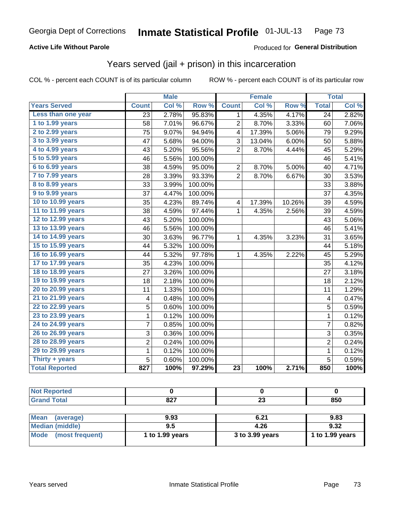### **Active Life Without Parole**

#### Produced for **General Distribution**

## Years served (jail + prison) in this incarceration

|                       |                 | <b>Male</b> |         |                         | <b>Female</b> |        |                 | <b>Total</b> |
|-----------------------|-----------------|-------------|---------|-------------------------|---------------|--------|-----------------|--------------|
| <b>Years Served</b>   | <b>Count</b>    | Col %       | Row %   | <b>Count</b>            | Col%          | Row %  | <b>Total</b>    | Col %        |
| Less than one year    | $\overline{23}$ | 2.78%       | 95.83%  | 1                       | 4.35%         | 4.17%  | $\overline{24}$ | 2.82%        |
| 1 to 1.99 years       | 58              | 7.01%       | 96.67%  | 2                       | 8.70%         | 3.33%  | 60              | 7.06%        |
| 2 to 2.99 years       | 75              | 9.07%       | 94.94%  | 4                       | 17.39%        | 5.06%  | 79              | 9.29%        |
| 3 to 3.99 years       | 47              | 5.68%       | 94.00%  | 3                       | 13.04%        | 6.00%  | 50              | 5.88%        |
| 4 to 4.99 years       | 43              | 5.20%       | 95.56%  | $\overline{2}$          | 8.70%         | 4.44%  | 45              | 5.29%        |
| 5 to 5.99 years       | 46              | 5.56%       | 100.00% |                         |               |        | 46              | 5.41%        |
| 6 to 6.99 years       | 38              | 4.59%       | 95.00%  | $\overline{2}$          | 8.70%         | 5.00%  | 40              | 4.71%        |
| 7 to 7.99 years       | 28              | 3.39%       | 93.33%  | $\overline{2}$          | 8.70%         | 6.67%  | 30              | 3.53%        |
| 8 to 8.99 years       | 33              | 3.99%       | 100.00% |                         |               |        | 33              | 3.88%        |
| 9 to 9.99 years       | 37              | 4.47%       | 100.00% |                         |               |        | 37              | 4.35%        |
| 10 to 10.99 years     | 35              | 4.23%       | 89.74%  | $\overline{\mathbf{4}}$ | 17.39%        | 10.26% | 39              | 4.59%        |
| 11 to 11.99 years     | 38              | 4.59%       | 97.44%  | 1                       | 4.35%         | 2.56%  | 39              | 4.59%        |
| 12 to 12.99 years     | 43              | 5.20%       | 100.00% |                         |               |        | 43              | 5.06%        |
| 13 to 13.99 years     | 46              | 5.56%       | 100.00% |                         |               |        | 46              | 5.41%        |
| 14 to 14.99 years     | 30              | 3.63%       | 96.77%  | 1                       | 4.35%         | 3.23%  | 31              | 3.65%        |
| 15 to 15.99 years     | 44              | 5.32%       | 100.00% |                         |               |        | 44              | 5.18%        |
| 16 to 16.99 years     | 44              | 5.32%       | 97.78%  | 1                       | 4.35%         | 2.22%  | 45              | 5.29%        |
| 17 to 17.99 years     | 35              | 4.23%       | 100.00% |                         |               |        | 35              | 4.12%        |
| 18 to 18.99 years     | 27              | 3.26%       | 100.00% |                         |               |        | 27              | 3.18%        |
| 19 to 19.99 years     | 18              | 2.18%       | 100.00% |                         |               |        | 18              | 2.12%        |
| 20 to 20.99 years     | 11              | 1.33%       | 100.00% |                         |               |        | 11              | 1.29%        |
| 21 to 21.99 years     | 4               | 0.48%       | 100.00% |                         |               |        | 4               | 0.47%        |
| 22 to 22.99 years     | 5               | 0.60%       | 100.00% |                         |               |        | $\overline{5}$  | 0.59%        |
| 23 to 23.99 years     | $\mathbf 1$     | 0.12%       | 100.00% |                         |               |        | $\mathbf 1$     | 0.12%        |
| 24 to 24.99 years     | 7               | 0.85%       | 100.00% |                         |               |        | 7               | 0.82%        |
| 26 to 26.99 years     | 3               | 0.36%       | 100.00% |                         |               |        | $\mathbf{3}$    | 0.35%        |
| 28 to 28.99 years     | $\overline{2}$  | 0.24%       | 100.00% |                         |               |        | $\overline{2}$  | 0.24%        |
| 29 to 29.99 years     | $\mathbf 1$     | 0.12%       | 100.00% |                         |               |        | $\mathbf 1$     | 0.12%        |
| Thirty + years        | 5               | 0.60%       | 100.00% |                         |               |        | 5               | 0.59%        |
| <b>Total Reported</b> | 827             | 100%        | 97.29%  | $\overline{23}$         | 100%          | 2.71%  | 850             | 100%         |

| <b>Not Reported</b> |             |           |     |
|---------------------|-------------|-----------|-----|
| <b>Grand Total</b>  | 027<br>04 I | nn.<br>∠J | 850 |
|                     |             |           |     |

| Mean (average)       | 9.93            | 6.21            | 9.83            |
|----------------------|-----------------|-----------------|-----------------|
| Median (middle)      | 9.5             | 4.26            | 9.32            |
| Mode (most frequent) | 1 to 1.99 years | 3 to 3.99 years | 1 to 1.99 years |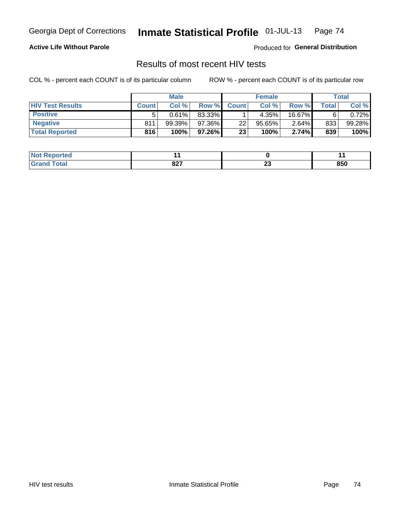### **Active Life Without Parole**

Produced for **General Distribution**

## Results of most recent HIV tests

|                         | <b>Male</b>  |        |        | <b>Female</b> |        |          | Total       |          |
|-------------------------|--------------|--------|--------|---------------|--------|----------|-------------|----------|
| <b>HIV Test Results</b> | <b>Count</b> | Col %  | Row %I | <b>Count</b>  | Col%   | Row %    | $\tau$ otal | Col %    |
| <b>Positive</b>         | 5            | 0.61%  | 83.33% |               | 4.35%  | 16.67%   | 6           | $0.72\%$ |
| <b>Negative</b>         | 811          | 99.39% | 97.36% | 22            | 95.65% | $2.64\%$ | 833         | 99.28%   |
| <b>Total Reported</b>   | 816          | 100%   | 97.26% | 23            | 100%   | 2.74%    | 839         | 100%     |

| ported<br>I NOT |      |    |     |
|-----------------|------|----|-----|
| <i>i</i> otal   | 007  | ^^ | 850 |
| $\sim$          | 04 I | -- |     |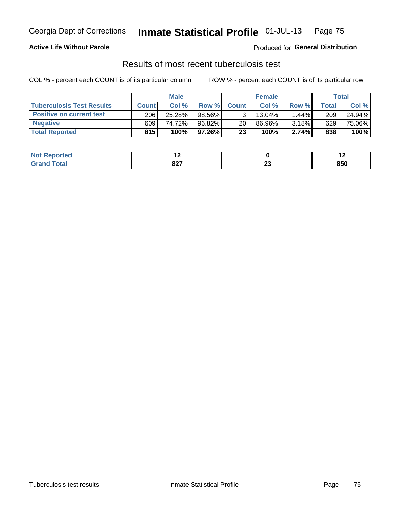### **Active Life Without Parole**

Produced for **General Distribution**

### Results of most recent tuberculosis test

|                                  | <b>Male</b>  |        |           | <b>Female</b> |        |       | Total       |        |
|----------------------------------|--------------|--------|-----------|---------------|--------|-------|-------------|--------|
| <b>Tuberculosis Test Results</b> | <b>Count</b> | Col%   | Row %I    | <b>Count</b>  | Col%   | Row % | $\tau$ otal | Col %  |
| <b>Positive on current test</b>  | 206          | 25.28% | 98.56%    |               | 13.04% | 1.44% | 209         | 24.94% |
| <b>Negative</b>                  | 609          | 74.72% | $96.82\%$ | 20            | 86.96% | 3.18% | 629         | 75.06% |
| <b>Total Reported</b>            | 815          | 100%   | $97.26\%$ | 23            | 100%   | 2.74% | 838         | 100%   |

| ported<br><b>NOT</b> | . .  |    | . . |
|----------------------|------|----|-----|
| $int^{\bullet}$      | 007  | ^^ | 850 |
| $\sim$               | 04 I | -- |     |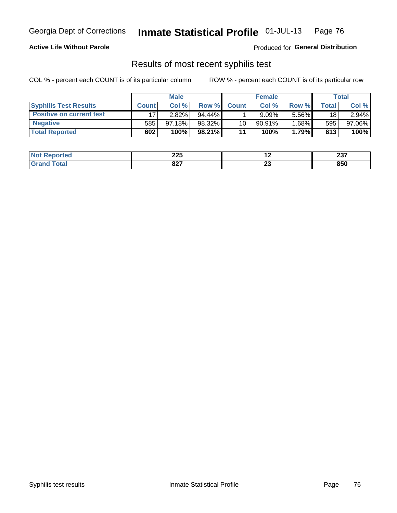#### **Active Life Without Parole**

Produced for **General Distribution**

## Results of most recent syphilis test

|                                 | <b>Male</b>  |           |           | <b>Female</b>   |           |          | Total |        |
|---------------------------------|--------------|-----------|-----------|-----------------|-----------|----------|-------|--------|
| <b>Syphilis Test Results</b>    | <b>Count</b> | Col %     | Row %     | <b>Count</b>    | Col %     | Row %I   | Total | Col %  |
| <b>Positive on current test</b> |              | 2.82%     | $94.44\%$ |                 | 9.09%     | 5.56%    | 18    | 2.94%  |
| <b>Negative</b>                 | 585          | $97.18\%$ | 98.32%    | 10 <sub>1</sub> | $90.91\%$ | $1.68\%$ | 595   | 97.06% |
| <b>Total Reported</b>           | 602          | 100%      | $98.21\%$ | 11              | 100%      | 1.79%    | 613   | 100%   |

| <b>Not Reported</b> | へへに<br>44 Z | . .      | $\sim$<br>201 |
|---------------------|-------------|----------|---------------|
| Total               | 027<br>ᅆ    | ~~<br>Δv | 850           |